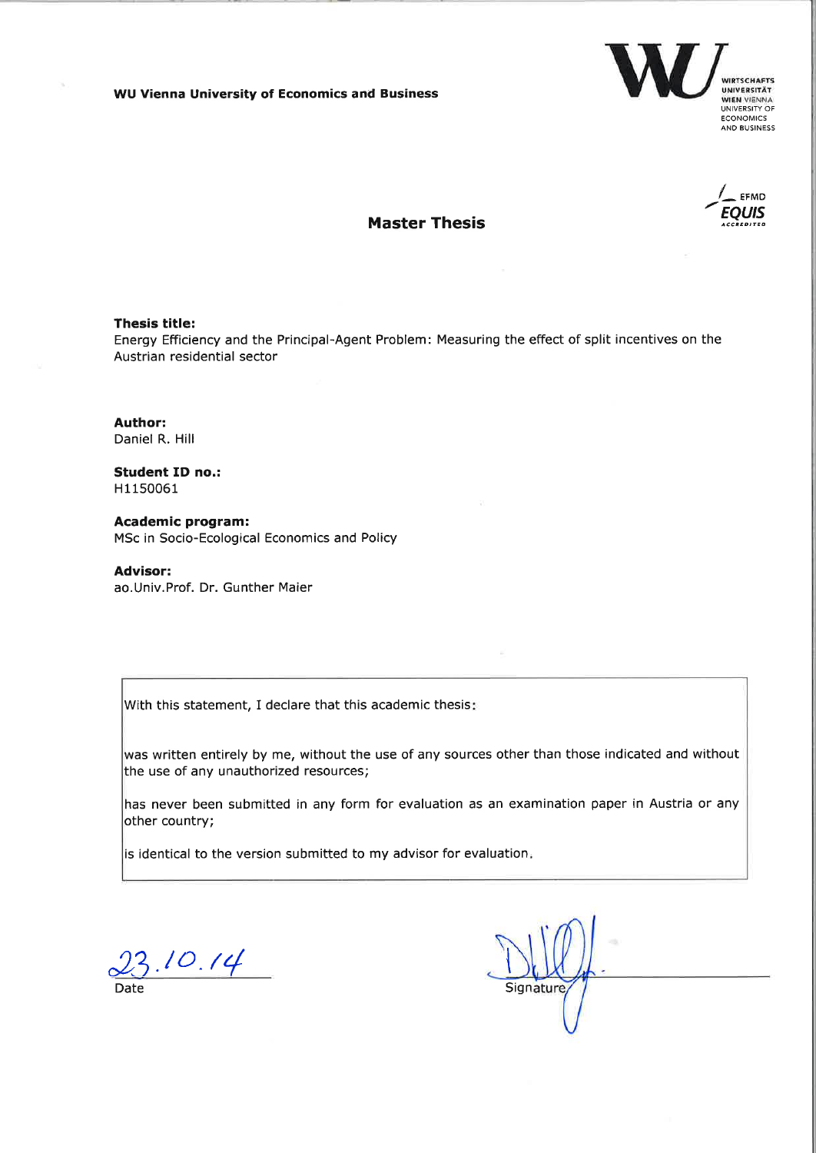**WU Vienna University of Economics and Business** 





# **Master Thesis**

#### **Thesis title:**

Energy Efficiency and the Principal-Agent Problem: Measuring the effect of split incentives on the Austrian residential sector

Author: Daniel R. Hill

**Student ID no.:** H1150061

**Academic program:** MSc in Socio-Ecological Economics and Policy

**Advisor:** ao.Univ.Prof. Dr. Gunther Maier

With this statement, I declare that this academic thesis:

was written entirely by me, without the use of any sources other than those indicated and without the use of any unauthorized resources;

has never been submitted in any form for evaluation as an examination paper in Austria or any other country;

is identical to the version submitted to my advisor for evaluation.

 $23.10.14$ 

Signature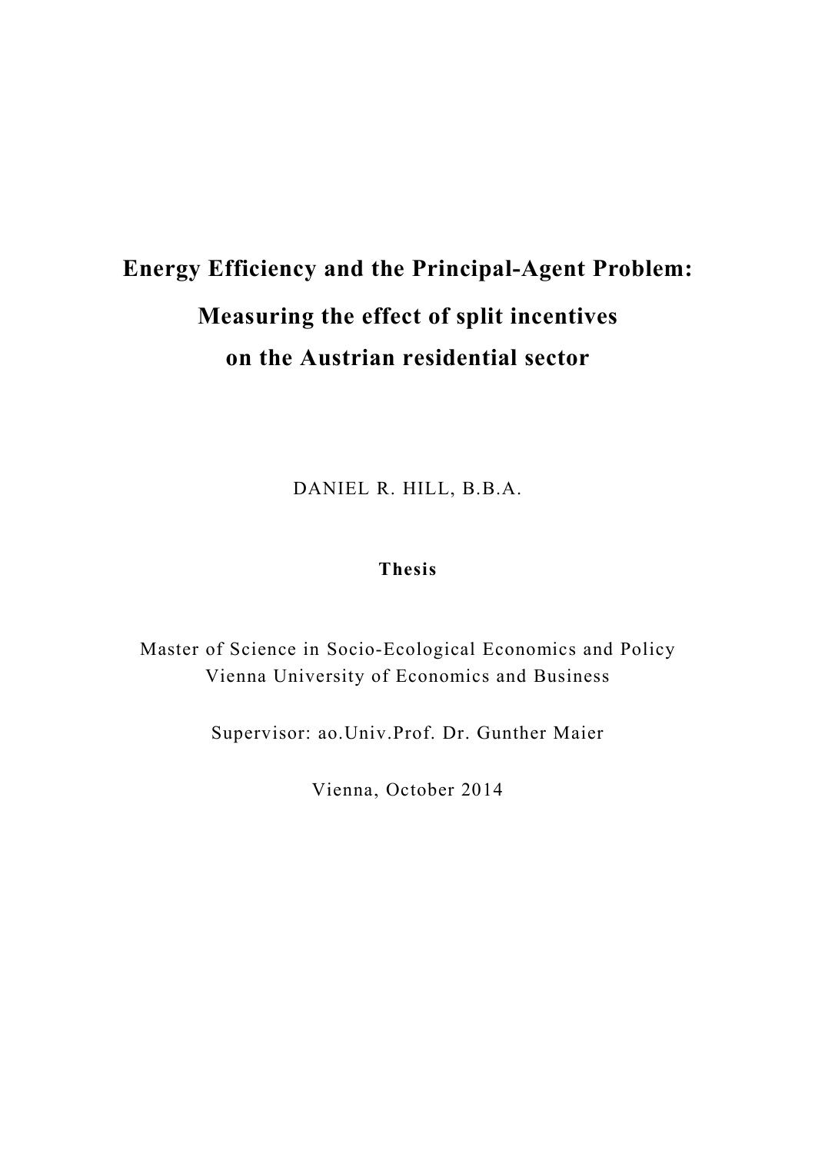# **Energy Efficiency and the Principal-Agent Problem: Measuring the effect of split incentives on the Austrian residential sector**

DANIEL R. HILL, B.B.A.

# **Thesis**

Master of Science in Socio-Ecological Economics and Policy Vienna University of Economics and Business

Supervisor: ao.Univ.Prof. Dr. Gunther Maier

Vienna, October 2014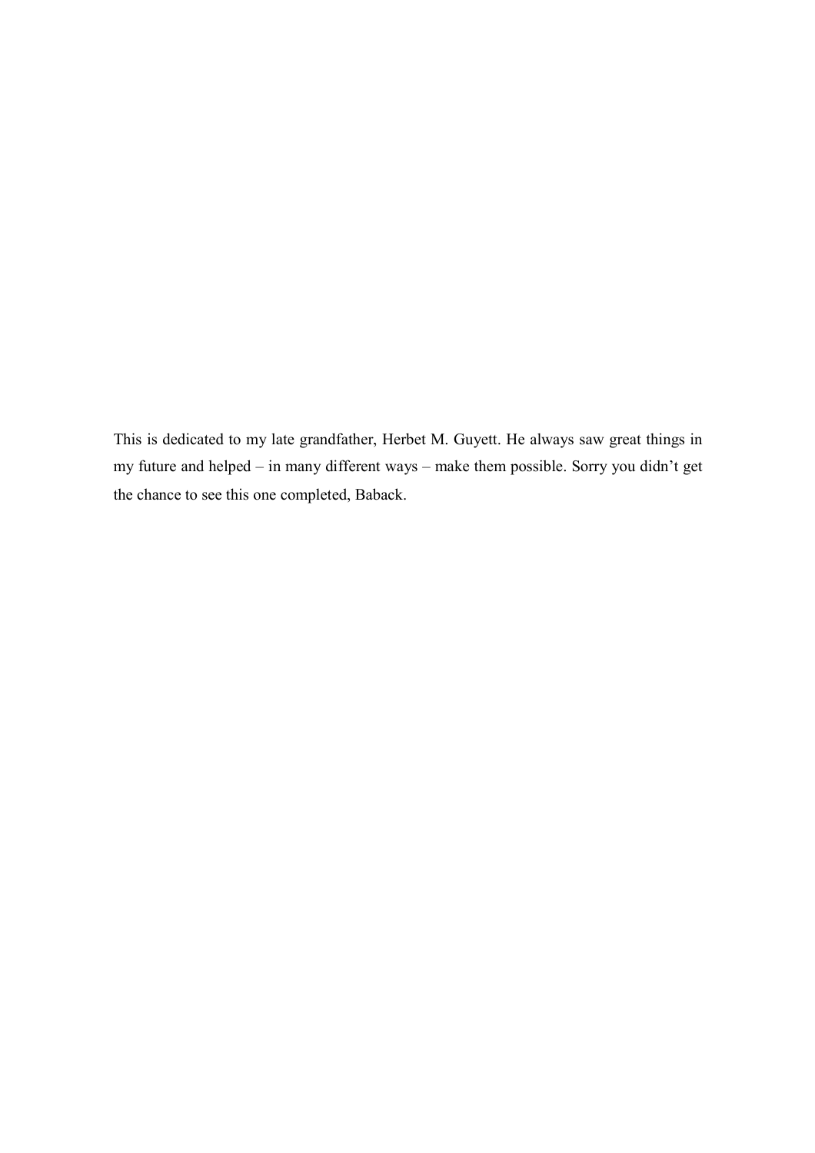This is dedicated to my late grandfather, Herbet M. Guyett. He always saw great things in my future and helped – in many different ways – make them possible. Sorry you didn't get the chance to see this one completed, Baback.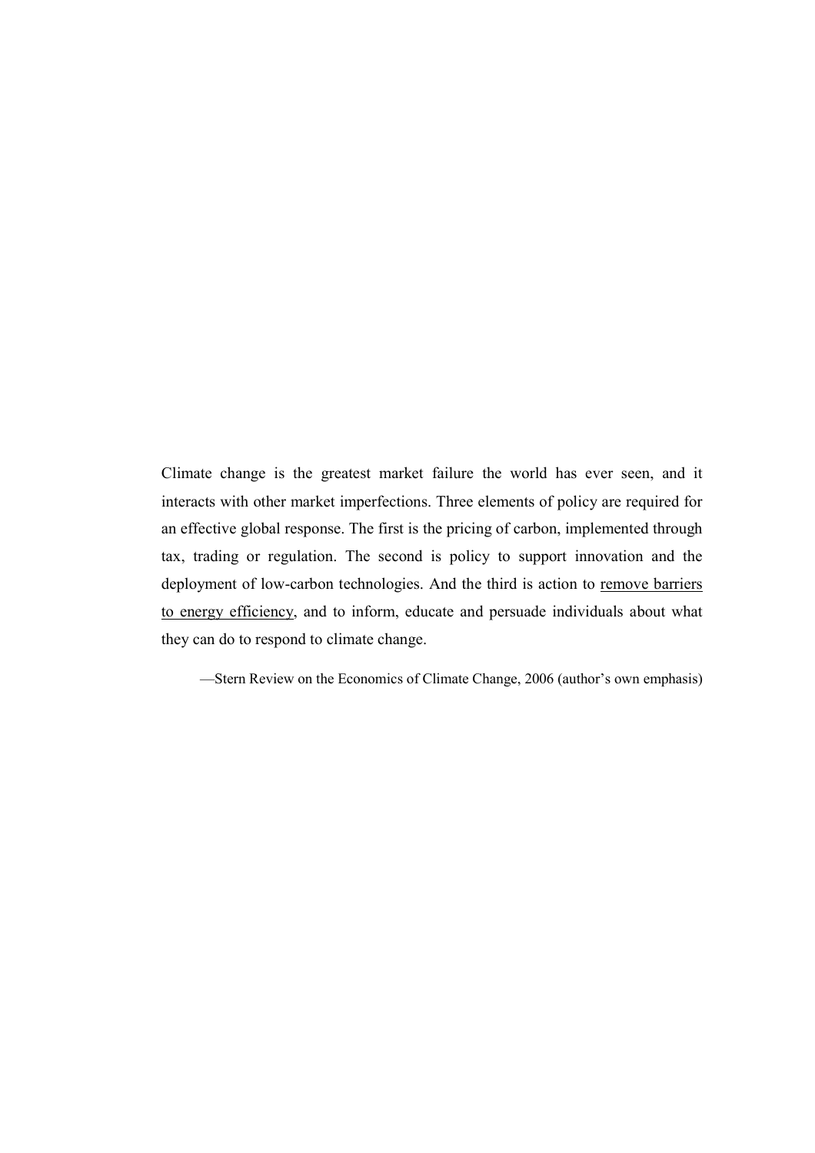Climate change is the greatest market failure the world has ever seen, and it interacts with other market imperfections. Three elements of policy are required for an effective global response. The first is the pricing of carbon, implemented through tax, trading or regulation. The second is policy to support innovation and the deployment of low-carbon technologies. And the third is action to remove barriers to energy efficiency, and to inform, educate and persuade individuals about what they can do to respond to climate change.

—Stern Review on the Economics of Climate Change, 2006 (author's own emphasis)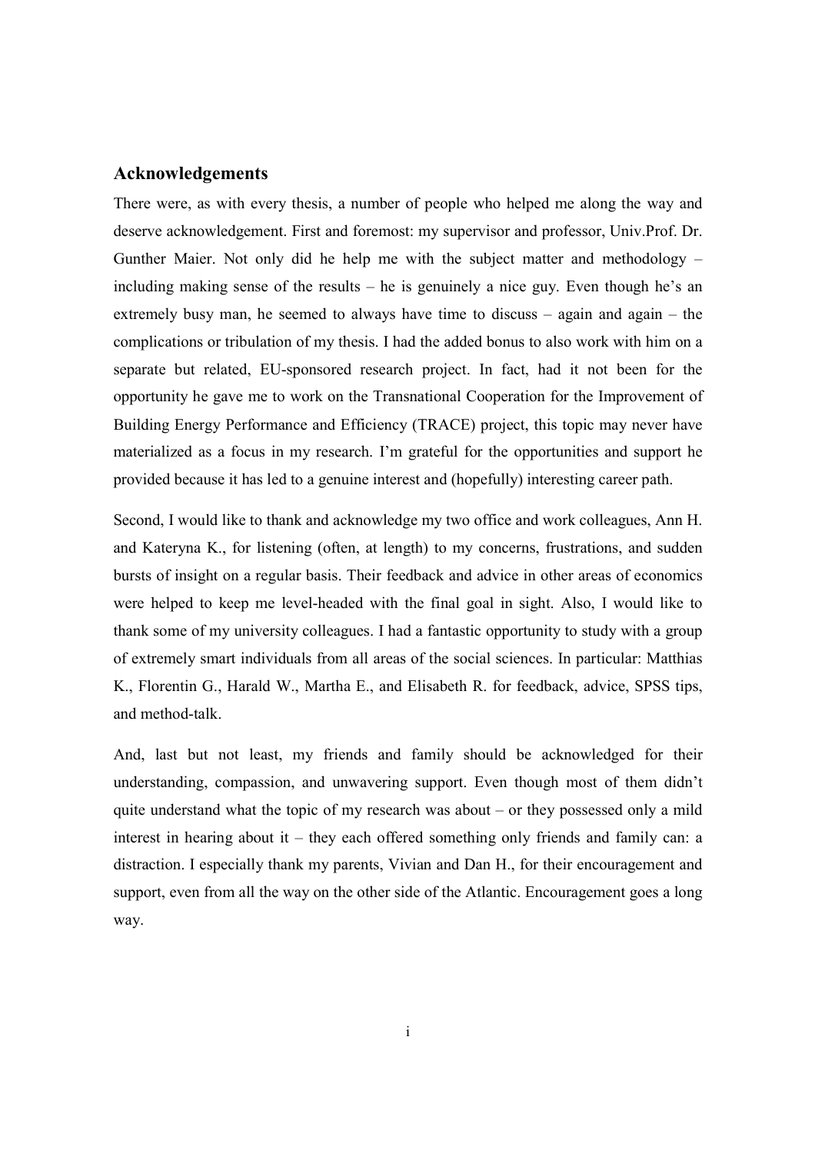# **Acknowledgements**

There were, as with every thesis, a number of people who helped me along the way and deserve acknowledgement. First and foremost: my supervisor and professor, Univ.Prof. Dr. Gunther Maier. Not only did he help me with the subject matter and methodology – including making sense of the results – he is genuinely a nice guy. Even though he's an extremely busy man, he seemed to always have time to discuss – again and again – the complications or tribulation of my thesis. I had the added bonus to also work with him on a separate but related, EU-sponsored research project. In fact, had it not been for the opportunity he gave me to work on the Transnational Cooperation for the Improvement of Building Energy Performance and Efficiency (TRACE) project, this topic may never have materialized as a focus in my research. I'm grateful for the opportunities and support he provided because it has led to a genuine interest and (hopefully) interesting career path.

Second, I would like to thank and acknowledge my two office and work colleagues, Ann H. and Kateryna K., for listening (often, at length) to my concerns, frustrations, and sudden bursts of insight on a regular basis. Their feedback and advice in other areas of economics were helped to keep me level-headed with the final goal in sight. Also, I would like to thank some of my university colleagues. I had a fantastic opportunity to study with a group of extremely smart individuals from all areas of the social sciences. In particular: Matthias K., Florentin G., Harald W., Martha E., and Elisabeth R. for feedback, advice, SPSS tips, and method-talk.

And, last but not least, my friends and family should be acknowledged for their understanding, compassion, and unwavering support. Even though most of them didn't quite understand what the topic of my research was about – or they possessed only a mild interest in hearing about it – they each offered something only friends and family can: a distraction. I especially thank my parents, Vivian and Dan H., for their encouragement and support, even from all the way on the other side of the Atlantic. Encouragement goes a long way.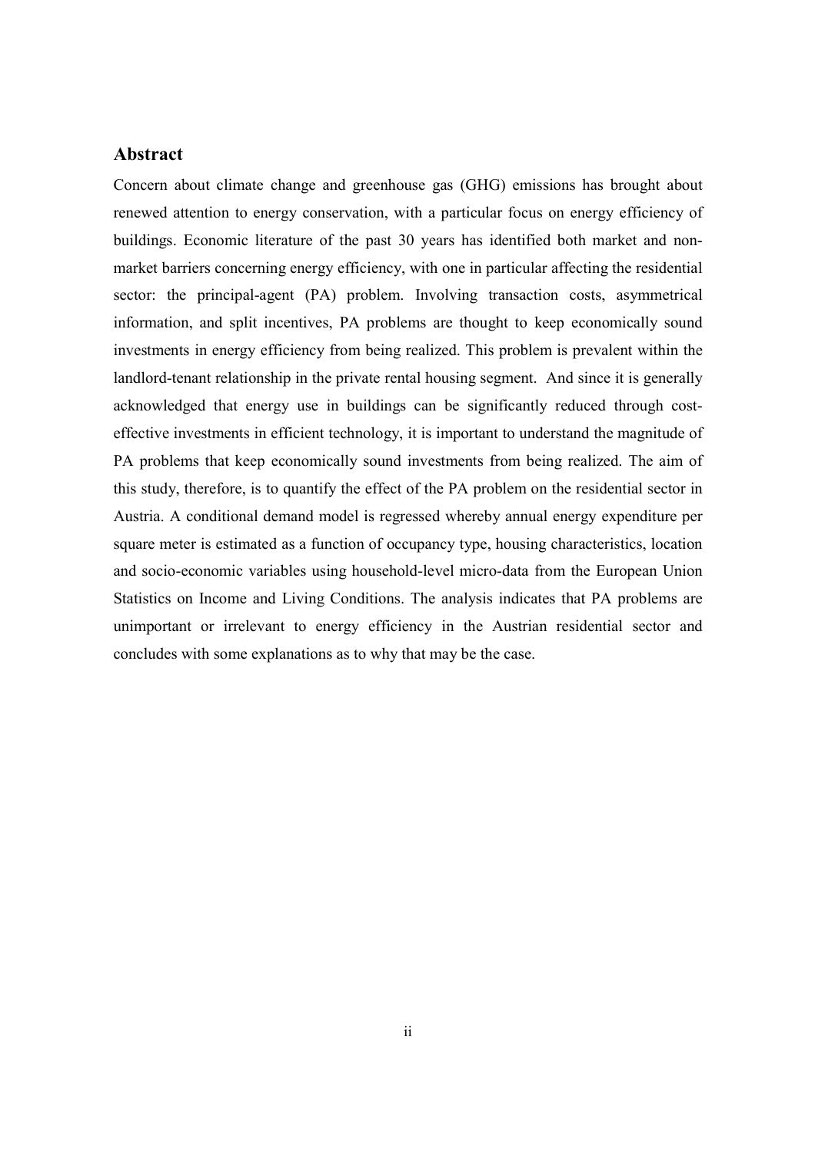# **Abstract**

Concern about climate change and greenhouse gas (GHG) emissions has brought about renewed attention to energy conservation, with a particular focus on energy efficiency of buildings. Economic literature of the past 30 years has identified both market and nonmarket barriers concerning energy efficiency, with one in particular affecting the residential sector: the principal-agent (PA) problem. Involving transaction costs, asymmetrical information, and split incentives, PA problems are thought to keep economically sound investments in energy efficiency from being realized. This problem is prevalent within the landlord-tenant relationship in the private rental housing segment. And since it is generally acknowledged that energy use in buildings can be significantly reduced through costeffective investments in efficient technology, it is important to understand the magnitude of PA problems that keep economically sound investments from being realized. The aim of this study, therefore, is to quantify the effect of the PA problem on the residential sector in Austria. A conditional demand model is regressed whereby annual energy expenditure per square meter is estimated as a function of occupancy type, housing characteristics, location and socio-economic variables using household-level micro-data from the European Union Statistics on Income and Living Conditions. The analysis indicates that PA problems are unimportant or irrelevant to energy efficiency in the Austrian residential sector and concludes with some explanations as to why that may be the case.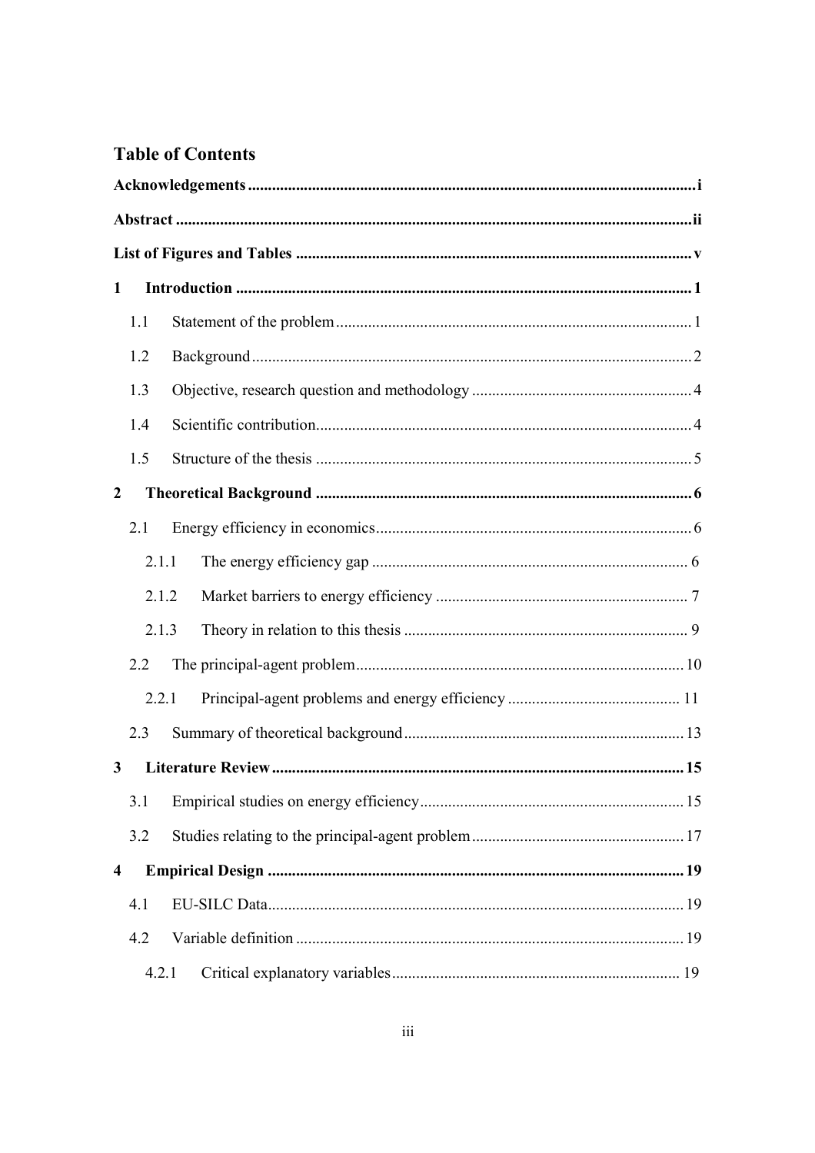# **Table of Contents**

| 1                       |     |       |  |  |  |  |  |
|-------------------------|-----|-------|--|--|--|--|--|
|                         | 1.1 |       |  |  |  |  |  |
|                         | 1.2 |       |  |  |  |  |  |
|                         | 1.3 |       |  |  |  |  |  |
|                         | 1.4 |       |  |  |  |  |  |
|                         | 1.5 |       |  |  |  |  |  |
| $\overline{2}$          |     |       |  |  |  |  |  |
|                         | 2.1 |       |  |  |  |  |  |
|                         |     | 2.1.1 |  |  |  |  |  |
|                         |     | 2.1.2 |  |  |  |  |  |
|                         |     | 2.1.3 |  |  |  |  |  |
|                         | 2.2 |       |  |  |  |  |  |
|                         |     | 2.2.1 |  |  |  |  |  |
|                         | 2.3 |       |  |  |  |  |  |
| $\mathbf{3}$            |     |       |  |  |  |  |  |
|                         | 3.1 |       |  |  |  |  |  |
|                         | 3.2 |       |  |  |  |  |  |
| $\overline{\mathbf{4}}$ |     |       |  |  |  |  |  |
|                         | 4.1 |       |  |  |  |  |  |
|                         | 4.2 |       |  |  |  |  |  |
|                         |     | 4.2.1 |  |  |  |  |  |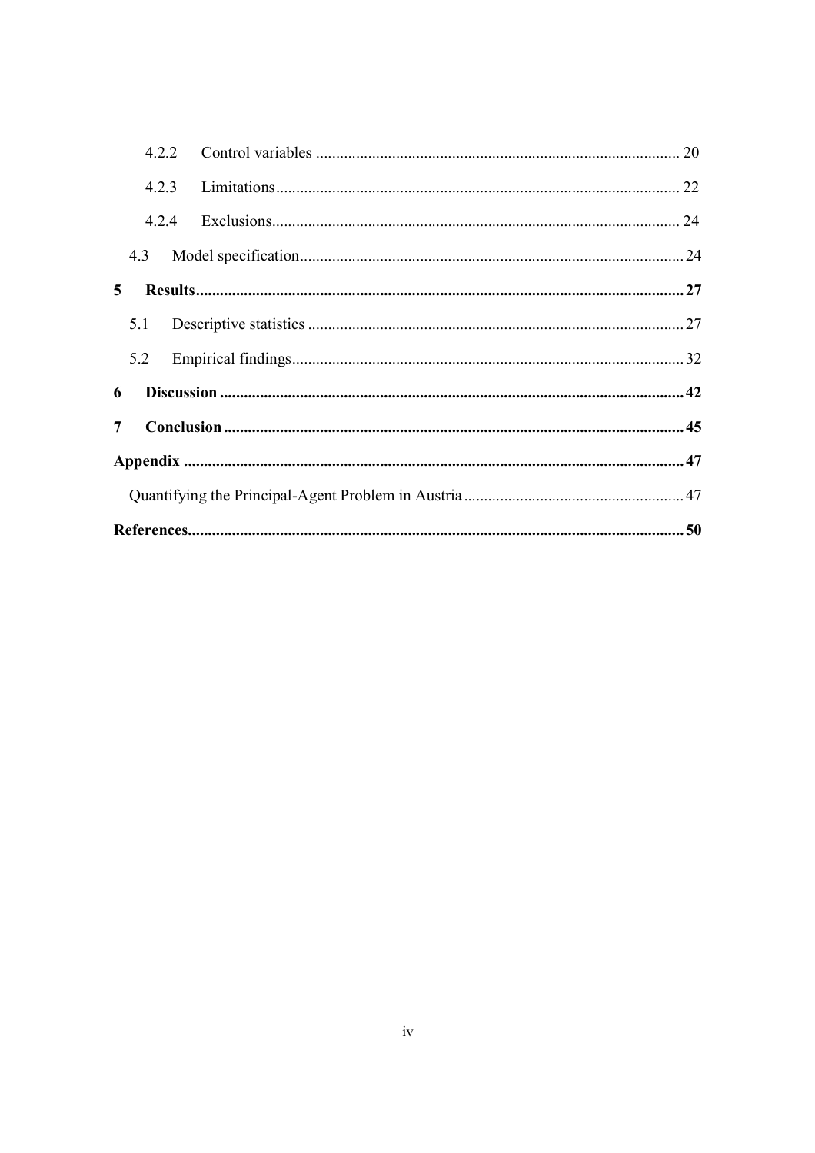| 7 |       |  |  |  |  |
|---|-------|--|--|--|--|
| 6 |       |  |  |  |  |
|   |       |  |  |  |  |
|   |       |  |  |  |  |
|   | 5.1   |  |  |  |  |
| 5 |       |  |  |  |  |
|   | 4.3   |  |  |  |  |
|   | 4.2.4 |  |  |  |  |
|   |       |  |  |  |  |
|   | 4.2.2 |  |  |  |  |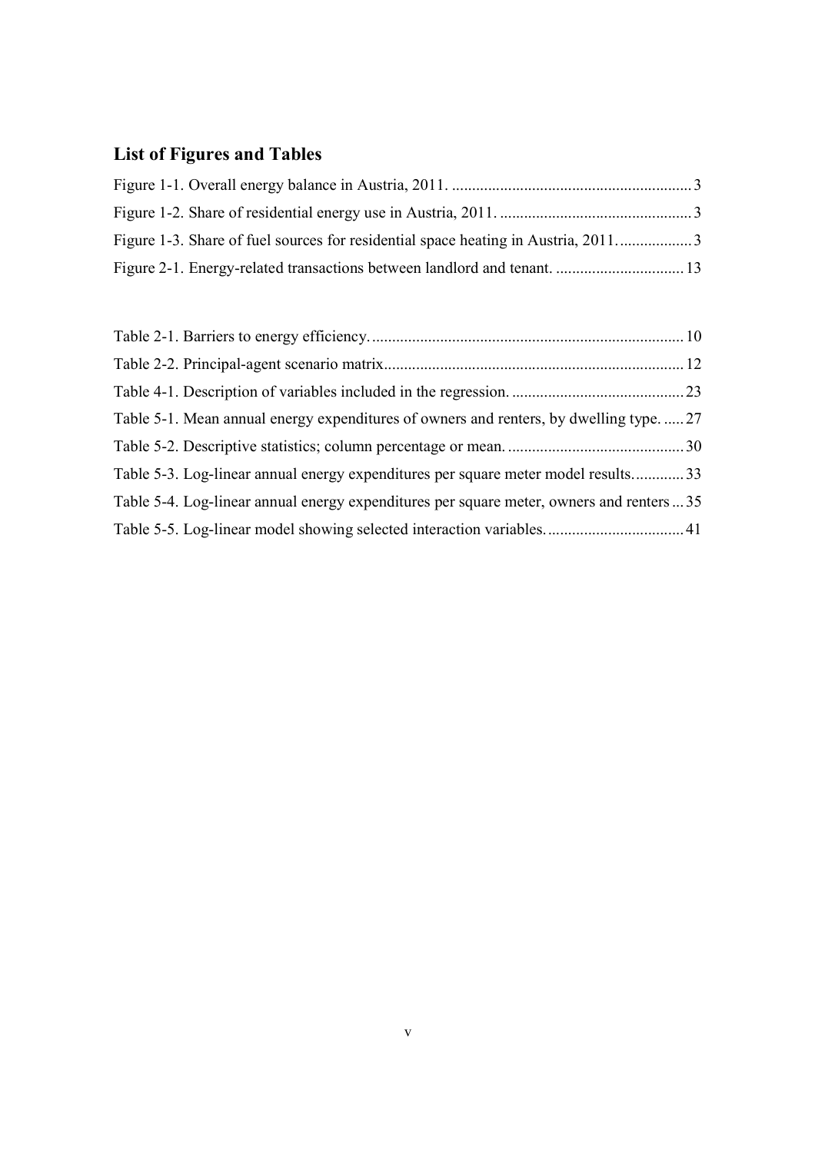# **List of Figures and Tables**

| Table 5-1. Mean annual energy expenditures of owners and renters, by dwelling type27      |  |
|-------------------------------------------------------------------------------------------|--|
|                                                                                           |  |
| Table 5-3. Log-linear annual energy expenditures per square meter model results33         |  |
| Table 5-4. Log-linear annual energy expenditures per square meter, owners and renters  35 |  |
|                                                                                           |  |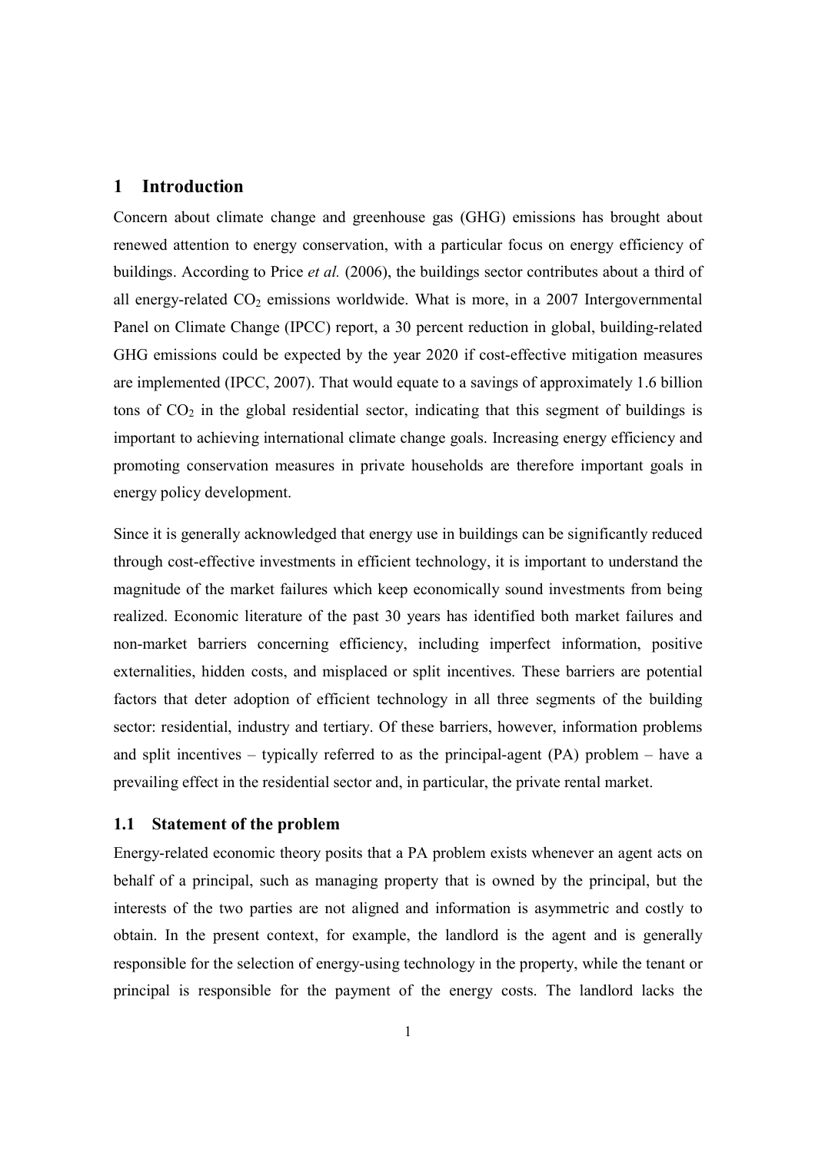# **1 Introduction**

Concern about climate change and greenhouse gas (GHG) emissions has brought about renewed attention to energy conservation, with a particular focus on energy efficiency of buildings. According to Price *et al.* (2006), the buildings sector contributes about a third of all energy-related  $CO<sub>2</sub>$  emissions worldwide. What is more, in a 2007 Intergovernmental Panel on Climate Change (IPCC) report, a 30 percent reduction in global, building-related GHG emissions could be expected by the year 2020 if cost-effective mitigation measures are implemented (IPCC, 2007). That would equate to a savings of approximately 1.6 billion tons of  $CO<sub>2</sub>$  in the global residential sector, indicating that this segment of buildings is important to achieving international climate change goals. Increasing energy efficiency and promoting conservation measures in private households are therefore important goals in energy policy development.

Since it is generally acknowledged that energy use in buildings can be significantly reduced through cost-effective investments in efficient technology, it is important to understand the magnitude of the market failures which keep economically sound investments from being realized. Economic literature of the past 30 years has identified both market failures and non-market barriers concerning efficiency, including imperfect information, positive externalities, hidden costs, and misplaced or split incentives. These barriers are potential factors that deter adoption of efficient technology in all three segments of the building sector: residential, industry and tertiary. Of these barriers, however, information problems and split incentives – typically referred to as the principal-agent (PA) problem – have a prevailing effect in the residential sector and, in particular, the private rental market.

#### **1.1 Statement of the problem**

Energy-related economic theory posits that a PA problem exists whenever an agent acts on behalf of a principal, such as managing property that is owned by the principal, but the interests of the two parties are not aligned and information is asymmetric and costly to obtain. In the present context, for example, the landlord is the agent and is generally responsible for the selection of energy-using technology in the property, while the tenant or principal is responsible for the payment of the energy costs. The landlord lacks the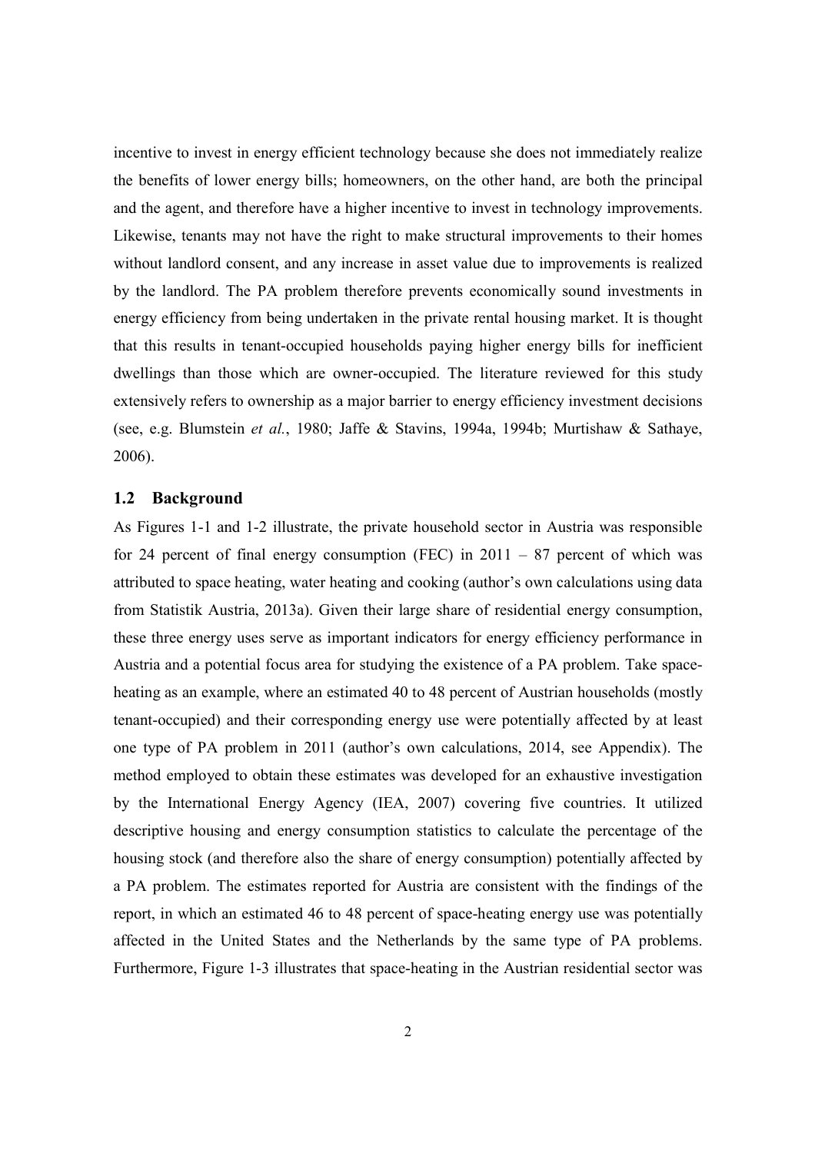incentive to invest in energy efficient technology because she does not immediately realize the benefits of lower energy bills; homeowners, on the other hand, are both the principal and the agent, and therefore have a higher incentive to invest in technology improvements. Likewise, tenants may not have the right to make structural improvements to their homes without landlord consent, and any increase in asset value due to improvements is realized by the landlord. The PA problem therefore prevents economically sound investments in energy efficiency from being undertaken in the private rental housing market. It is thought that this results in tenant-occupied households paying higher energy bills for inefficient dwellings than those which are owner-occupied. The literature reviewed for this study extensively refers to ownership as a major barrier to energy efficiency investment decisions (see, e.g. Blumstein *et al.*, 1980; Jaffe & Stavins, 1994a, 1994b; Murtishaw & Sathaye, 2006).

#### **1.2 Background**

As Figures 1-1 and 1-2 illustrate, the private household sector in Austria was responsible for 24 percent of final energy consumption (FEC) in  $2011 - 87$  percent of which was attributed to space heating, water heating and cooking (author's own calculations using data from Statistik Austria, 2013a). Given their large share of residential energy consumption, these three energy uses serve as important indicators for energy efficiency performance in Austria and a potential focus area for studying the existence of a PA problem. Take spaceheating as an example, where an estimated 40 to 48 percent of Austrian households (mostly tenant-occupied) and their corresponding energy use were potentially affected by at least one type of PA problem in 2011 (author's own calculations, 2014, see Appendix). The method employed to obtain these estimates was developed for an exhaustive investigation by the International Energy Agency (IEA, 2007) covering five countries. It utilized descriptive housing and energy consumption statistics to calculate the percentage of the housing stock (and therefore also the share of energy consumption) potentially affected by a PA problem. The estimates reported for Austria are consistent with the findings of the report, in which an estimated 46 to 48 percent of space-heating energy use was potentially affected in the United States and the Netherlands by the same type of PA problems. Furthermore, Figure 1-3 illustrates that space-heating in the Austrian residential sector was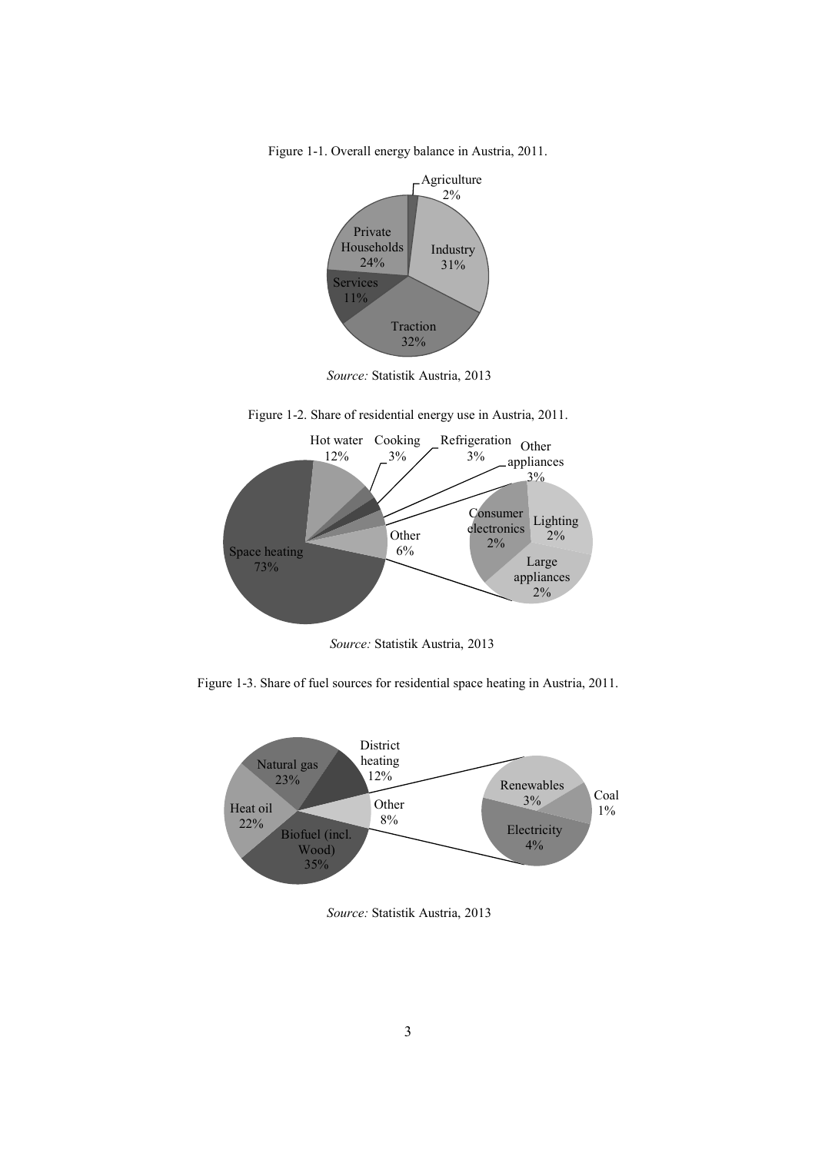Figure 1-1. Overall energy balance in Austria, 2011.



*Source:* Statistik Austria, 2013

Figure 1-2. Share of residential energy use in Austria, 2011.



*Source:* Statistik Austria, 2013

Figure 1-3. Share of fuel sources for residential space heating in Austria, 2011.



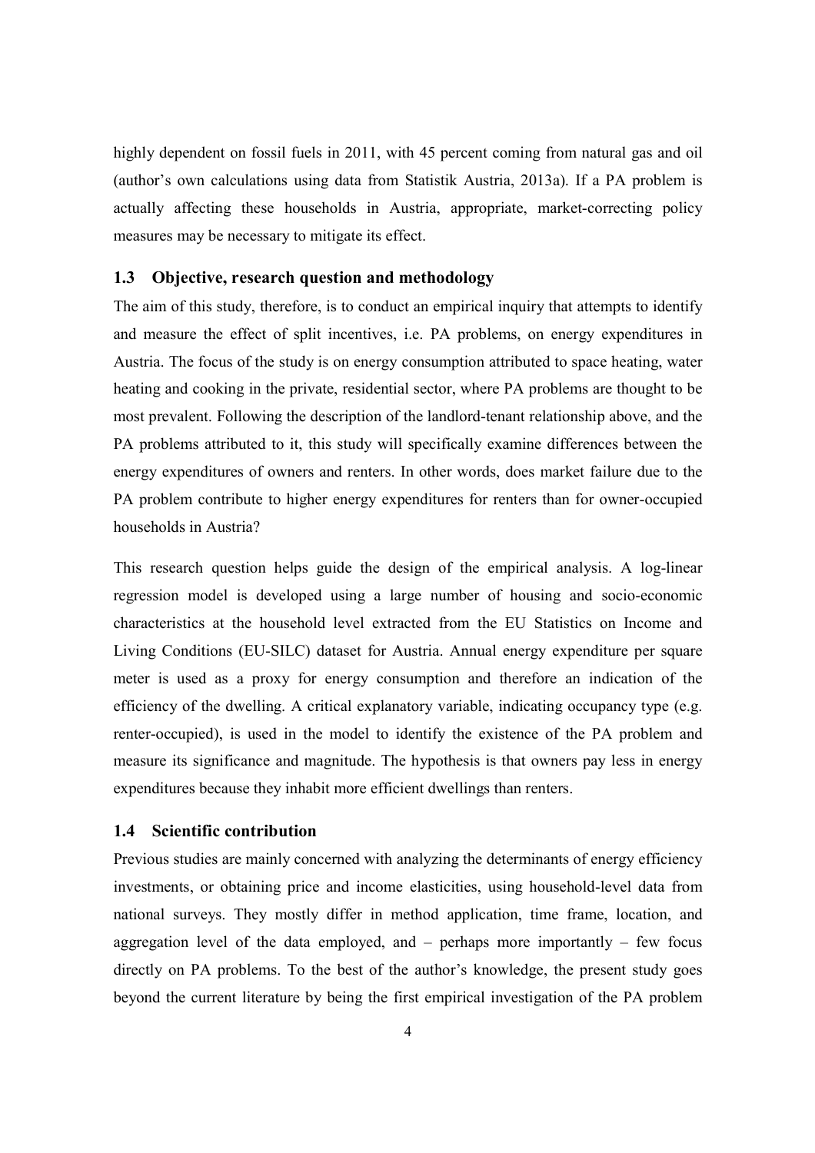highly dependent on fossil fuels in 2011, with 45 percent coming from natural gas and oil (author's own calculations using data from Statistik Austria, 2013a). If a PA problem is actually affecting these households in Austria, appropriate, market-correcting policy measures may be necessary to mitigate its effect.

# **1.3 Objective, research question and methodology**

The aim of this study, therefore, is to conduct an empirical inquiry that attempts to identify and measure the effect of split incentives, i.e. PA problems, on energy expenditures in Austria. The focus of the study is on energy consumption attributed to space heating, water heating and cooking in the private, residential sector, where PA problems are thought to be most prevalent. Following the description of the landlord-tenant relationship above, and the PA problems attributed to it, this study will specifically examine differences between the energy expenditures of owners and renters. In other words, does market failure due to the PA problem contribute to higher energy expenditures for renters than for owner-occupied households in Austria?

This research question helps guide the design of the empirical analysis. A log-linear regression model is developed using a large number of housing and socio-economic characteristics at the household level extracted from the EU Statistics on Income and Living Conditions (EU-SILC) dataset for Austria. Annual energy expenditure per square meter is used as a proxy for energy consumption and therefore an indication of the efficiency of the dwelling. A critical explanatory variable, indicating occupancy type (e.g. renter-occupied), is used in the model to identify the existence of the PA problem and measure its significance and magnitude. The hypothesis is that owners pay less in energy expenditures because they inhabit more efficient dwellings than renters.

# **1.4 Scientific contribution**

Previous studies are mainly concerned with analyzing the determinants of energy efficiency investments, or obtaining price and income elasticities, using household-level data from national surveys. They mostly differ in method application, time frame, location, and aggregation level of the data employed, and  $-$  perhaps more importantly  $-$  few focus directly on PA problems. To the best of the author's knowledge, the present study goes beyond the current literature by being the first empirical investigation of the PA problem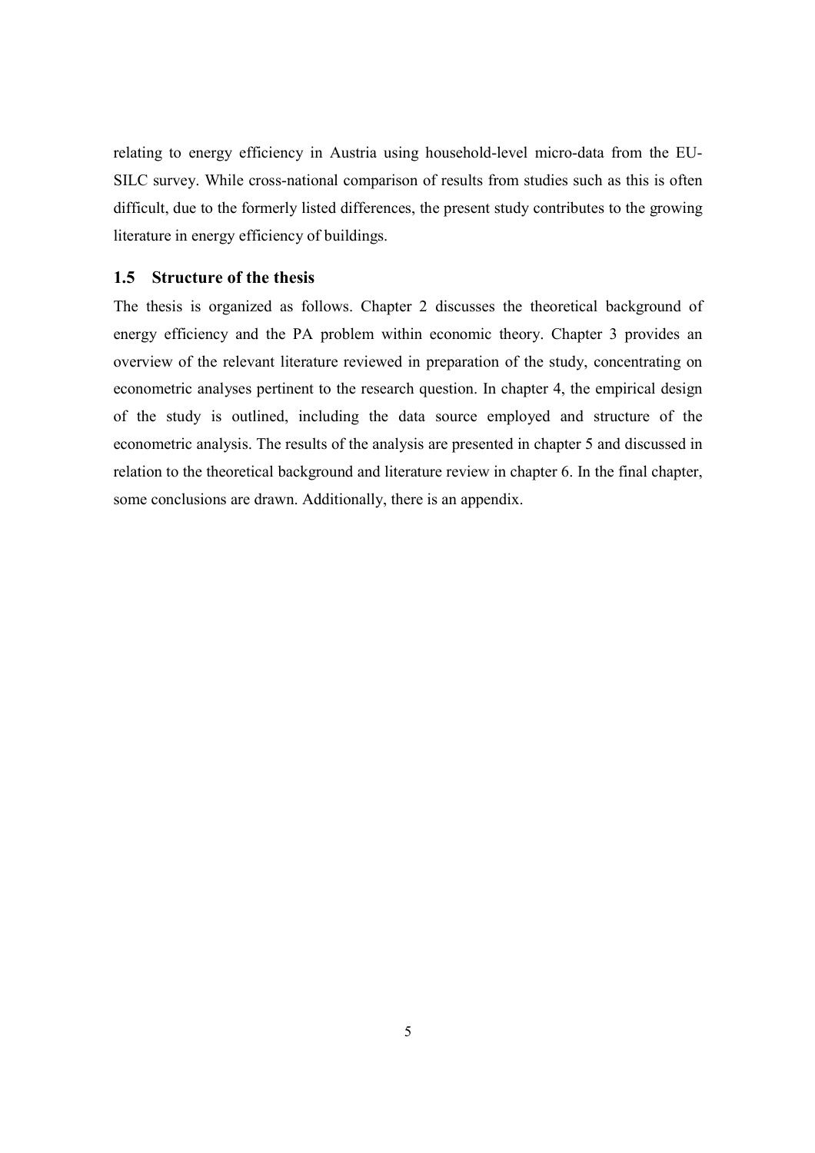relating to energy efficiency in Austria using household-level micro-data from the EU-SILC survey. While cross-national comparison of results from studies such as this is often difficult, due to the formerly listed differences, the present study contributes to the growing literature in energy efficiency of buildings.

# **1.5 Structure of the thesis**

The thesis is organized as follows. Chapter 2 discusses the theoretical background of energy efficiency and the PA problem within economic theory. Chapter 3 provides an overview of the relevant literature reviewed in preparation of the study, concentrating on econometric analyses pertinent to the research question. In chapter 4, the empirical design of the study is outlined, including the data source employed and structure of the econometric analysis. The results of the analysis are presented in chapter 5 and discussed in relation to the theoretical background and literature review in chapter 6. In the final chapter, some conclusions are drawn. Additionally, there is an appendix.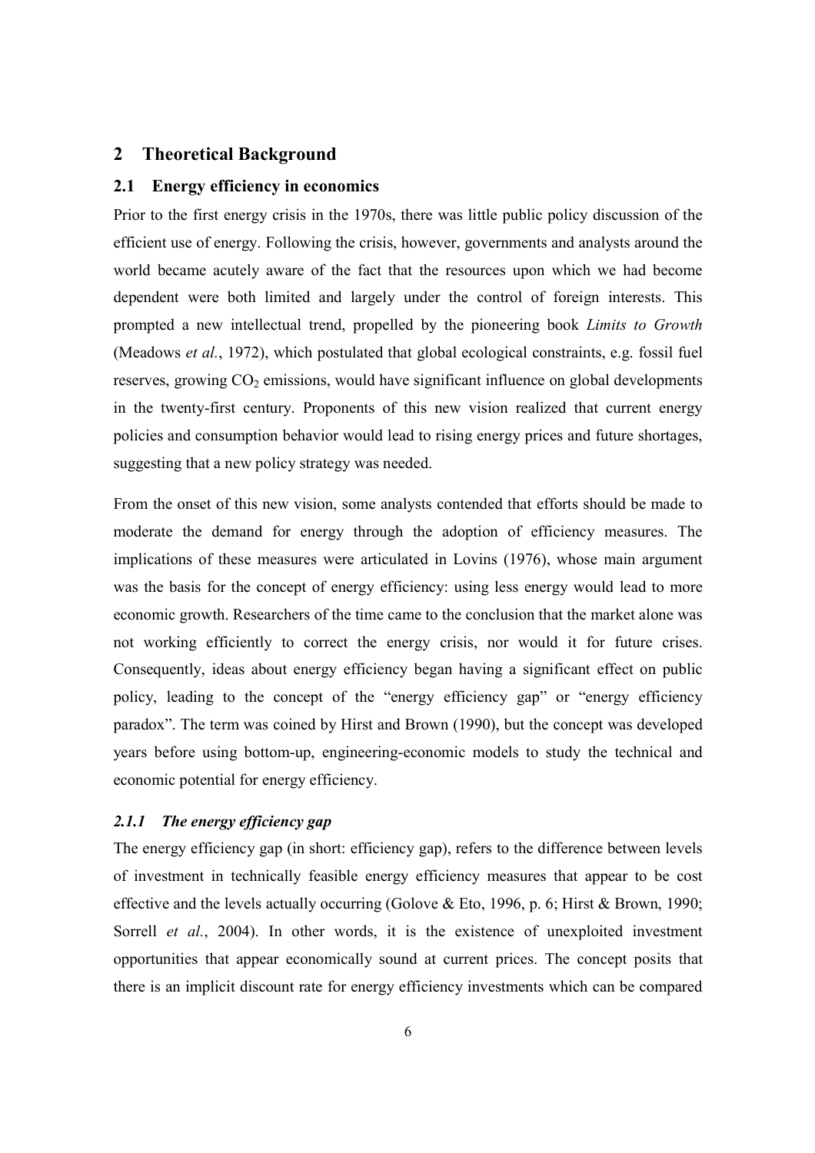# **2 Theoretical Background**

#### **2.1 Energy efficiency in economics**

Prior to the first energy crisis in the 1970s, there was little public policy discussion of the efficient use of energy. Following the crisis, however, governments and analysts around the world became acutely aware of the fact that the resources upon which we had become dependent were both limited and largely under the control of foreign interests. This prompted a new intellectual trend, propelled by the pioneering book *Limits to Growth* (Meadows *et al.*, 1972), which postulated that global ecological constraints, e.g. fossil fuel reserves, growing  $CO<sub>2</sub>$  emissions, would have significant influence on global developments in the twenty-first century. Proponents of this new vision realized that current energy policies and consumption behavior would lead to rising energy prices and future shortages, suggesting that a new policy strategy was needed.

From the onset of this new vision, some analysts contended that efforts should be made to moderate the demand for energy through the adoption of efficiency measures. The implications of these measures were articulated in Lovins (1976), whose main argument was the basis for the concept of energy efficiency: using less energy would lead to more economic growth. Researchers of the time came to the conclusion that the market alone was not working efficiently to correct the energy crisis, nor would it for future crises. Consequently, ideas about energy efficiency began having a significant effect on public policy, leading to the concept of the "energy efficiency gap" or "energy efficiency paradox". The term was coined by Hirst and Brown (1990), but the concept was developed years before using bottom-up, engineering-economic models to study the technical and economic potential for energy efficiency.

# *2.1.1 The energy efficiency gap*

The energy efficiency gap (in short: efficiency gap), refers to the difference between levels of investment in technically feasible energy efficiency measures that appear to be cost effective and the levels actually occurring (Golove & Eto, 1996, p. 6; Hirst & Brown, 1990; Sorrell *et al.*, 2004). In other words, it is the existence of unexploited investment opportunities that appear economically sound at current prices. The concept posits that there is an implicit discount rate for energy efficiency investments which can be compared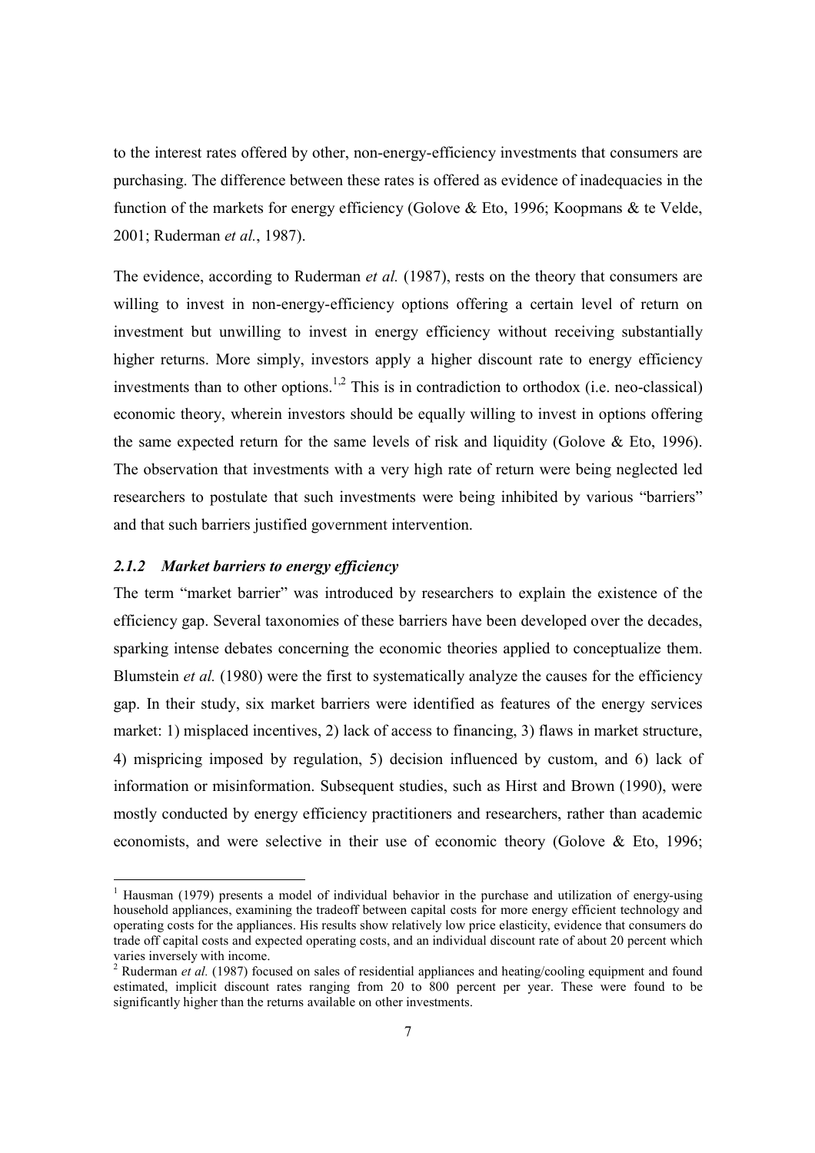to the interest rates offered by other, non-energy-efficiency investments that consumers are purchasing. The difference between these rates is offered as evidence of inadequacies in the function of the markets for energy efficiency (Golove & Eto, 1996; Koopmans & te Velde, 2001; Ruderman *et al.*, 1987).

The evidence, according to Ruderman *et al.* (1987), rests on the theory that consumers are willing to invest in non-energy-efficiency options offering a certain level of return on investment but unwilling to invest in energy efficiency without receiving substantially higher returns. More simply, investors apply a higher discount rate to energy efficiency investments than to other options.<sup>1,2</sup> This is in contradiction to orthodox (i.e. neo-classical) economic theory, wherein investors should be equally willing to invest in options offering the same expected return for the same levels of risk and liquidity (Golove  $\&$  Eto, 1996). The observation that investments with a very high rate of return were being neglected led researchers to postulate that such investments were being inhibited by various "barriers" and that such barriers justified government intervention.

#### *2.1.2 Market barriers to energy efficiency*

The term "market barrier" was introduced by researchers to explain the existence of the efficiency gap. Several taxonomies of these barriers have been developed over the decades, sparking intense debates concerning the economic theories applied to conceptualize them. Blumstein *et al.* (1980) were the first to systematically analyze the causes for the efficiency gap. In their study, six market barriers were identified as features of the energy services market: 1) misplaced incentives, 2) lack of access to financing, 3) flaws in market structure, 4) mispricing imposed by regulation, 5) decision influenced by custom, and 6) lack of information or misinformation. Subsequent studies, such as Hirst and Brown (1990), were mostly conducted by energy efficiency practitioners and researchers, rather than academic economists, and were selective in their use of economic theory (Golove & Eto, 1996;

<sup>&</sup>lt;sup>1</sup> Hausman (1979) presents a model of individual behavior in the purchase and utilization of energy-using household appliances, examining the tradeoff between capital costs for more energy efficient technology and operating costs for the appliances. His results show relatively low price elasticity, evidence that consumers do trade off capital costs and expected operating costs, and an individual discount rate of about 20 percent which varies inversely with income.

<sup>&</sup>lt;sup>2</sup> Ruderman *et al.* (1987) focused on sales of residential appliances and heating/cooling equipment and found estimated, implicit discount rates ranging from 20 to 800 percent per year. These were found to be significantly higher than the returns available on other investments.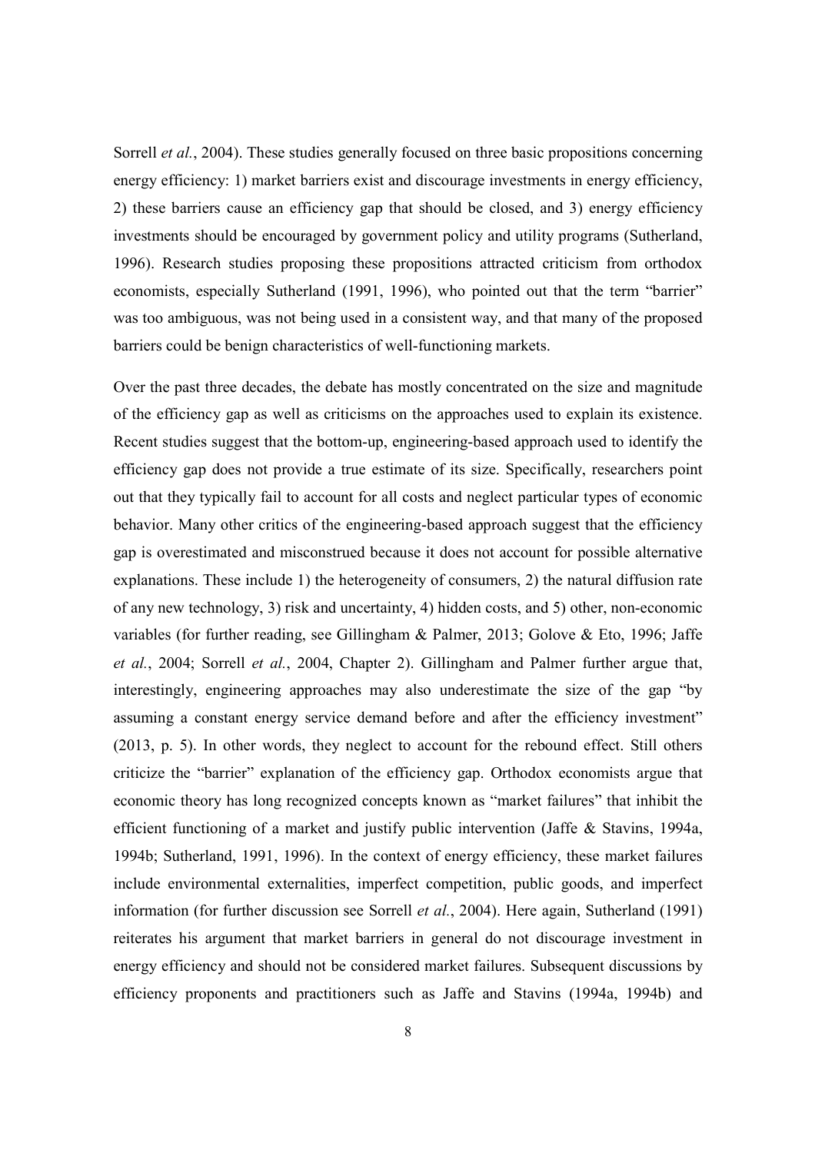Sorrell *et al.*, 2004). These studies generally focused on three basic propositions concerning energy efficiency: 1) market barriers exist and discourage investments in energy efficiency, 2) these barriers cause an efficiency gap that should be closed, and 3) energy efficiency investments should be encouraged by government policy and utility programs (Sutherland, 1996). Research studies proposing these propositions attracted criticism from orthodox economists, especially Sutherland (1991, 1996), who pointed out that the term "barrier" was too ambiguous, was not being used in a consistent way, and that many of the proposed barriers could be benign characteristics of well-functioning markets.

Over the past three decades, the debate has mostly concentrated on the size and magnitude of the efficiency gap as well as criticisms on the approaches used to explain its existence. Recent studies suggest that the bottom-up, engineering-based approach used to identify the efficiency gap does not provide a true estimate of its size. Specifically, researchers point out that they typically fail to account for all costs and neglect particular types of economic behavior. Many other critics of the engineering-based approach suggest that the efficiency gap is overestimated and misconstrued because it does not account for possible alternative explanations. These include 1) the heterogeneity of consumers, 2) the natural diffusion rate of any new technology, 3) risk and uncertainty, 4) hidden costs, and 5) other, non-economic variables (for further reading, see Gillingham & Palmer, 2013; Golove & Eto, 1996; Jaffe *et al.*, 2004; Sorrell *et al.*, 2004, Chapter 2). Gillingham and Palmer further argue that, interestingly, engineering approaches may also underestimate the size of the gap "by assuming a constant energy service demand before and after the efficiency investment" (2013, p. 5). In other words, they neglect to account for the rebound effect. Still others criticize the "barrier" explanation of the efficiency gap. Orthodox economists argue that economic theory has long recognized concepts known as "market failures" that inhibit the efficient functioning of a market and justify public intervention (Jaffe & Stavins, 1994a, 1994b; Sutherland, 1991, 1996). In the context of energy efficiency, these market failures include environmental externalities, imperfect competition, public goods, and imperfect information (for further discussion see Sorrell *et al.*, 2004). Here again, Sutherland (1991) reiterates his argument that market barriers in general do not discourage investment in energy efficiency and should not be considered market failures. Subsequent discussions by efficiency proponents and practitioners such as Jaffe and Stavins (1994a, 1994b) and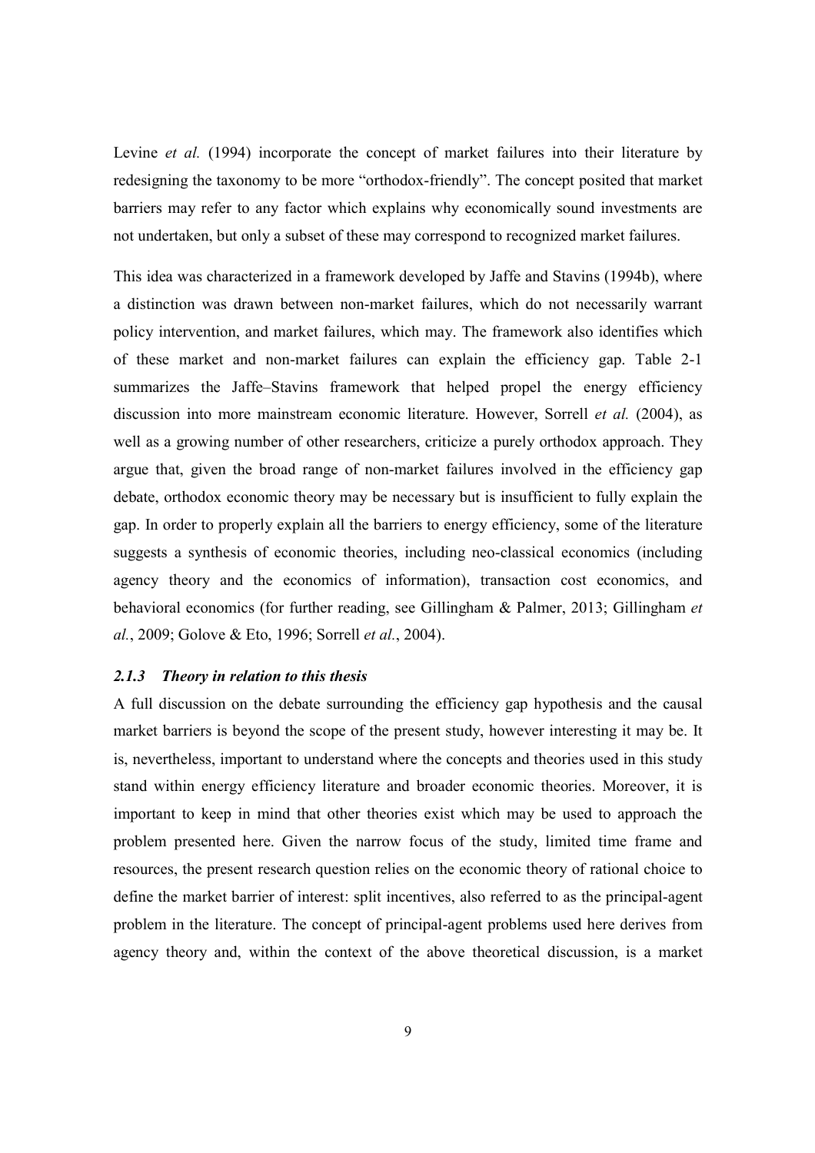Levine *et al.* (1994) incorporate the concept of market failures into their literature by redesigning the taxonomy to be more "orthodox-friendly". The concept posited that market barriers may refer to any factor which explains why economically sound investments are not undertaken, but only a subset of these may correspond to recognized market failures.

This idea was characterized in a framework developed by Jaffe and Stavins (1994b), where a distinction was drawn between non-market failures, which do not necessarily warrant policy intervention, and market failures, which may. The framework also identifies which of these market and non-market failures can explain the efficiency gap. Table 2-1 summarizes the Jaffe–Stavins framework that helped propel the energy efficiency discussion into more mainstream economic literature. However, Sorrell *et al.* (2004), as well as a growing number of other researchers, criticize a purely orthodox approach. They argue that, given the broad range of non-market failures involved in the efficiency gap debate, orthodox economic theory may be necessary but is insufficient to fully explain the gap. In order to properly explain all the barriers to energy efficiency, some of the literature suggests a synthesis of economic theories, including neo-classical economics (including agency theory and the economics of information), transaction cost economics, and behavioral economics (for further reading, see Gillingham & Palmer, 2013; Gillingham *et al.*, 2009; Golove & Eto, 1996; Sorrell *et al.*, 2004).

#### *2.1.3 Theory in relation to this thesis*

A full discussion on the debate surrounding the efficiency gap hypothesis and the causal market barriers is beyond the scope of the present study, however interesting it may be. It is, nevertheless, important to understand where the concepts and theories used in this study stand within energy efficiency literature and broader economic theories. Moreover, it is important to keep in mind that other theories exist which may be used to approach the problem presented here. Given the narrow focus of the study, limited time frame and resources, the present research question relies on the economic theory of rational choice to define the market barrier of interest: split incentives, also referred to as the principal-agent problem in the literature. The concept of principal-agent problems used here derives from agency theory and, within the context of the above theoretical discussion, is a market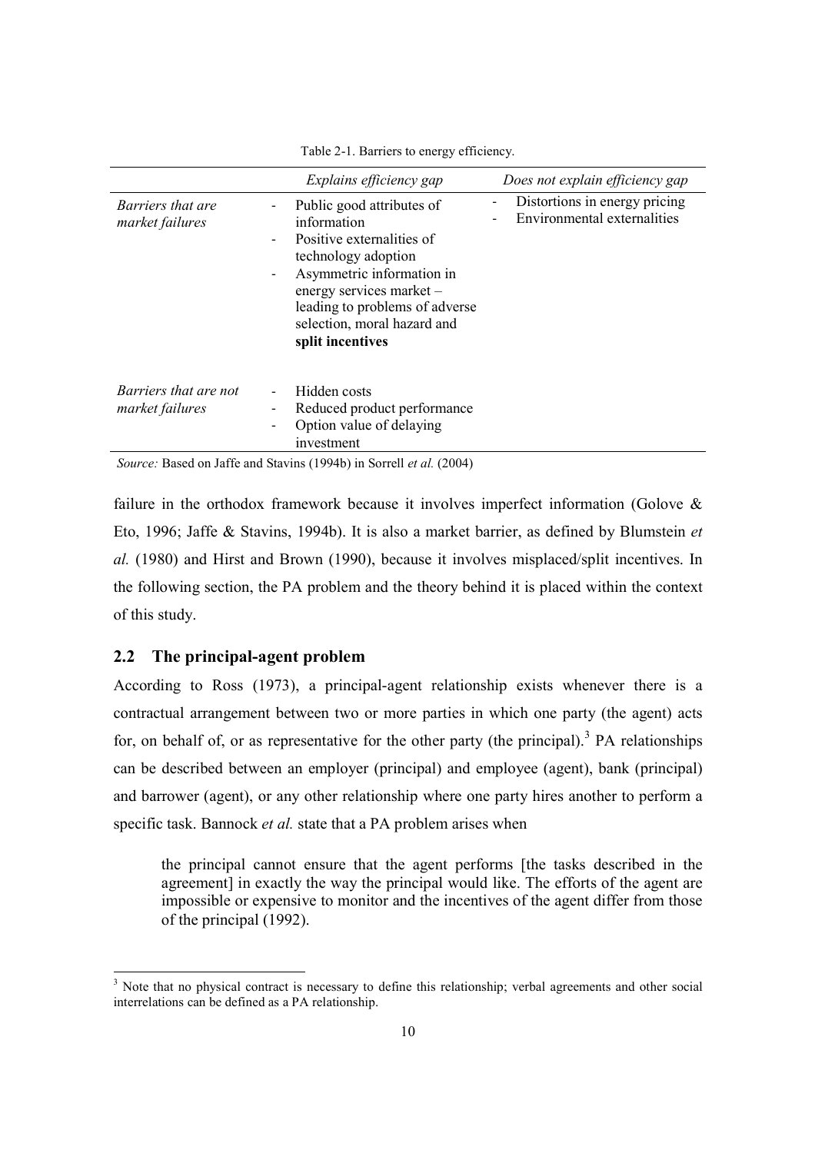|                                             | Explains efficiency gap                                                                                                                                                                                                                                                    | Does not explain efficiency gap                                                          |
|---------------------------------------------|----------------------------------------------------------------------------------------------------------------------------------------------------------------------------------------------------------------------------------------------------------------------------|------------------------------------------------------------------------------------------|
| <i>Barriers that are</i><br>market failures | Public good attributes of<br>information<br>Positive externalities of<br>technology adoption<br>Asymmetric information in<br>$\qquad \qquad \blacksquare$<br>energy services market -<br>leading to problems of adverse<br>selection, moral hazard and<br>split incentives | Distortions in energy pricing<br>$\overline{\phantom{a}}$<br>Environmental externalities |
| Barriers that are not<br>market failures    | Hidden costs<br>Reduced product performance<br>Option value of delaying<br>$\qquad \qquad \blacksquare$<br>investment                                                                                                                                                      |                                                                                          |

Table 2-1. Barriers to energy efficiency.

*Source:* Based on Jaffe and Stavins (1994b) in Sorrell *et al.* (2004)

failure in the orthodox framework because it involves imperfect information (Golove & Eto, 1996; Jaffe & Stavins, 1994b). It is also a market barrier, as defined by Blumstein *et al.* (1980) and Hirst and Brown (1990), because it involves misplaced/split incentives. In the following section, the PA problem and the theory behind it is placed within the context of this study.

#### **2.2 The principal-agent problem**

According to Ross (1973), a principal-agent relationship exists whenever there is a contractual arrangement between two or more parties in which one party (the agent) acts for, on behalf of, or as representative for the other party (the principal).<sup>3</sup> PA relationships can be described between an employer (principal) and employee (agent), bank (principal) and barrower (agent), or any other relationship where one party hires another to perform a specific task. Bannock *et al.* state that a PA problem arises when

the principal cannot ensure that the agent performs [the tasks described in the agreement] in exactly the way the principal would like. The efforts of the agent are impossible or expensive to monitor and the incentives of the agent differ from those of the principal (1992).

<sup>&</sup>lt;sup>3</sup> Note that no physical contract is necessary to define this relationship; verbal agreements and other social interrelations can be defined as a PA relationship.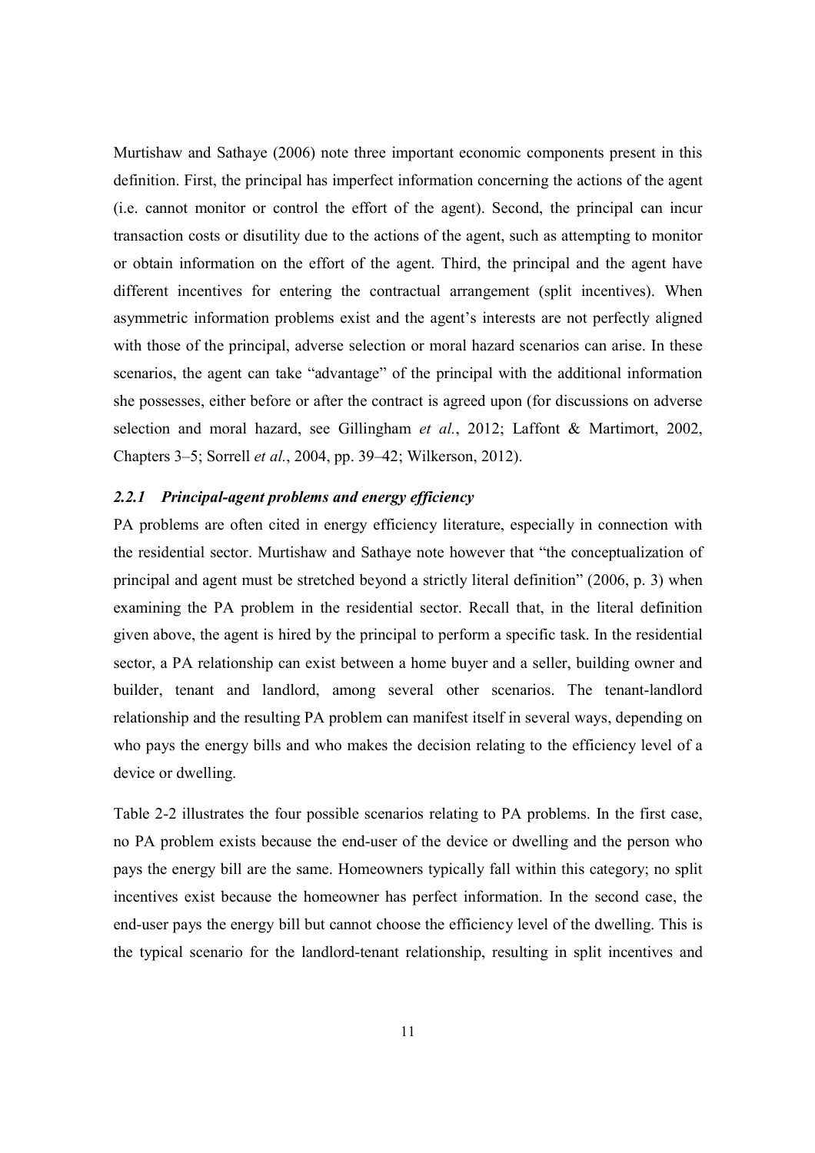Murtishaw and Sathaye (2006) note three important economic components present in this definition. First, the principal has imperfect information concerning the actions of the agent (i.e. cannot monitor or control the effort of the agent). Second, the principal can incur transaction costs or disutility due to the actions of the agent, such as attempting to monitor or obtain information on the effort of the agent. Third, the principal and the agent have different incentives for entering the contractual arrangement (split incentives). When asymmetric information problems exist and the agent's interests are not perfectly aligned with those of the principal, adverse selection or moral hazard scenarios can arise. In these scenarios, the agent can take "advantage" of the principal with the additional information she possesses, either before or after the contract is agreed upon (for discussions on adverse selection and moral hazard, see Gillingham *et al.*, 2012; Laffont & Martimort, 2002, Chapters 3–5; Sorrell *et al.*, 2004, pp. 39–42; Wilkerson, 2012).

#### *2.2.1 Principal-agent problems and energy efficiency*

PA problems are often cited in energy efficiency literature, especially in connection with the residential sector. Murtishaw and Sathaye note however that "the conceptualization of principal and agent must be stretched beyond a strictly literal definition" (2006, p. 3) when examining the PA problem in the residential sector. Recall that, in the literal definition given above, the agent is hired by the principal to perform a specific task. In the residential sector, a PA relationship can exist between a home buyer and a seller, building owner and builder, tenant and landlord, among several other scenarios. The tenant-landlord relationship and the resulting PA problem can manifest itself in several ways, depending on who pays the energy bills and who makes the decision relating to the efficiency level of a device or dwelling.

Table 2-2 illustrates the four possible scenarios relating to PA problems. In the first case, no PA problem exists because the end-user of the device or dwelling and the person who pays the energy bill are the same. Homeowners typically fall within this category; no split incentives exist because the homeowner has perfect information. In the second case, the end-user pays the energy bill but cannot choose the efficiency level of the dwelling. This is the typical scenario for the landlord-tenant relationship, resulting in split incentives and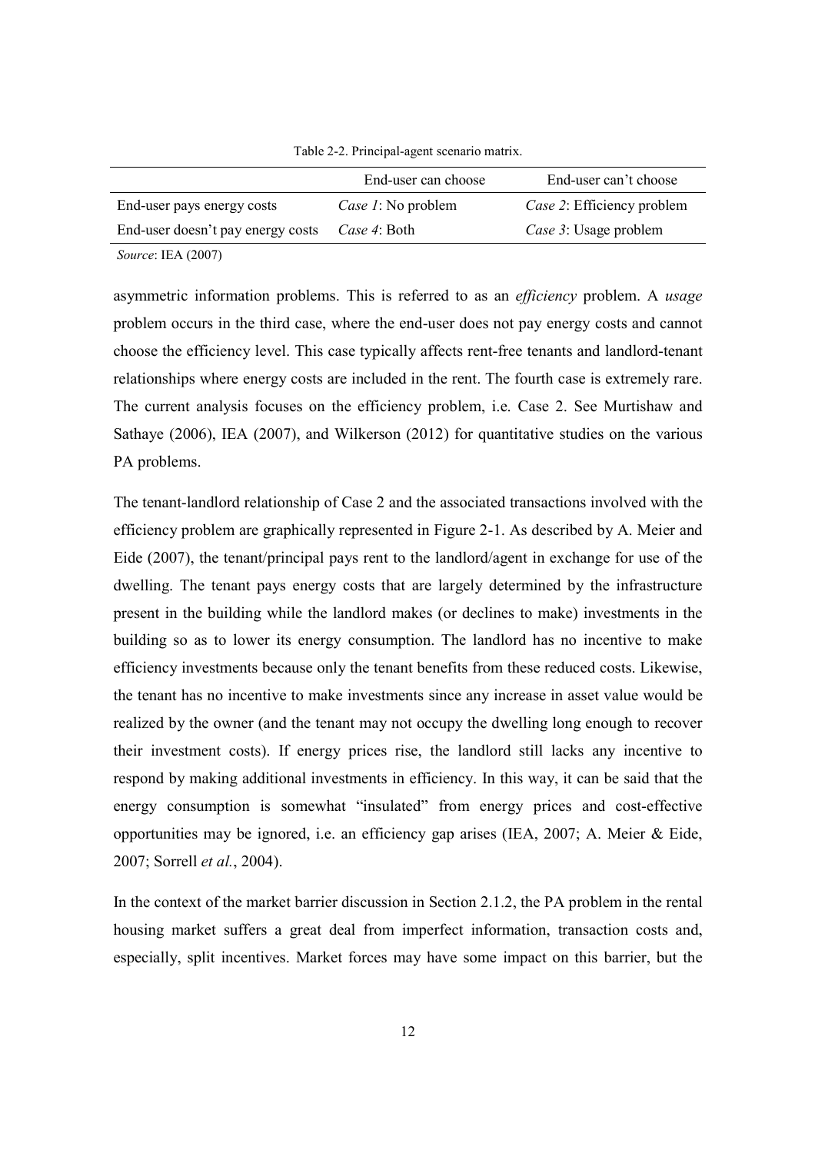| Table 2-2. Principal-agent scenario matrix. |
|---------------------------------------------|
|                                             |

| End-user can choose | End-user can't choose      |
|---------------------|----------------------------|
| Case 1: No problem  | Case 2: Efficiency problem |
| Case 4: Both        | Case 3: Usage problem      |
|                     |                            |

*Source*: IEA (2007)

asymmetric information problems. This is referred to as an *efficiency* problem. A *usage* problem occurs in the third case, where the end-user does not pay energy costs and cannot choose the efficiency level. This case typically affects rent-free tenants and landlord-tenant relationships where energy costs are included in the rent. The fourth case is extremely rare. The current analysis focuses on the efficiency problem, i.e. Case 2. See Murtishaw and Sathaye (2006), IEA (2007), and Wilkerson (2012) for quantitative studies on the various PA problems.

The tenant-landlord relationship of Case 2 and the associated transactions involved with the efficiency problem are graphically represented in Figure 2-1. As described by A. Meier and Eide (2007), the tenant/principal pays rent to the landlord/agent in exchange for use of the dwelling. The tenant pays energy costs that are largely determined by the infrastructure present in the building while the landlord makes (or declines to make) investments in the building so as to lower its energy consumption. The landlord has no incentive to make efficiency investments because only the tenant benefits from these reduced costs. Likewise, the tenant has no incentive to make investments since any increase in asset value would be realized by the owner (and the tenant may not occupy the dwelling long enough to recover their investment costs). If energy prices rise, the landlord still lacks any incentive to respond by making additional investments in efficiency. In this way, it can be said that the energy consumption is somewhat "insulated" from energy prices and cost-effective opportunities may be ignored, i.e. an efficiency gap arises (IEA, 2007; A. Meier & Eide, 2007; Sorrell *et al.*, 2004).

In the context of the market barrier discussion in Section 2.1.2, the PA problem in the rental housing market suffers a great deal from imperfect information, transaction costs and, especially, split incentives. Market forces may have some impact on this barrier, but the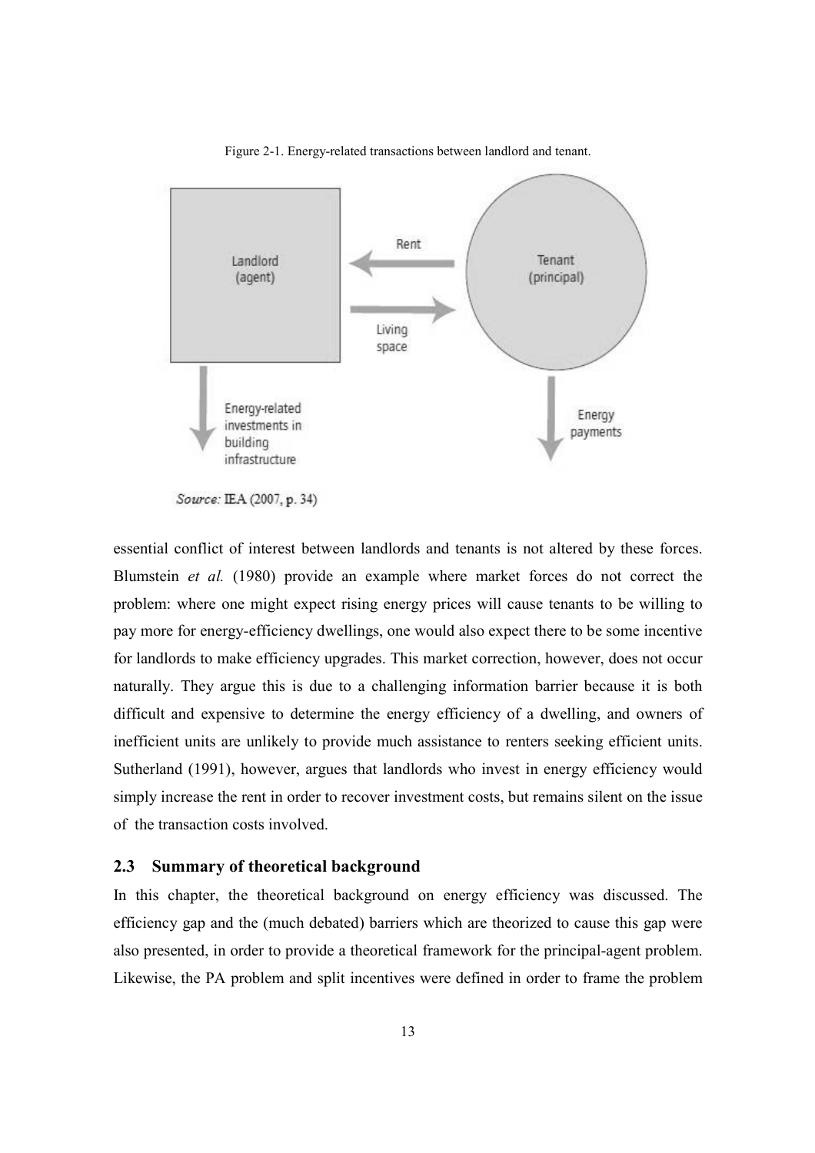

Figure 2-1. Energy-related transactions between landlord and tenant.

essential conflict of interest between landlords and tenants is not altered by these forces. Blumstein *et al.* (1980) provide an example where market forces do not correct the problem: where one might expect rising energy prices will cause tenants to be willing to pay more for energy-efficiency dwellings, one would also expect there to be some incentive for landlords to make efficiency upgrades. This market correction, however, does not occur naturally. They argue this is due to a challenging information barrier because it is both difficult and expensive to determine the energy efficiency of a dwelling, and owners of inefficient units are unlikely to provide much assistance to renters seeking efficient units. Sutherland (1991), however, argues that landlords who invest in energy efficiency would simply increase the rent in order to recover investment costs, but remains silent on the issue of the transaction costs involved.

# **2.3 Summary of theoretical background**

In this chapter, the theoretical background on energy efficiency was discussed. The efficiency gap and the (much debated) barriers which are theorized to cause this gap were also presented, in order to provide a theoretical framework for the principal-agent problem. Likewise, the PA problem and split incentives were defined in order to frame the problem

Source: IEA (2007, p. 34)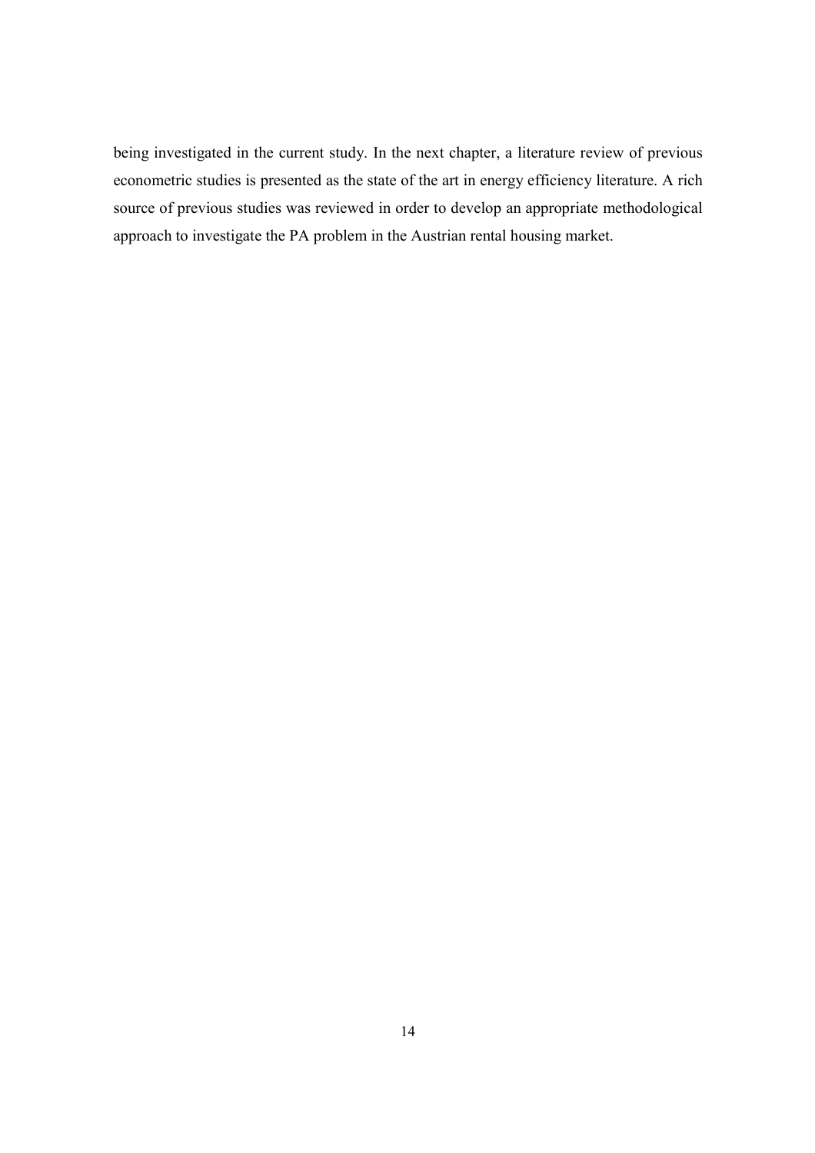being investigated in the current study. In the next chapter, a literature review of previous econometric studies is presented as the state of the art in energy efficiency literature. A rich source of previous studies was reviewed in order to develop an appropriate methodological approach to investigate the PA problem in the Austrian rental housing market.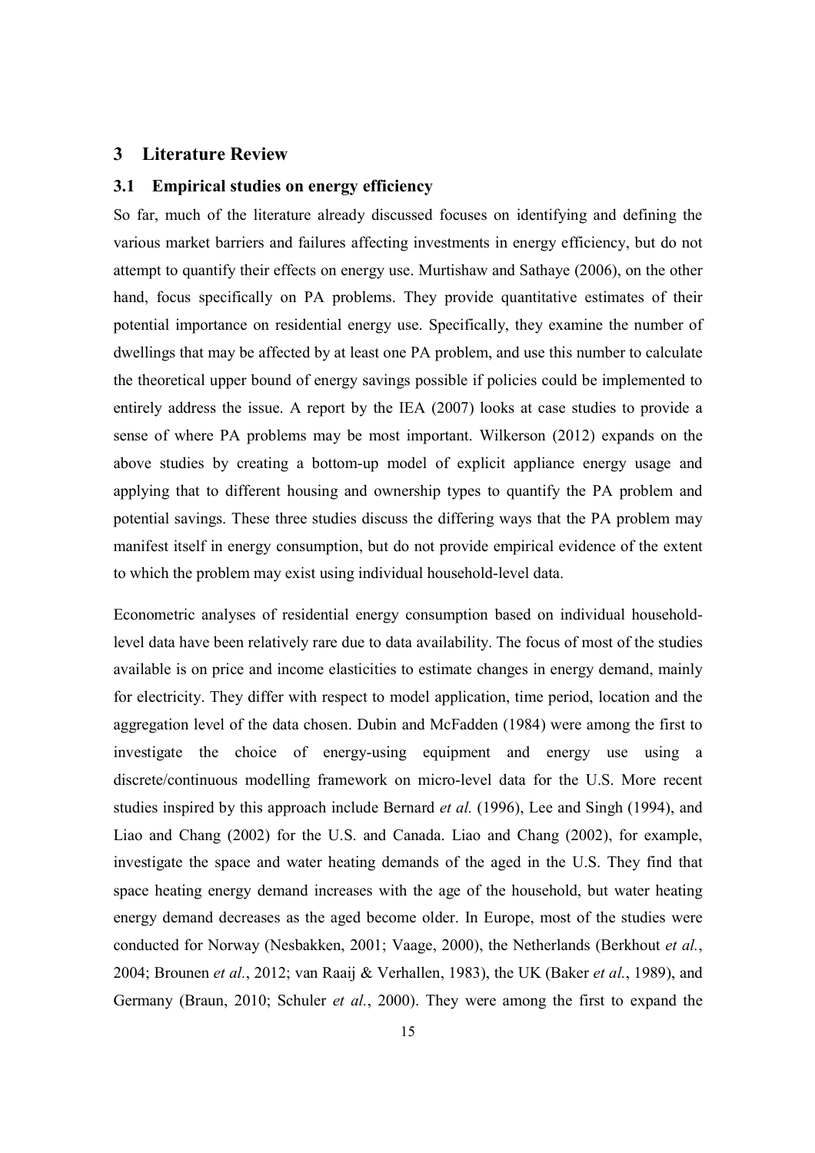# **3 Literature Review**

### **3.1 Empirical studies on energy efficiency**

So far, much of the literature already discussed focuses on identifying and defining the various market barriers and failures affecting investments in energy efficiency, but do not attempt to quantify their effects on energy use. Murtishaw and Sathaye (2006), on the other hand, focus specifically on PA problems. They provide quantitative estimates of their potential importance on residential energy use. Specifically, they examine the number of dwellings that may be affected by at least one PA problem, and use this number to calculate the theoretical upper bound of energy savings possible if policies could be implemented to entirely address the issue. A report by the IEA (2007) looks at case studies to provide a sense of where PA problems may be most important. Wilkerson (2012) expands on the above studies by creating a bottom-up model of explicit appliance energy usage and applying that to different housing and ownership types to quantify the PA problem and potential savings. These three studies discuss the differing ways that the PA problem may manifest itself in energy consumption, but do not provide empirical evidence of the extent to which the problem may exist using individual household-level data.

Econometric analyses of residential energy consumption based on individual householdlevel data have been relatively rare due to data availability. The focus of most of the studies available is on price and income elasticities to estimate changes in energy demand, mainly for electricity. They differ with respect to model application, time period, location and the aggregation level of the data chosen. Dubin and McFadden (1984) were among the first to investigate the choice of energy-using equipment and energy use using a discrete/continuous modelling framework on micro-level data for the U.S. More recent studies inspired by this approach include Bernard *et al.* (1996), Lee and Singh (1994), and Liao and Chang (2002) for the U.S. and Canada. Liao and Chang (2002), for example, investigate the space and water heating demands of the aged in the U.S. They find that space heating energy demand increases with the age of the household, but water heating energy demand decreases as the aged become older. In Europe, most of the studies were conducted for Norway (Nesbakken, 2001; Vaage, 2000), the Netherlands (Berkhout *et al.*, 2004; Brounen *et al.*, 2012; van Raaij & Verhallen, 1983), the UK (Baker *et al.*, 1989), and Germany (Braun, 2010; Schuler *et al.*, 2000). They were among the first to expand the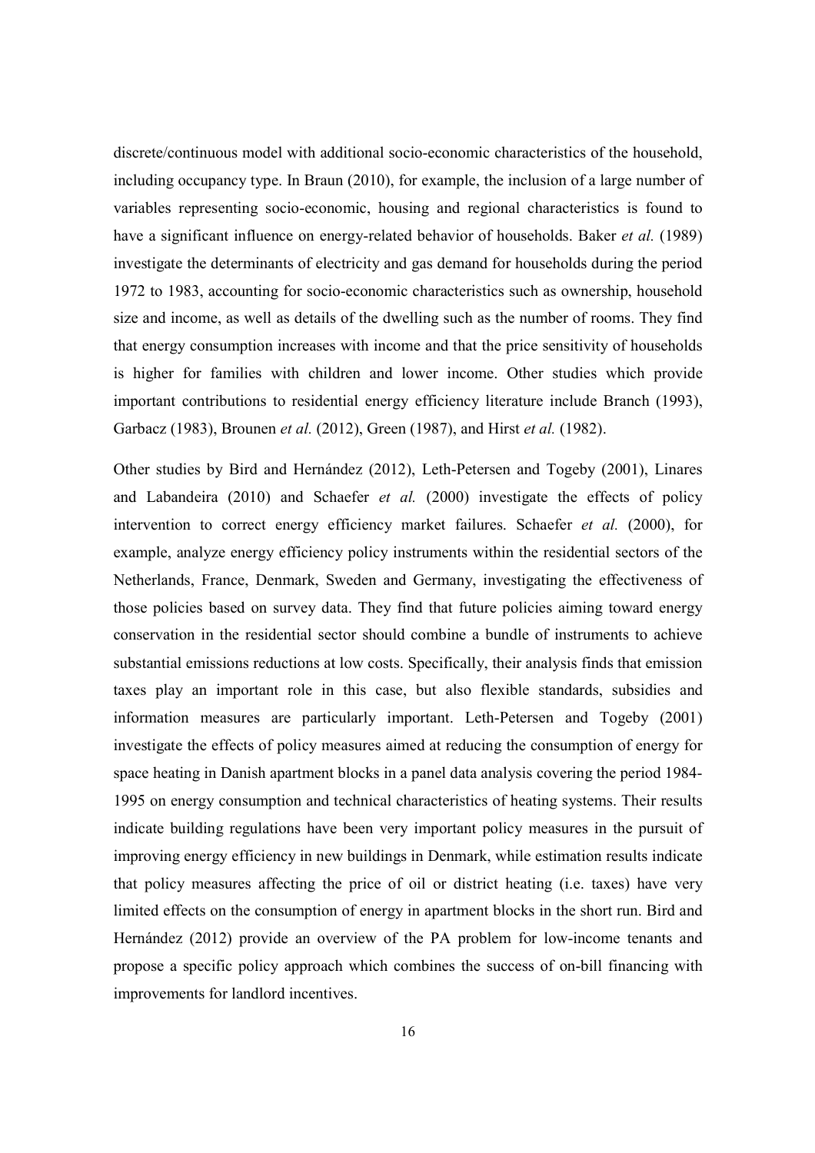discrete/continuous model with additional socio-economic characteristics of the household, including occupancy type. In Braun (2010), for example, the inclusion of a large number of variables representing socio-economic, housing and regional characteristics is found to have a significant influence on energy-related behavior of households. Baker *et al.* (1989) investigate the determinants of electricity and gas demand for households during the period 1972 to 1983, accounting for socio-economic characteristics such as ownership, household size and income, as well as details of the dwelling such as the number of rooms. They find that energy consumption increases with income and that the price sensitivity of households is higher for families with children and lower income. Other studies which provide important contributions to residential energy efficiency literature include Branch (1993), Garbacz (1983), Brounen *et al.* (2012), Green (1987), and Hirst *et al.* (1982).

Other studies by Bird and Hernández (2012), Leth-Petersen and Togeby (2001), Linares and Labandeira (2010) and Schaefer *et al.* (2000) investigate the effects of policy intervention to correct energy efficiency market failures. Schaefer *et al.* (2000), for example, analyze energy efficiency policy instruments within the residential sectors of the Netherlands, France, Denmark, Sweden and Germany, investigating the effectiveness of those policies based on survey data. They find that future policies aiming toward energy conservation in the residential sector should combine a bundle of instruments to achieve substantial emissions reductions at low costs. Specifically, their analysis finds that emission taxes play an important role in this case, but also flexible standards, subsidies and information measures are particularly important. Leth-Petersen and Togeby (2001) investigate the effects of policy measures aimed at reducing the consumption of energy for space heating in Danish apartment blocks in a panel data analysis covering the period 1984- 1995 on energy consumption and technical characteristics of heating systems. Their results indicate building regulations have been very important policy measures in the pursuit of improving energy efficiency in new buildings in Denmark, while estimation results indicate that policy measures affecting the price of oil or district heating (i.e. taxes) have very limited effects on the consumption of energy in apartment blocks in the short run. Bird and Hernández (2012) provide an overview of the PA problem for low-income tenants and propose a specific policy approach which combines the success of on-bill financing with improvements for landlord incentives.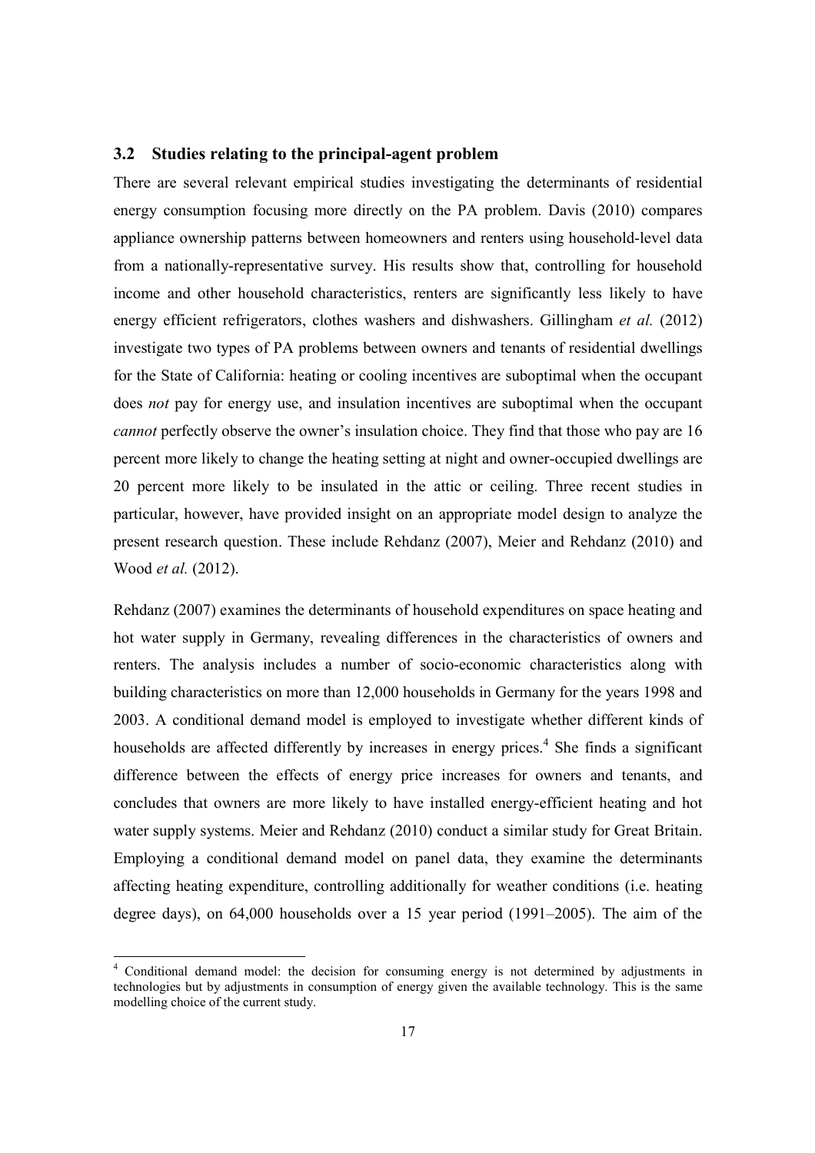#### **3.2 Studies relating to the principal-agent problem**

There are several relevant empirical studies investigating the determinants of residential energy consumption focusing more directly on the PA problem. Davis (2010) compares appliance ownership patterns between homeowners and renters using household-level data from a nationally-representative survey. His results show that, controlling for household income and other household characteristics, renters are significantly less likely to have energy efficient refrigerators, clothes washers and dishwashers. Gillingham *et al.* (2012) investigate two types of PA problems between owners and tenants of residential dwellings for the State of California: heating or cooling incentives are suboptimal when the occupant does *not* pay for energy use, and insulation incentives are suboptimal when the occupant *cannot* perfectly observe the owner's insulation choice. They find that those who pay are 16 percent more likely to change the heating setting at night and owner-occupied dwellings are 20 percent more likely to be insulated in the attic or ceiling. Three recent studies in particular, however, have provided insight on an appropriate model design to analyze the present research question. These include Rehdanz (2007), Meier and Rehdanz (2010) and Wood *et al.* (2012).

Rehdanz (2007) examines the determinants of household expenditures on space heating and hot water supply in Germany, revealing differences in the characteristics of owners and renters. The analysis includes a number of socio-economic characteristics along with building characteristics on more than 12,000 households in Germany for the years 1998 and 2003. A conditional demand model is employed to investigate whether different kinds of households are affected differently by increases in energy prices.<sup>4</sup> She finds a significant difference between the effects of energy price increases for owners and tenants, and concludes that owners are more likely to have installed energy-efficient heating and hot water supply systems. Meier and Rehdanz (2010) conduct a similar study for Great Britain. Employing a conditional demand model on panel data, they examine the determinants affecting heating expenditure, controlling additionally for weather conditions (i.e. heating degree days), on 64,000 households over a 15 year period (1991–2005). The aim of the

<sup>&</sup>lt;sup>4</sup> Conditional demand model: the decision for consuming energy is not determined by adjustments in technologies but by adjustments in consumption of energy given the available technology. This is the same modelling choice of the current study.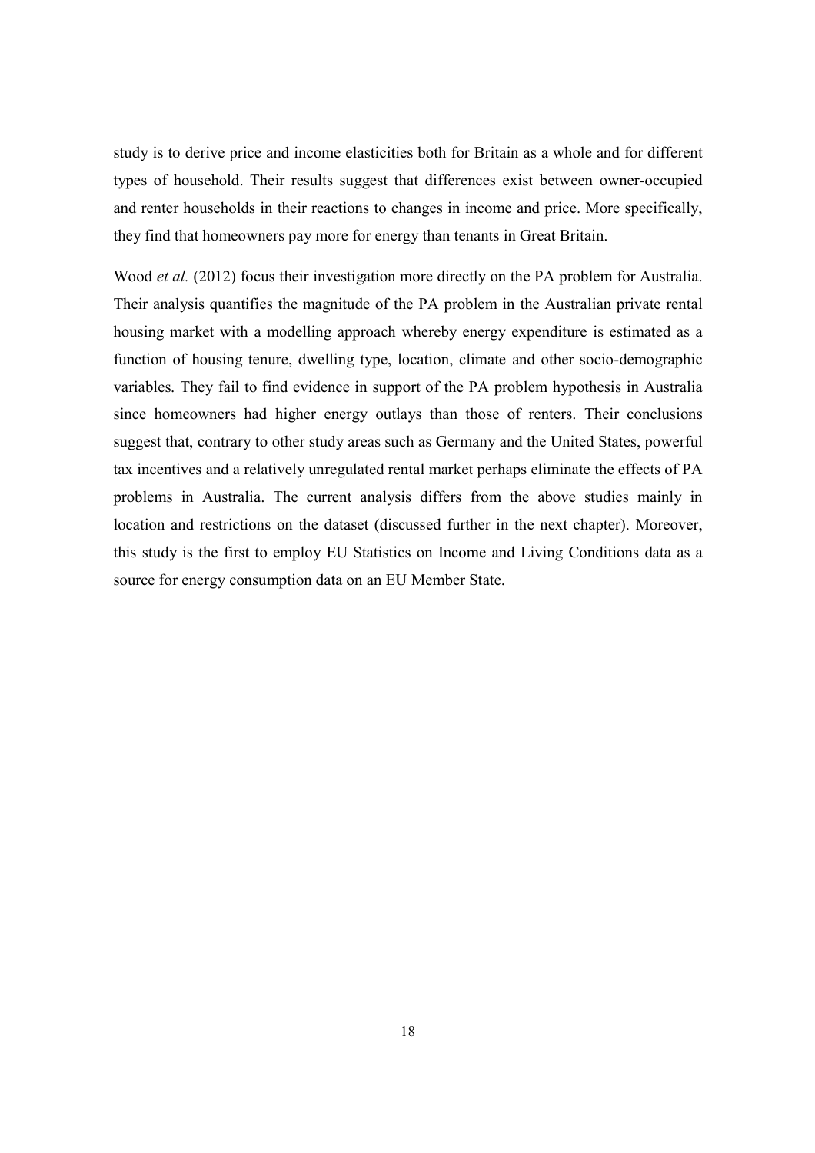study is to derive price and income elasticities both for Britain as a whole and for different types of household. Their results suggest that differences exist between owner-occupied and renter households in their reactions to changes in income and price. More specifically, they find that homeowners pay more for energy than tenants in Great Britain.

Wood *et al.* (2012) focus their investigation more directly on the PA problem for Australia. Their analysis quantifies the magnitude of the PA problem in the Australian private rental housing market with a modelling approach whereby energy expenditure is estimated as a function of housing tenure, dwelling type, location, climate and other socio-demographic variables. They fail to find evidence in support of the PA problem hypothesis in Australia since homeowners had higher energy outlays than those of renters. Their conclusions suggest that, contrary to other study areas such as Germany and the United States, powerful tax incentives and a relatively unregulated rental market perhaps eliminate the effects of PA problems in Australia. The current analysis differs from the above studies mainly in location and restrictions on the dataset (discussed further in the next chapter). Moreover, this study is the first to employ EU Statistics on Income and Living Conditions data as a source for energy consumption data on an EU Member State.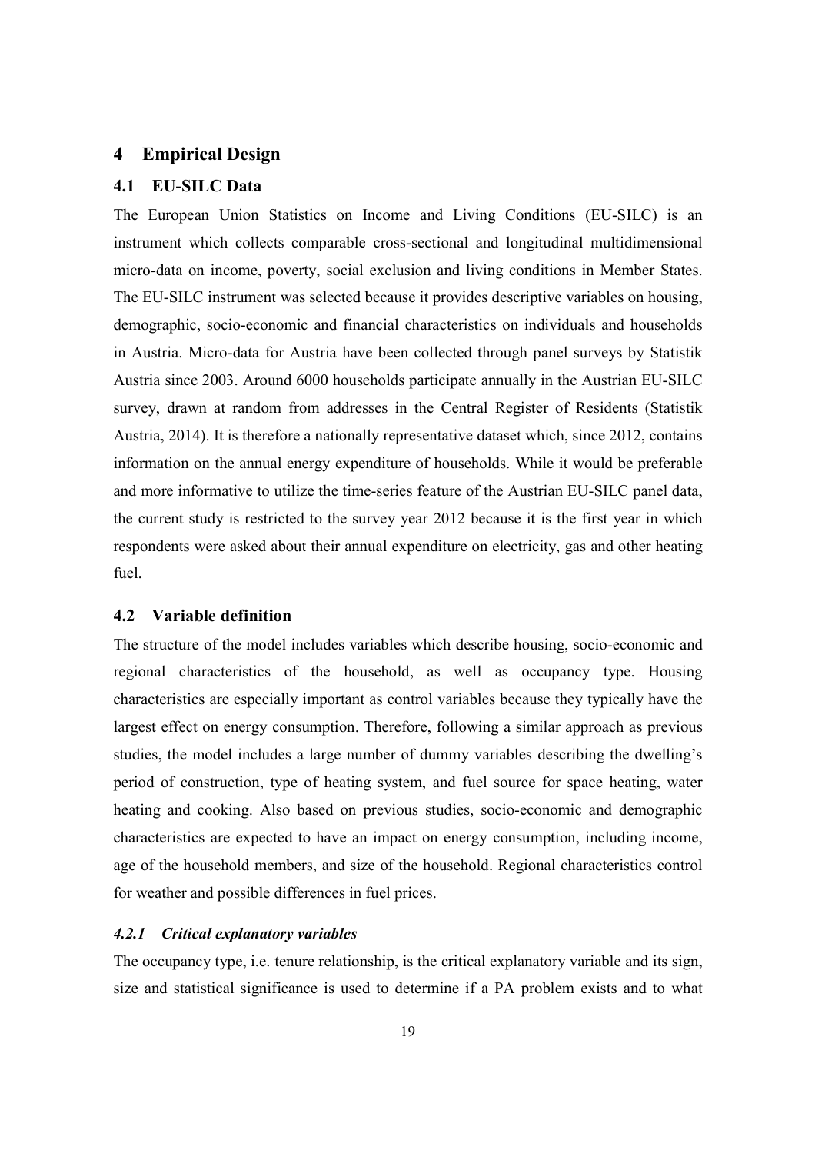#### **4 Empirical Design**

#### **4.1 EU-SILC Data**

The European Union Statistics on Income and Living Conditions (EU-SILC) is an instrument which collects comparable cross-sectional and longitudinal multidimensional micro-data on income, poverty, social exclusion and living conditions in Member States. The EU-SILC instrument was selected because it provides descriptive variables on housing, demographic, socio-economic and financial characteristics on individuals and households in Austria. Micro-data for Austria have been collected through panel surveys by Statistik Austria since 2003. Around 6000 households participate annually in the Austrian EU-SILC survey, drawn at random from addresses in the Central Register of Residents (Statistik Austria, 2014). It is therefore a nationally representative dataset which, since 2012, contains information on the annual energy expenditure of households. While it would be preferable and more informative to utilize the time-series feature of the Austrian EU-SILC panel data, the current study is restricted to the survey year 2012 because it is the first year in which respondents were asked about their annual expenditure on electricity, gas and other heating fuel.

# **4.2 Variable definition**

The structure of the model includes variables which describe housing, socio-economic and regional characteristics of the household, as well as occupancy type. Housing characteristics are especially important as control variables because they typically have the largest effect on energy consumption. Therefore, following a similar approach as previous studies, the model includes a large number of dummy variables describing the dwelling's period of construction, type of heating system, and fuel source for space heating, water heating and cooking. Also based on previous studies, socio-economic and demographic characteristics are expected to have an impact on energy consumption, including income, age of the household members, and size of the household. Regional characteristics control for weather and possible differences in fuel prices.

#### *4.2.1 Critical explanatory variables*

The occupancy type, i.e. tenure relationship, is the critical explanatory variable and its sign, size and statistical significance is used to determine if a PA problem exists and to what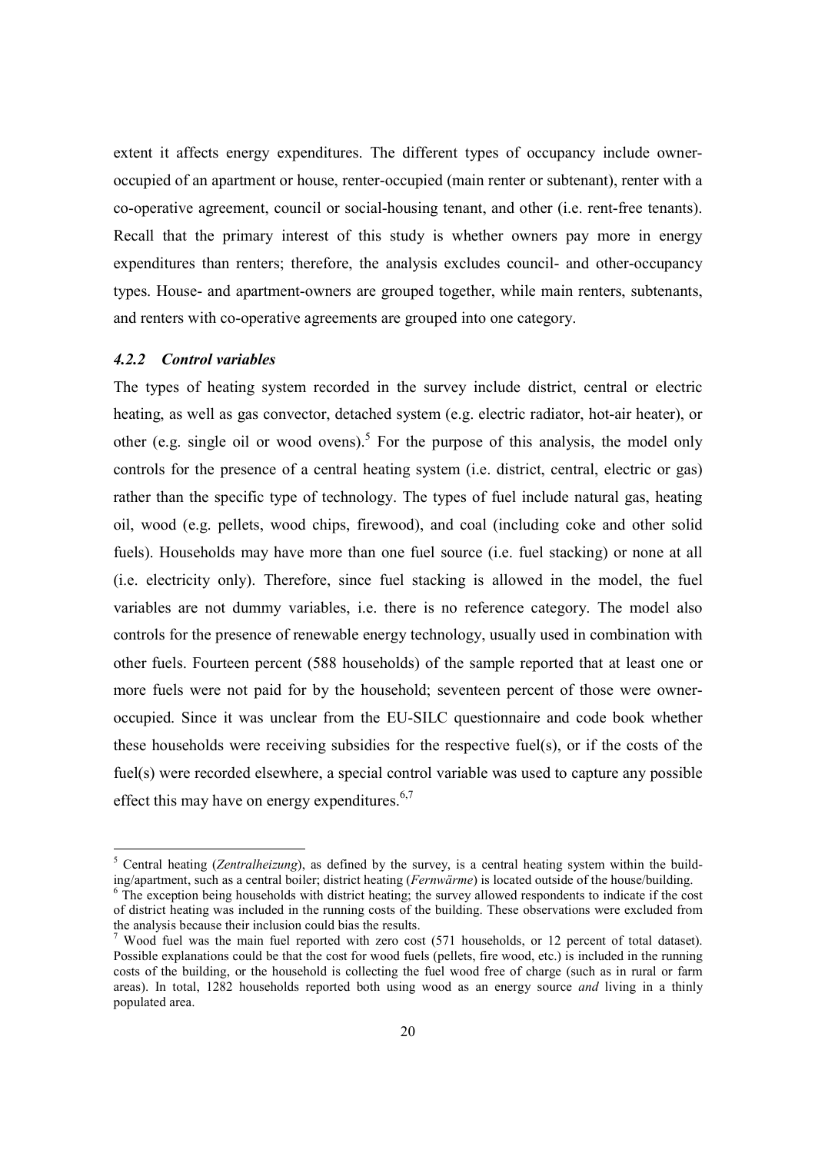extent it affects energy expenditures. The different types of occupancy include owneroccupied of an apartment or house, renter-occupied (main renter or subtenant), renter with a co-operative agreement, council or social-housing tenant, and other (i.e. rent-free tenants). Recall that the primary interest of this study is whether owners pay more in energy expenditures than renters; therefore, the analysis excludes council- and other-occupancy types. House- and apartment-owners are grouped together, while main renters, subtenants, and renters with co-operative agreements are grouped into one category.

# *4.2.2 Control variables*

The types of heating system recorded in the survey include district, central or electric heating, as well as gas convector, detached system (e.g. electric radiator, hot-air heater), or other (e.g. single oil or wood ovens).<sup>5</sup> For the purpose of this analysis, the model only controls for the presence of a central heating system (i.e. district, central, electric or gas) rather than the specific type of technology. The types of fuel include natural gas, heating oil, wood (e.g. pellets, wood chips, firewood), and coal (including coke and other solid fuels). Households may have more than one fuel source (i.e. fuel stacking) or none at all (i.e. electricity only). Therefore, since fuel stacking is allowed in the model, the fuel variables are not dummy variables, i.e. there is no reference category. The model also controls for the presence of renewable energy technology, usually used in combination with other fuels. Fourteen percent (588 households) of the sample reported that at least one or more fuels were not paid for by the household; seventeen percent of those were owneroccupied. Since it was unclear from the EU-SILC questionnaire and code book whether these households were receiving subsidies for the respective fuel(s), or if the costs of the fuel(s) were recorded elsewhere, a special control variable was used to capture any possible effect this may have on energy expenditures. $6,7$ 

<sup>&</sup>lt;sup>5</sup> Central heating (*Zentralheizung*), as defined by the survey, is a central heating system within the building/apartment, such as a central boiler; district heating (*Fernwärme*) is located outside of the house/building. 6

<sup>&</sup>lt;sup>6</sup> The exception being households with district heating; the survey allowed respondents to indicate if the cost of district heating was included in the running costs of the building. These observations were excluded from the analysis because their inclusion could bias the results.

<sup>7</sup> Wood fuel was the main fuel reported with zero cost (571 households, or 12 percent of total dataset). Possible explanations could be that the cost for wood fuels (pellets, fire wood, etc.) is included in the running costs of the building, or the household is collecting the fuel wood free of charge (such as in rural or farm areas). In total, 1282 households reported both using wood as an energy source *and* living in a thinly populated area.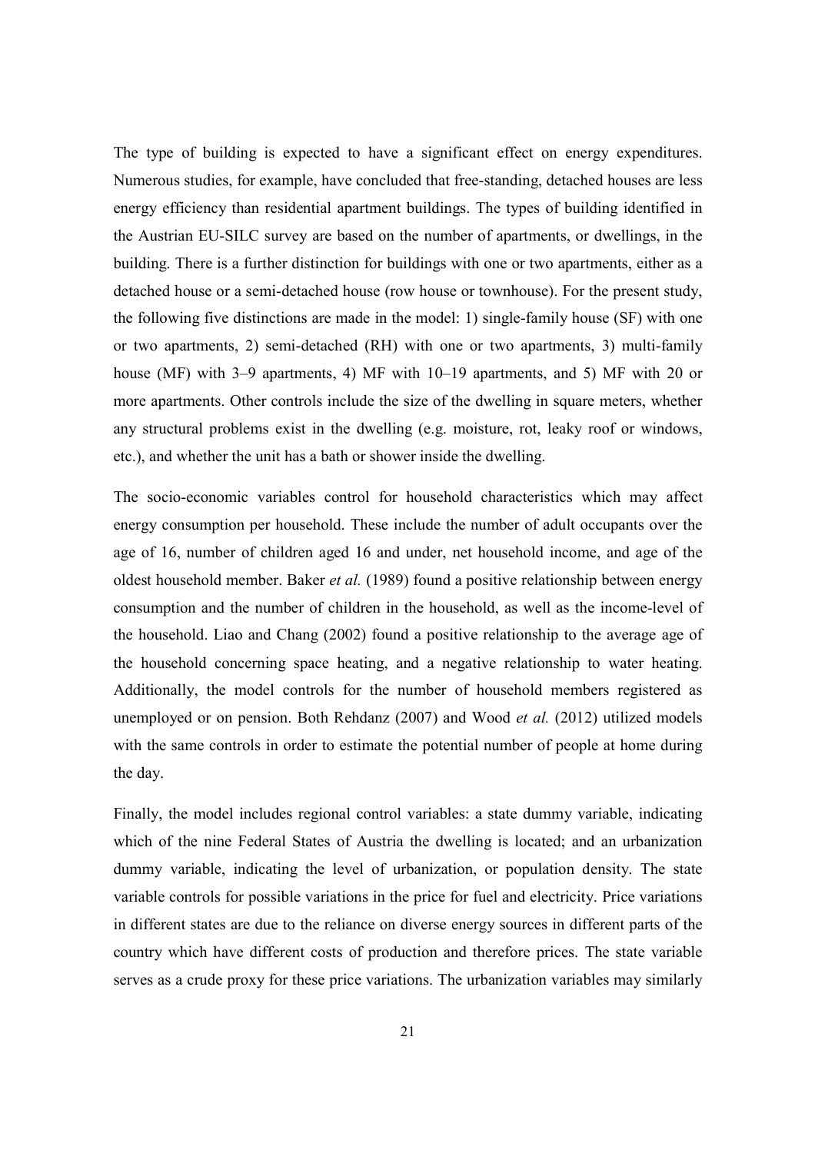The type of building is expected to have a significant effect on energy expenditures. Numerous studies, for example, have concluded that free-standing, detached houses are less energy efficiency than residential apartment buildings. The types of building identified in the Austrian EU-SILC survey are based on the number of apartments, or dwellings, in the building. There is a further distinction for buildings with one or two apartments, either as a detached house or a semi-detached house (row house or townhouse). For the present study, the following five distinctions are made in the model: 1) single-family house (SF) with one or two apartments, 2) semi-detached (RH) with one or two apartments, 3) multi-family house (MF) with 3–9 apartments, 4) MF with 10–19 apartments, and 5) MF with 20 or more apartments. Other controls include the size of the dwelling in square meters, whether any structural problems exist in the dwelling (e.g. moisture, rot, leaky roof or windows, etc.), and whether the unit has a bath or shower inside the dwelling.

The socio-economic variables control for household characteristics which may affect energy consumption per household. These include the number of adult occupants over the age of 16, number of children aged 16 and under, net household income, and age of the oldest household member. Baker *et al.* (1989) found a positive relationship between energy consumption and the number of children in the household, as well as the income-level of the household. Liao and Chang (2002) found a positive relationship to the average age of the household concerning space heating, and a negative relationship to water heating. Additionally, the model controls for the number of household members registered as unemployed or on pension. Both Rehdanz (2007) and Wood *et al.* (2012) utilized models with the same controls in order to estimate the potential number of people at home during the day.

Finally, the model includes regional control variables: a state dummy variable, indicating which of the nine Federal States of Austria the dwelling is located; and an urbanization dummy variable, indicating the level of urbanization, or population density. The state variable controls for possible variations in the price for fuel and electricity. Price variations in different states are due to the reliance on diverse energy sources in different parts of the country which have different costs of production and therefore prices. The state variable serves as a crude proxy for these price variations. The urbanization variables may similarly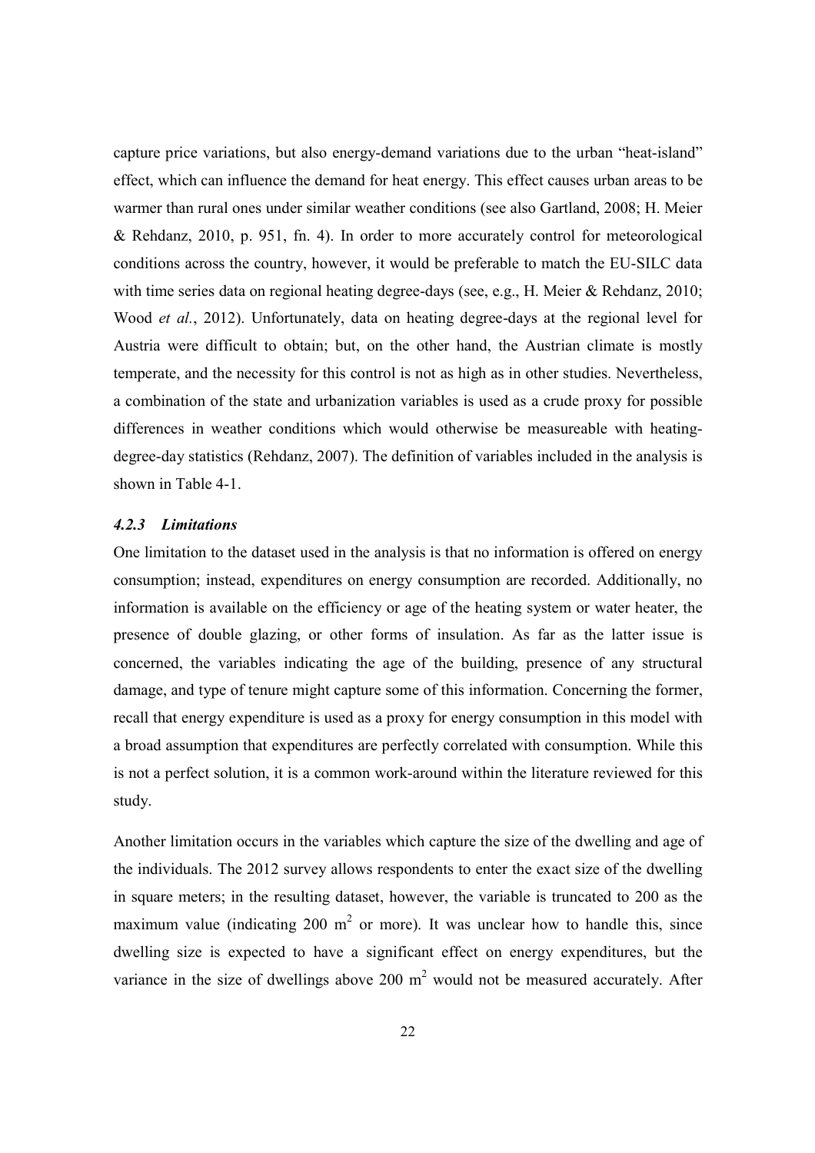capture price variations, but also energy-demand variations due to the urban "heat-island" effect, which can influence the demand for heat energy. This effect causes urban areas to be warmer than rural ones under similar weather conditions (see also Gartland, 2008; H. Meier & Rehdanz, 2010, p. 951, fn. 4). In order to more accurately control for meteorological conditions across the country, however, it would be preferable to match the EU-SILC data with time series data on regional heating degree-days (see, e.g., H. Meier & Rehdanz, 2010; Wood *et al.*, 2012). Unfortunately, data on heating degree-days at the regional level for Austria were difficult to obtain; but, on the other hand, the Austrian climate is mostly temperate, and the necessity for this control is not as high as in other studies. Nevertheless, a combination of the state and urbanization variables is used as a crude proxy for possible differences in weather conditions which would otherwise be measureable with heatingdegree-day statistics (Rehdanz, 2007). The definition of variables included in the analysis is shown in Table 4-1.

#### *4.2.3 Limitations*

One limitation to the dataset used in the analysis is that no information is offered on energy consumption; instead, expenditures on energy consumption are recorded. Additionally, no information is available on the efficiency or age of the heating system or water heater, the presence of double glazing, or other forms of insulation. As far as the latter issue is concerned, the variables indicating the age of the building, presence of any structural damage, and type of tenure might capture some of this information. Concerning the former, recall that energy expenditure is used as a proxy for energy consumption in this model with a broad assumption that expenditures are perfectly correlated with consumption. While this is not a perfect solution, it is a common work-around within the literature reviewed for this study.

Another limitation occurs in the variables which capture the size of the dwelling and age of the individuals. The 2012 survey allows respondents to enter the exact size of the dwelling in square meters; in the resulting dataset, however, the variable is truncated to 200 as the maximum value (indicating 200  $m^2$  or more). It was unclear how to handle this, since dwelling size is expected to have a significant effect on energy expenditures, but the variance in the size of dwellings above 200  $m<sup>2</sup>$  would not be measured accurately. After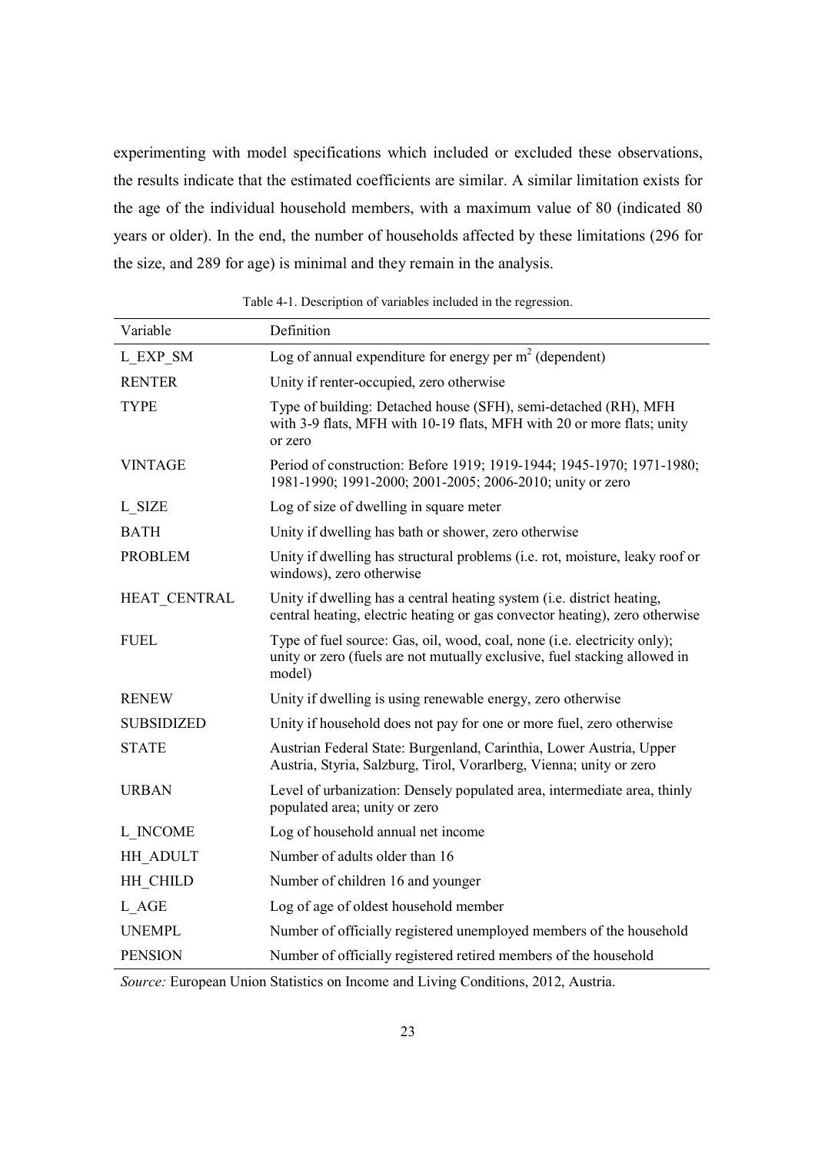experimenting with model specifications which included or excluded these observations, the results indicate that the estimated coefficients are similar. A similar limitation exists for the age of the individual household members, with a maximum value of 80 (indicated 80 years or older). In the end, the number of households affected by these limitations (296 for the size, and 289 for age) is minimal and they remain in the analysis.

| Variable          | Definition                                                                                                                                                      |
|-------------------|-----------------------------------------------------------------------------------------------------------------------------------------------------------------|
| L EXP SM          | Log of annual expenditure for energy per $m2$ (dependent)                                                                                                       |
| <b>RENTER</b>     | Unity if renter-occupied, zero otherwise                                                                                                                        |
| <b>TYPE</b>       | Type of building: Detached house (SFH), semi-detached (RH), MFH<br>with 3-9 flats, MFH with 10-19 flats, MFH with 20 or more flats; unity<br>or zero            |
| <b>VINTAGE</b>    | Period of construction: Before 1919; 1919-1944; 1945-1970; 1971-1980;<br>1981-1990; 1991-2000; 2001-2005; 2006-2010; unity or zero                              |
| L SIZE            | Log of size of dwelling in square meter                                                                                                                         |
| <b>BATH</b>       | Unity if dwelling has bath or shower, zero otherwise                                                                                                            |
| <b>PROBLEM</b>    | Unity if dwelling has structural problems (i.e. rot, moisture, leaky roof or<br>windows), zero otherwise                                                        |
| HEAT CENTRAL      | Unity if dwelling has a central heating system (i.e. district heating,<br>central heating, electric heating or gas convector heating), zero otherwise           |
| <b>FUEL</b>       | Type of fuel source: Gas, oil, wood, coal, none (i.e. electricity only);<br>unity or zero (fuels are not mutually exclusive, fuel stacking allowed in<br>model) |
| <b>RENEW</b>      | Unity if dwelling is using renewable energy, zero otherwise                                                                                                     |
| <b>SUBSIDIZED</b> | Unity if household does not pay for one or more fuel, zero otherwise                                                                                            |
| <b>STATE</b>      | Austrian Federal State: Burgenland, Carinthia, Lower Austria, Upper<br>Austria, Styria, Salzburg, Tirol, Vorarlberg, Vienna; unity or zero                      |
| <b>URBAN</b>      | Level of urbanization: Densely populated area, intermediate area, thinly<br>populated area; unity or zero                                                       |
| L INCOME          | Log of household annual net income                                                                                                                              |
| HH ADULT          | Number of adults older than 16                                                                                                                                  |
| HH CHILD          | Number of children 16 and younger                                                                                                                               |
| L AGE             | Log of age of oldest household member                                                                                                                           |
| <b>UNEMPL</b>     | Number of officially registered unemployed members of the household                                                                                             |
| <b>PENSION</b>    | Number of officially registered retired members of the household                                                                                                |

Table 4-1. Description of variables included in the regression.

*Source:* European Union Statistics on Income and Living Conditions, 2012, Austria.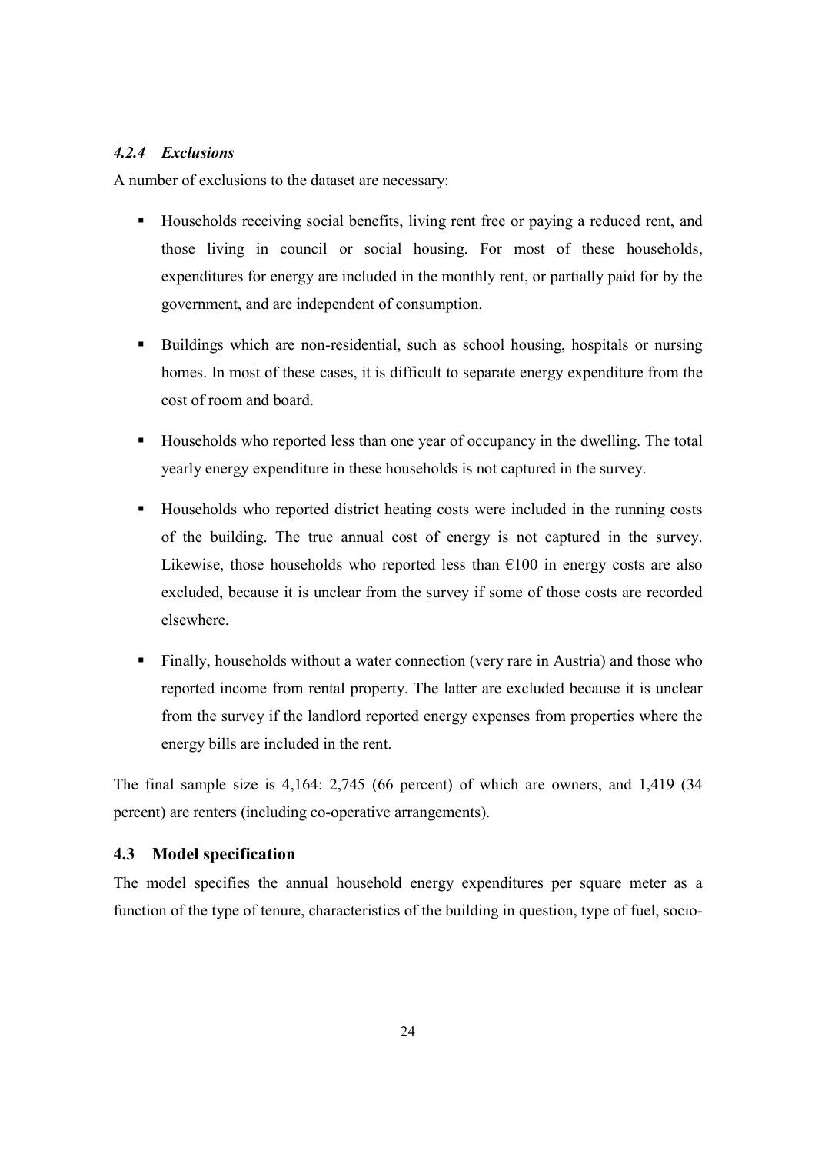#### *4.2.4 Exclusions*

A number of exclusions to the dataset are necessary:

- Households receiving social benefits, living rent free or paying a reduced rent, and those living in council or social housing. For most of these households, expenditures for energy are included in the monthly rent, or partially paid for by the government, and are independent of consumption.
- Buildings which are non-residential, such as school housing, hospitals or nursing homes. In most of these cases, it is difficult to separate energy expenditure from the cost of room and board.
- Households who reported less than one year of occupancy in the dwelling. The total yearly energy expenditure in these households is not captured in the survey.
- Households who reported district heating costs were included in the running costs of the building. The true annual cost of energy is not captured in the survey. Likewise, those households who reported less than  $\epsilon$ 100 in energy costs are also excluded, because it is unclear from the survey if some of those costs are recorded elsewhere.
- Finally, households without a water connection (very rare in Austria) and those who reported income from rental property. The latter are excluded because it is unclear from the survey if the landlord reported energy expenses from properties where the energy bills are included in the rent.

The final sample size is 4,164: 2,745 (66 percent) of which are owners, and 1,419 (34 percent) are renters (including co-operative arrangements).

#### **4.3 Model specification**

The model specifies the annual household energy expenditures per square meter as a function of the type of tenure, characteristics of the building in question, type of fuel, socio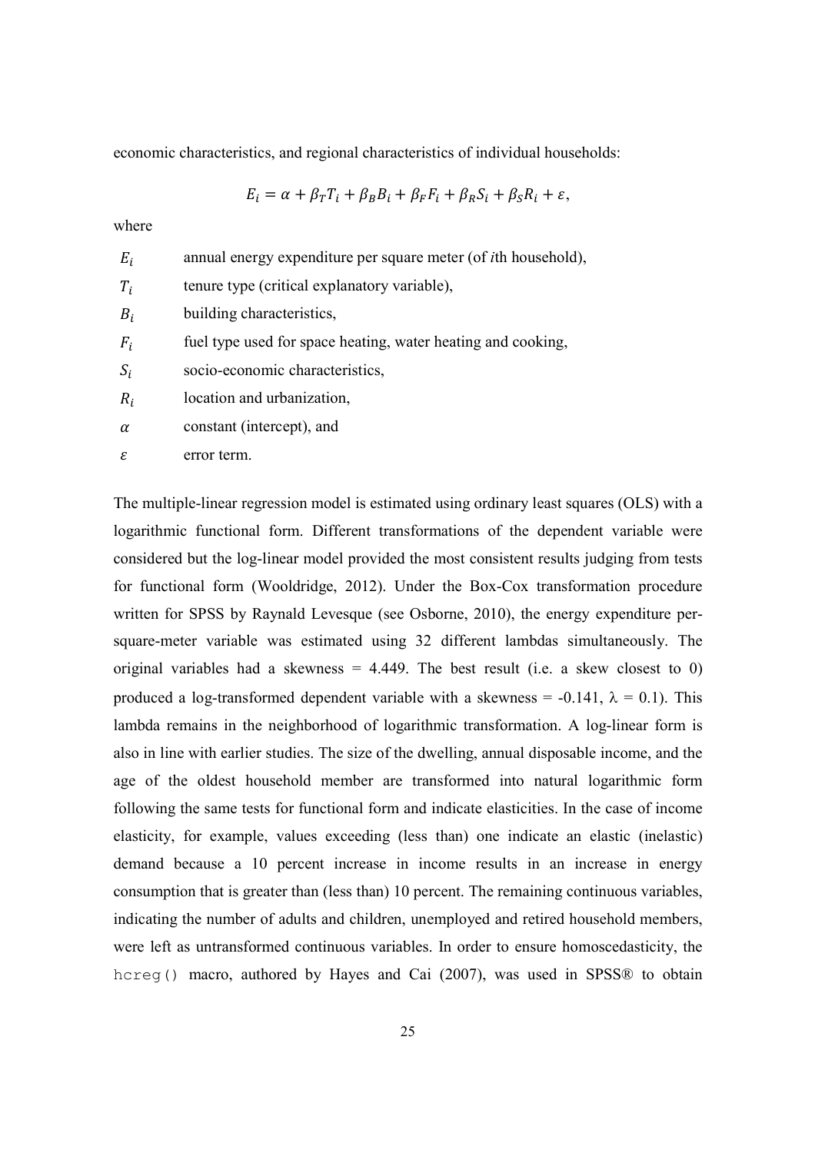economic characteristics, and regional characteristics of individual households:

$$
E_i = \alpha + \beta_T T_i + \beta_B B_i + \beta_F F_i + \beta_R S_i + \beta_S R_i + \varepsilon,
$$

where

| $E_i$    | annual energy expenditure per square meter (of <i>i</i> th household), |
|----------|------------------------------------------------------------------------|
| $T_i$    | tenure type (critical explanatory variable),                           |
| $B_i$    | building characteristics,                                              |
| $F_i$    | fuel type used for space heating, water heating and cooking,           |
| $S_i$    | socio-economic characteristics,                                        |
| $R_i$    | location and urbanization,                                             |
| $\alpha$ | constant (intercept), and                                              |

 $\varepsilon$  error term.

The multiple-linear regression model is estimated using ordinary least squares (OLS) with a logarithmic functional form. Different transformations of the dependent variable were considered but the log-linear model provided the most consistent results judging from tests for functional form (Wooldridge, 2012). Under the Box-Cox transformation procedure written for SPSS by Raynald Levesque (see Osborne, 2010), the energy expenditure persquare-meter variable was estimated using 32 different lambdas simultaneously. The original variables had a skewness  $= 4.449$ . The best result (i.e. a skew closest to 0) produced a log-transformed dependent variable with a skewness = -0.141,  $\lambda$  = 0.1). This lambda remains in the neighborhood of logarithmic transformation. A log-linear form is also in line with earlier studies. The size of the dwelling, annual disposable income, and the age of the oldest household member are transformed into natural logarithmic form following the same tests for functional form and indicate elasticities. In the case of income elasticity, for example, values exceeding (less than) one indicate an elastic (inelastic) demand because a 10 percent increase in income results in an increase in energy consumption that is greater than (less than) 10 percent. The remaining continuous variables, indicating the number of adults and children, unemployed and retired household members, were left as untransformed continuous variables. In order to ensure homoscedasticity, the hcreg() macro, authored by Hayes and Cai (2007), was used in SPSS® to obtain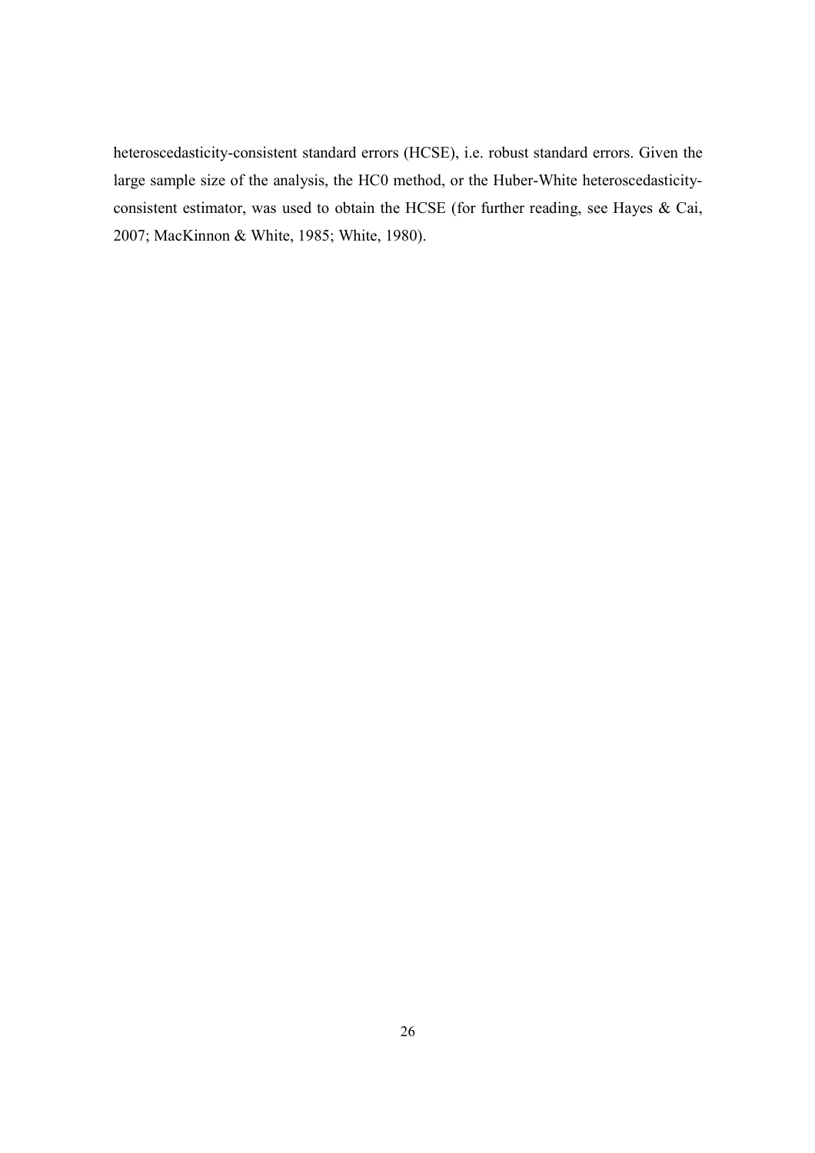heteroscedasticity-consistent standard errors (HCSE), i.e. robust standard errors. Given the large sample size of the analysis, the HC0 method, or the Huber-White heteroscedasticityconsistent estimator, was used to obtain the HCSE (for further reading, see Hayes & Cai, 2007; MacKinnon & White, 1985; White, 1980).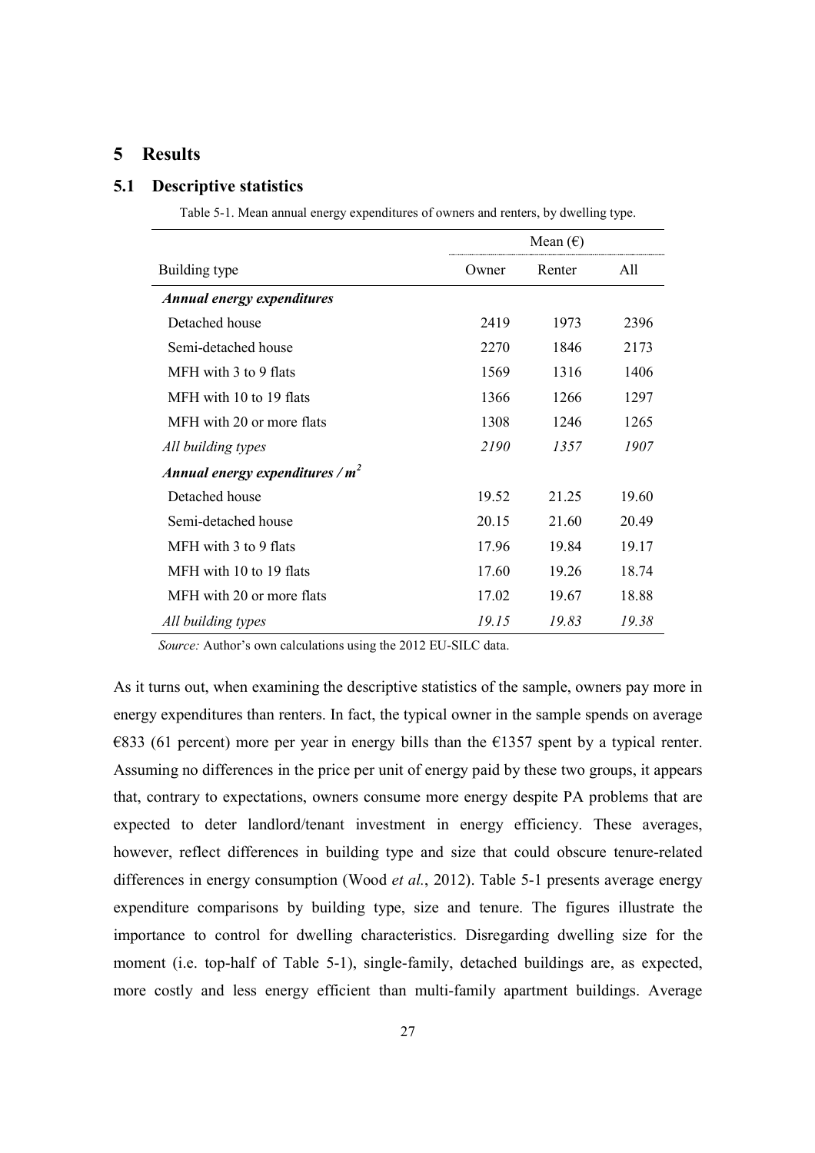# **5 Results**

#### **5.1 Descriptive statistics**

Table 5-1. Mean annual energy expenditures of owners and renters, by dwelling type.

|                                   |       | Mean $(\epsilon)$ |       |
|-----------------------------------|-------|-------------------|-------|
| Building type                     | Owner | Renter            | All   |
| <b>Annual energy expenditures</b> |       |                   |       |
| Detached house                    | 2419  | 1973              | 2396  |
| Semi-detached house               | 2270  | 1846              | 2173  |
| MFH with 3 to 9 flats             | 1569  | 1316              | 1406  |
| MFH with 10 to 19 flats           | 1366  | 1266              | 1297  |
| MFH with 20 or more flats         | 1308  | 1246              | 1265  |
| All building types                | 2190  | 1357              | 1907  |
| Annual energy expenditures / $m2$ |       |                   |       |
| Detached house                    | 19.52 | 21.25             | 19.60 |
| Semi-detached house               | 20.15 | 21.60             | 20.49 |
| MFH with 3 to 9 flats             | 17.96 | 19.84             | 19.17 |
| MFH with 10 to 19 flats           | 17.60 | 19.26             | 18.74 |
| MFH with 20 or more flats         | 17.02 | 19.67             | 18.88 |
| All building types                | 19.15 | 19.83             | 19.38 |

*Source:* Author's own calculations using the 2012 EU-SILC data.

As it turns out, when examining the descriptive statistics of the sample, owners pay more in energy expenditures than renters. In fact, the typical owner in the sample spends on average  $\epsilon$ 833 (61 percent) more per year in energy bills than the  $\epsilon$ 1357 spent by a typical renter. Assuming no differences in the price per unit of energy paid by these two groups, it appears that, contrary to expectations, owners consume more energy despite PA problems that are expected to deter landlord/tenant investment in energy efficiency. These averages, however, reflect differences in building type and size that could obscure tenure-related differences in energy consumption (Wood *et al.*, 2012). Table 5-1 presents average energy expenditure comparisons by building type, size and tenure. The figures illustrate the importance to control for dwelling characteristics. Disregarding dwelling size for the moment (i.e. top-half of Table 5-1), single-family, detached buildings are, as expected, more costly and less energy efficient than multi-family apartment buildings. Average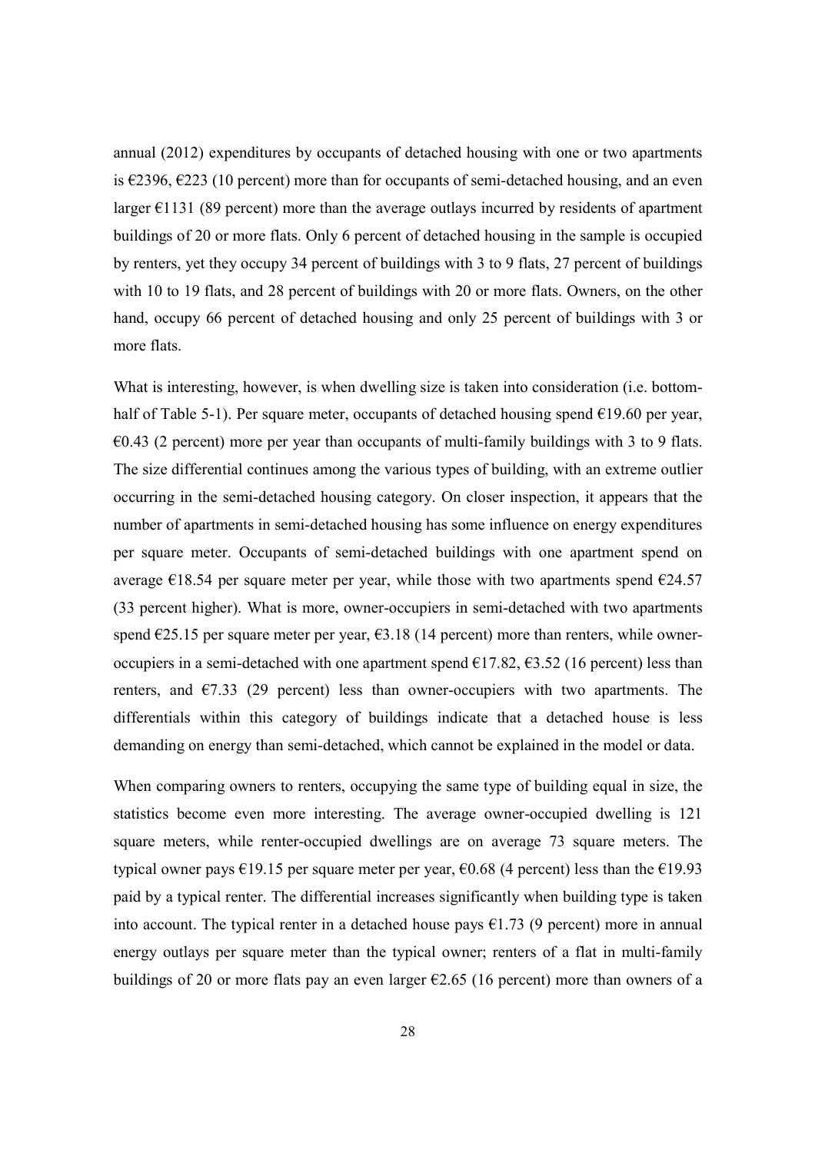annual (2012) expenditures by occupants of detached housing with one or two apartments is  $\epsilon$ 2396,  $\epsilon$ 223 (10 percent) more than for occupants of semi-detached housing, and an even larger  $\epsilon$ 1131 (89 percent) more than the average outlays incurred by residents of apartment buildings of 20 or more flats. Only 6 percent of detached housing in the sample is occupied by renters, yet they occupy 34 percent of buildings with 3 to 9 flats, 27 percent of buildings with 10 to 19 flats, and 28 percent of buildings with 20 or more flats. Owners, on the other hand, occupy 66 percent of detached housing and only 25 percent of buildings with 3 or more flats.

What is interesting, however, is when dwelling size is taken into consideration (i.e. bottomhalf of Table 5-1). Per square meter, occupants of detached housing spend  $\epsilon$ 19.60 per year,  $\epsilon$ 0.43 (2 percent) more per year than occupants of multi-family buildings with 3 to 9 flats. The size differential continues among the various types of building, with an extreme outlier occurring in the semi-detached housing category. On closer inspection, it appears that the number of apartments in semi-detached housing has some influence on energy expenditures per square meter. Occupants of semi-detached buildings with one apartment spend on average  $\epsilon$ 18.54 per square meter per year, while those with two apartments spend  $\epsilon$ 24.57 (33 percent higher). What is more, owner-occupiers in semi-detached with two apartments spend  $\epsilon$ 25.15 per square meter per year,  $\epsilon$ 3.18 (14 percent) more than renters, while owneroccupiers in a semi-detached with one apartment spend  $\epsilon$ 17.82,  $\epsilon$ 3.52 (16 percent) less than renters, and  $\epsilon$ 7.33 (29 percent) less than owner-occupiers with two apartments. The differentials within this category of buildings indicate that a detached house is less demanding on energy than semi-detached, which cannot be explained in the model or data.

When comparing owners to renters, occupying the same type of building equal in size, the statistics become even more interesting. The average owner-occupied dwelling is 121 square meters, while renter-occupied dwellings are on average 73 square meters. The typical owner pays  $\epsilon$ 19.15 per square meter per year,  $\epsilon$ 0.68 (4 percent) less than the  $\epsilon$ 19.93 paid by a typical renter. The differential increases significantly when building type is taken into account. The typical renter in a detached house pays  $\epsilon$ 1.73 (9 percent) more in annual energy outlays per square meter than the typical owner; renters of a flat in multi-family buildings of 20 or more flats pay an even larger  $\epsilon$ 2.65 (16 percent) more than owners of a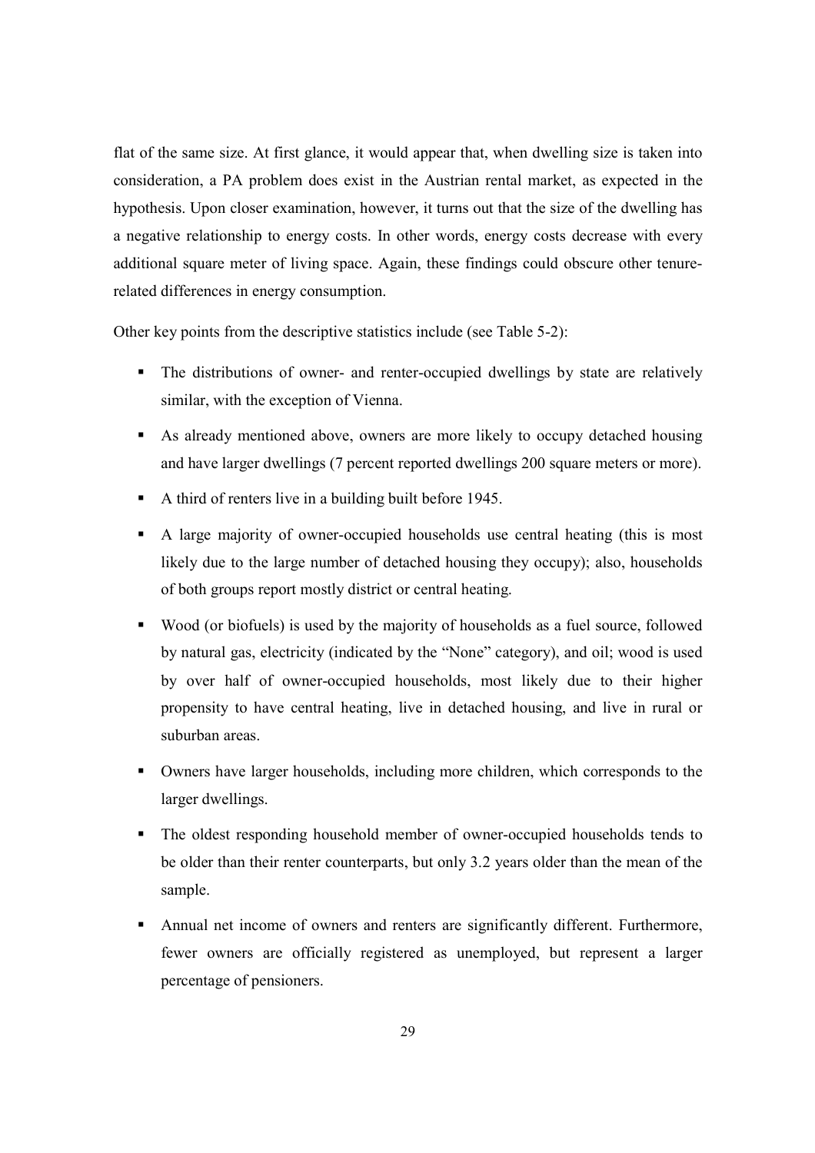flat of the same size. At first glance, it would appear that, when dwelling size is taken into consideration, a PA problem does exist in the Austrian rental market, as expected in the hypothesis. Upon closer examination, however, it turns out that the size of the dwelling has a negative relationship to energy costs. In other words, energy costs decrease with every additional square meter of living space. Again, these findings could obscure other tenurerelated differences in energy consumption.

Other key points from the descriptive statistics include (see Table 5-2):

- The distributions of owner- and renter-occupied dwellings by state are relatively similar, with the exception of Vienna.
- As already mentioned above, owners are more likely to occupy detached housing and have larger dwellings (7 percent reported dwellings 200 square meters or more).
- A third of renters live in a building built before 1945.
- A large majority of owner-occupied households use central heating (this is most likely due to the large number of detached housing they occupy); also, households of both groups report mostly district or central heating.
- Wood (or biofuels) is used by the majority of households as a fuel source, followed by natural gas, electricity (indicated by the "None" category), and oil; wood is used by over half of owner-occupied households, most likely due to their higher propensity to have central heating, live in detached housing, and live in rural or suburban areas.
- Owners have larger households, including more children, which corresponds to the larger dwellings.
- The oldest responding household member of owner-occupied households tends to be older than their renter counterparts, but only 3.2 years older than the mean of the sample.
- Annual net income of owners and renters are significantly different. Furthermore, fewer owners are officially registered as unemployed, but represent a larger percentage of pensioners.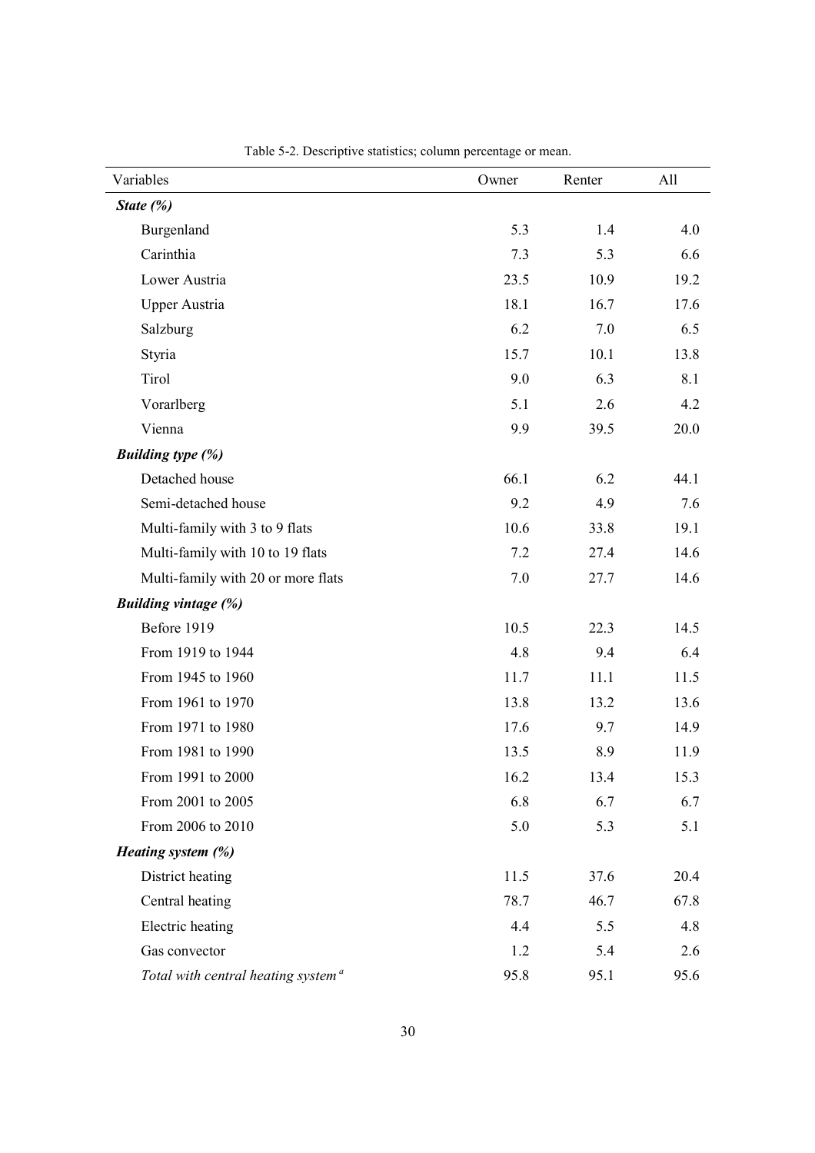| Variables                                      | Owner | Renter | All  |  |
|------------------------------------------------|-------|--------|------|--|
| State $(\%)$                                   |       |        |      |  |
| Burgenland                                     | 5.3   | 1.4    | 4.0  |  |
| Carinthia                                      | 7.3   | 5.3    | 6.6  |  |
| Lower Austria                                  | 23.5  | 10.9   | 19.2 |  |
| <b>Upper Austria</b>                           | 18.1  | 16.7   | 17.6 |  |
| Salzburg                                       | 6.2   | 7.0    | 6.5  |  |
| Styria                                         | 15.7  | 10.1   | 13.8 |  |
| Tirol                                          | 9.0   | 6.3    | 8.1  |  |
| Vorarlberg                                     | 5.1   | 2.6    | 4.2  |  |
| Vienna                                         | 9.9   | 39.5   | 20.0 |  |
| <b>Building type (%)</b>                       |       |        |      |  |
| Detached house                                 | 66.1  | 6.2    | 44.1 |  |
| Semi-detached house                            | 9.2   | 4.9    | 7.6  |  |
| Multi-family with 3 to 9 flats                 | 10.6  | 33.8   | 19.1 |  |
| Multi-family with 10 to 19 flats               | 7.2   | 27.4   | 14.6 |  |
| Multi-family with 20 or more flats             | 7.0   | 27.7   | 14.6 |  |
| <b>Building vintage (%)</b>                    |       |        |      |  |
| Before 1919                                    | 10.5  | 22.3   | 14.5 |  |
| From 1919 to 1944                              | 4.8   | 9.4    | 6.4  |  |
| From 1945 to 1960                              | 11.7  | 11.1   | 11.5 |  |
| From 1961 to 1970                              | 13.8  | 13.2   | 13.6 |  |
| From 1971 to 1980                              | 17.6  | 9.7    | 14.9 |  |
| From 1981 to 1990                              | 13.5  | 8.9    | 11.9 |  |
| From 1991 to 2000                              | 16.2  | 13.4   | 15.3 |  |
| From 2001 to 2005                              | 6.8   | 6.7    | 6.7  |  |
| From 2006 to 2010                              | 5.0   | 5.3    | 5.1  |  |
| Heating system (%)                             |       |        |      |  |
| District heating                               | 11.5  | 37.6   | 20.4 |  |
| Central heating                                | 78.7  | 46.7   | 67.8 |  |
| Electric heating                               | 4.4   | 5.5    | 4.8  |  |
| Gas convector                                  | 1.2   | 5.4    | 2.6  |  |
| Total with central heating system <sup>a</sup> | 95.8  | 95.1   | 95.6 |  |

Table 5-2. Descriptive statistics; column percentage or mean.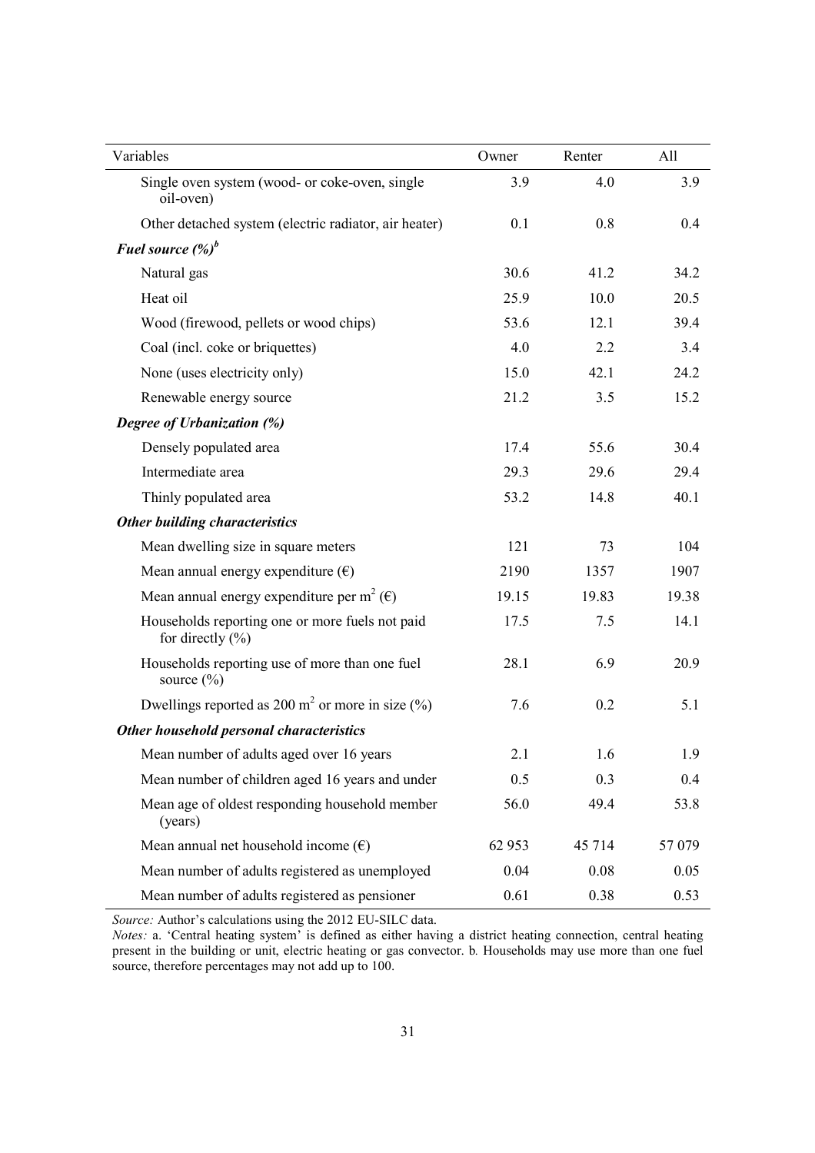| Variables                                                               | Owner  | Renter | All   |
|-------------------------------------------------------------------------|--------|--------|-------|
| Single oven system (wood- or coke-oven, single<br>oil-oven)             | 3.9    | 4.0    | 3.9   |
| Other detached system (electric radiator, air heater)                   | 0.1    | 0.8    | 0.4   |
| Fuel source $(\%)^b$                                                    |        |        |       |
| Natural gas                                                             | 30.6   | 41.2   | 34.2  |
| Heat oil                                                                | 25.9   | 10.0   | 20.5  |
| Wood (firewood, pellets or wood chips)                                  | 53.6   | 12.1   | 39.4  |
| Coal (incl. coke or briquettes)                                         | 4.0    | 2.2    | 3.4   |
| None (uses electricity only)                                            | 15.0   | 42.1   | 24.2  |
| Renewable energy source                                                 | 21.2   | 3.5    | 15.2  |
| Degree of Urbanization (%)                                              |        |        |       |
| Densely populated area                                                  | 17.4   | 55.6   | 30.4  |
| Intermediate area                                                       | 29.3   | 29.6   | 29.4  |
| Thinly populated area                                                   | 53.2   | 14.8   | 40.1  |
| <b>Other building characteristics</b>                                   |        |        |       |
| Mean dwelling size in square meters                                     | 121    | 73     | 104   |
| Mean annual energy expenditure $(\epsilon)$                             | 2190   | 1357   | 1907  |
| Mean annual energy expenditure per m <sup>2</sup> ( $\epsilon$ )        | 19.15  | 19.83  | 19.38 |
| Households reporting one or more fuels not paid<br>for directly $(\% )$ | 17.5   | 7.5    | 14.1  |
| Households reporting use of more than one fuel<br>source $(\% )$        | 28.1   | 6.9    | 20.9  |
| Dwellings reported as 200 m <sup>2</sup> or more in size $(\%)$         | 7.6    | 0.2    | 5.1   |
| Other household personal characteristics                                |        |        |       |
| Mean number of adults aged over 16 years                                | 2.1    | 1.6    | 1.9   |
| Mean number of children aged 16 years and under                         | 0.5    | 0.3    | 0.4   |
| Mean age of oldest responding household member<br>(years)               | 56.0   | 49.4   | 53.8  |
| Mean annual net household income $(\epsilon)$                           | 62 953 | 45 714 | 57079 |
| Mean number of adults registered as unemployed                          | 0.04   | 0.08   | 0.05  |
| Mean number of adults registered as pensioner                           | 0.61   | 0.38   | 0.53  |

*Source:* Author's calculations using the 2012 EU-SILC data.

*Notes:* a. 'Central heating system' is defined as either having a district heating connection, central heating present in the building or unit, electric heating or gas convector. b*.* Households may use more than one fuel source, therefore percentages may not add up to 100.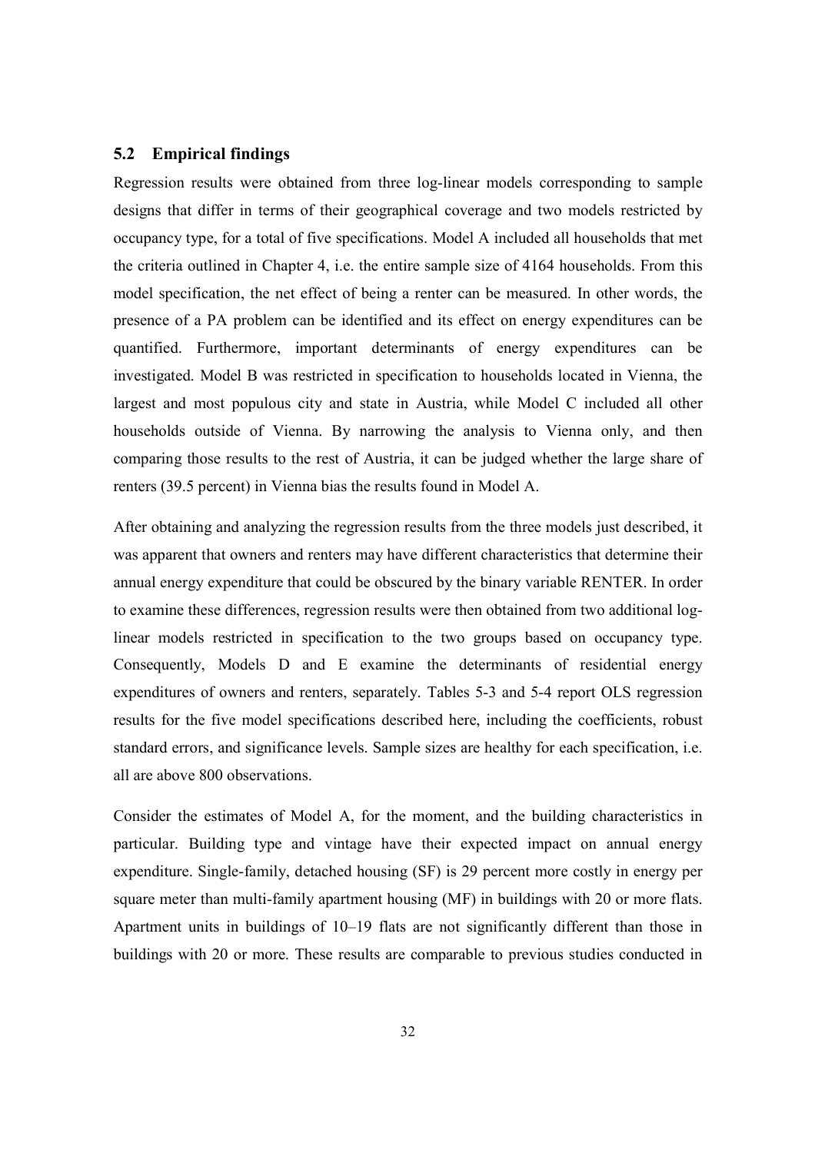#### **5.2 Empirical findings**

Regression results were obtained from three log-linear models corresponding to sample designs that differ in terms of their geographical coverage and two models restricted by occupancy type, for a total of five specifications. Model A included all households that met the criteria outlined in Chapter 4, i.e. the entire sample size of 4164 households. From this model specification, the net effect of being a renter can be measured. In other words, the presence of a PA problem can be identified and its effect on energy expenditures can be quantified. Furthermore, important determinants of energy expenditures can be investigated. Model B was restricted in specification to households located in Vienna, the largest and most populous city and state in Austria, while Model C included all other households outside of Vienna. By narrowing the analysis to Vienna only, and then comparing those results to the rest of Austria, it can be judged whether the large share of renters (39.5 percent) in Vienna bias the results found in Model A.

After obtaining and analyzing the regression results from the three models just described, it was apparent that owners and renters may have different characteristics that determine their annual energy expenditure that could be obscured by the binary variable RENTER. In order to examine these differences, regression results were then obtained from two additional loglinear models restricted in specification to the two groups based on occupancy type. Consequently, Models D and E examine the determinants of residential energy expenditures of owners and renters, separately. Tables 5-3 and 5-4 report OLS regression results for the five model specifications described here, including the coefficients, robust standard errors, and significance levels. Sample sizes are healthy for each specification, i.e. all are above 800 observations.

Consider the estimates of Model A, for the moment, and the building characteristics in particular. Building type and vintage have their expected impact on annual energy expenditure. Single-family, detached housing (SF) is 29 percent more costly in energy per square meter than multi-family apartment housing (MF) in buildings with 20 or more flats. Apartment units in buildings of 10–19 flats are not significantly different than those in buildings with 20 or more. These results are comparable to previous studies conducted in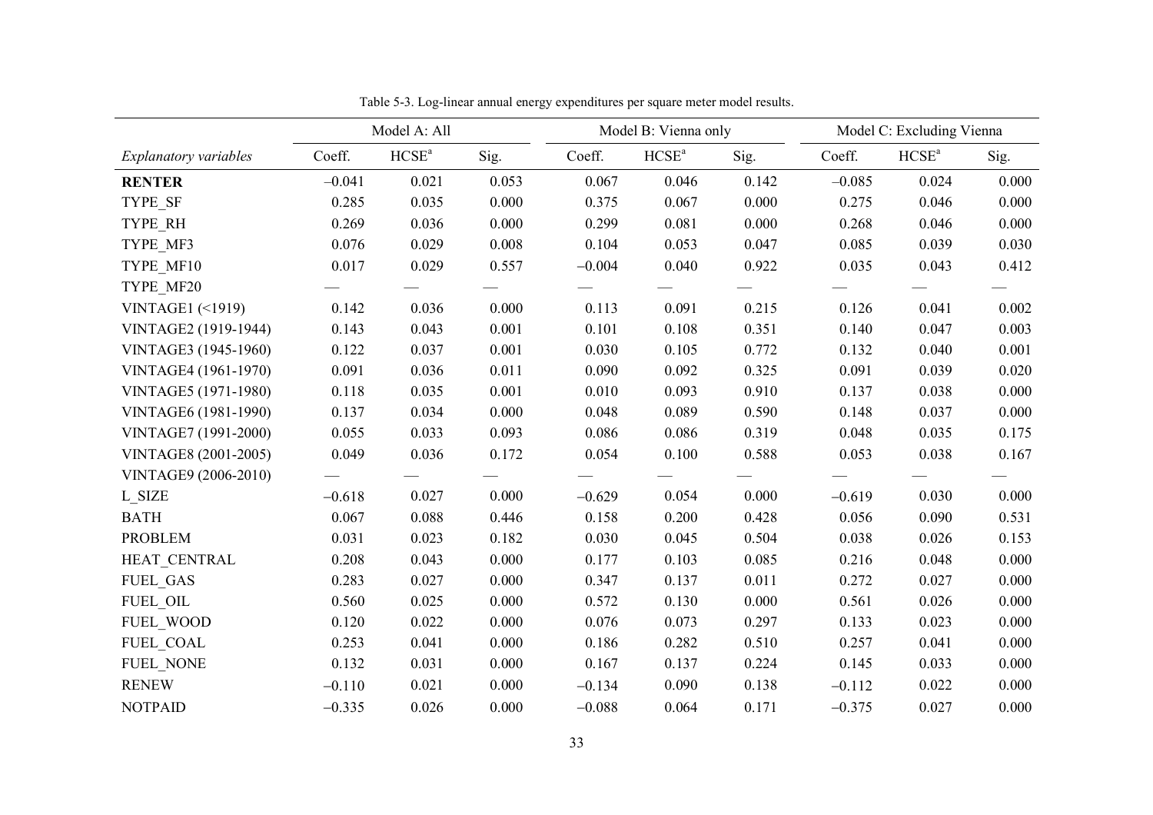|                            |          | Model A: All      |       |          | Model B: Vienna only |       |          | Model C: Excluding Vienna |       |
|----------------------------|----------|-------------------|-------|----------|----------------------|-------|----------|---------------------------|-------|
| Explanatory variables      | Coeff.   | HCSE <sup>a</sup> | Sig.  | Coeff.   | HCSE <sup>a</sup>    | Sig.  | Coeff.   | HCSE <sup>a</sup>         | Sig.  |
| <b>RENTER</b>              | $-0.041$ | 0.021             | 0.053 | 0.067    | 0.046                | 0.142 | $-0.085$ | 0.024                     | 0.000 |
| TYPE_SF                    | 0.285    | 0.035             | 0.000 | 0.375    | 0.067                | 0.000 | 0.275    | 0.046                     | 0.000 |
| TYPE_RH                    | 0.269    | 0.036             | 0.000 | 0.299    | 0.081                | 0.000 | 0.268    | 0.046                     | 0.000 |
| TYPE MF3                   | 0.076    | 0.029             | 0.008 | 0.104    | 0.053                | 0.047 | 0.085    | 0.039                     | 0.030 |
| TYPE MF10                  | 0.017    | 0.029             | 0.557 | $-0.004$ | 0.040                | 0.922 | 0.035    | 0.043                     | 0.412 |
| TYPE MF20                  |          |                   |       |          |                      |       |          |                           |       |
| <b>VINTAGE1 (&lt;1919)</b> | 0.142    | 0.036             | 0.000 | 0.113    | 0.091                | 0.215 | 0.126    | 0.041                     | 0.002 |
| VINTAGE2 (1919-1944)       | 0.143    | 0.043             | 0.001 | 0.101    | 0.108                | 0.351 | 0.140    | 0.047                     | 0.003 |
| VINTAGE3 (1945-1960)       | 0.122    | 0.037             | 0.001 | 0.030    | 0.105                | 0.772 | 0.132    | 0.040                     | 0.001 |
| VINTAGE4 (1961-1970)       | 0.091    | 0.036             | 0.011 | 0.090    | 0.092                | 0.325 | 0.091    | 0.039                     | 0.020 |
| VINTAGE5 (1971-1980)       | 0.118    | 0.035             | 0.001 | 0.010    | 0.093                | 0.910 | 0.137    | 0.038                     | 0.000 |
| VINTAGE6 (1981-1990)       | 0.137    | 0.034             | 0.000 | 0.048    | 0.089                | 0.590 | 0.148    | 0.037                     | 0.000 |
| VINTAGE7 (1991-2000)       | 0.055    | 0.033             | 0.093 | 0.086    | 0.086                | 0.319 | 0.048    | 0.035                     | 0.175 |
| VINTAGE8 (2001-2005)       | 0.049    | 0.036             | 0.172 | 0.054    | 0.100                | 0.588 | 0.053    | 0.038                     | 0.167 |
| VINTAGE9 (2006-2010)       |          |                   |       |          |                      |       |          |                           |       |
| L SIZE                     | $-0.618$ | 0.027             | 0.000 | $-0.629$ | 0.054                | 0.000 | $-0.619$ | 0.030                     | 0.000 |
| <b>BATH</b>                | 0.067    | 0.088             | 0.446 | 0.158    | 0.200                | 0.428 | 0.056    | 0.090                     | 0.531 |
| <b>PROBLEM</b>             | 0.031    | 0.023             | 0.182 | 0.030    | 0.045                | 0.504 | 0.038    | 0.026                     | 0.153 |
| HEAT CENTRAL               | 0.208    | 0.043             | 0.000 | 0.177    | 0.103                | 0.085 | 0.216    | 0.048                     | 0.000 |
| <b>FUEL GAS</b>            | 0.283    | 0.027             | 0.000 | 0.347    | 0.137                | 0.011 | 0.272    | 0.027                     | 0.000 |
| FUEL OIL                   | 0.560    | 0.025             | 0.000 | 0.572    | 0.130                | 0.000 | 0.561    | 0.026                     | 0.000 |
| FUEL WOOD                  | 0.120    | 0.022             | 0.000 | 0.076    | 0.073                | 0.297 | 0.133    | 0.023                     | 0.000 |
| FUEL COAL                  | 0.253    | 0.041             | 0.000 | 0.186    | 0.282                | 0.510 | 0.257    | 0.041                     | 0.000 |
| <b>FUEL NONE</b>           | 0.132    | 0.031             | 0.000 | 0.167    | 0.137                | 0.224 | 0.145    | 0.033                     | 0.000 |
| <b>RENEW</b>               | $-0.110$ | 0.021             | 0.000 | $-0.134$ | 0.090                | 0.138 | $-0.112$ | 0.022                     | 0.000 |
| <b>NOTPAID</b>             | $-0.335$ | 0.026             | 0.000 | $-0.088$ | 0.064                | 0.171 | $-0.375$ | 0.027                     | 0.000 |

Table 5-3. Log-linear annual energy expenditures per square meter model results.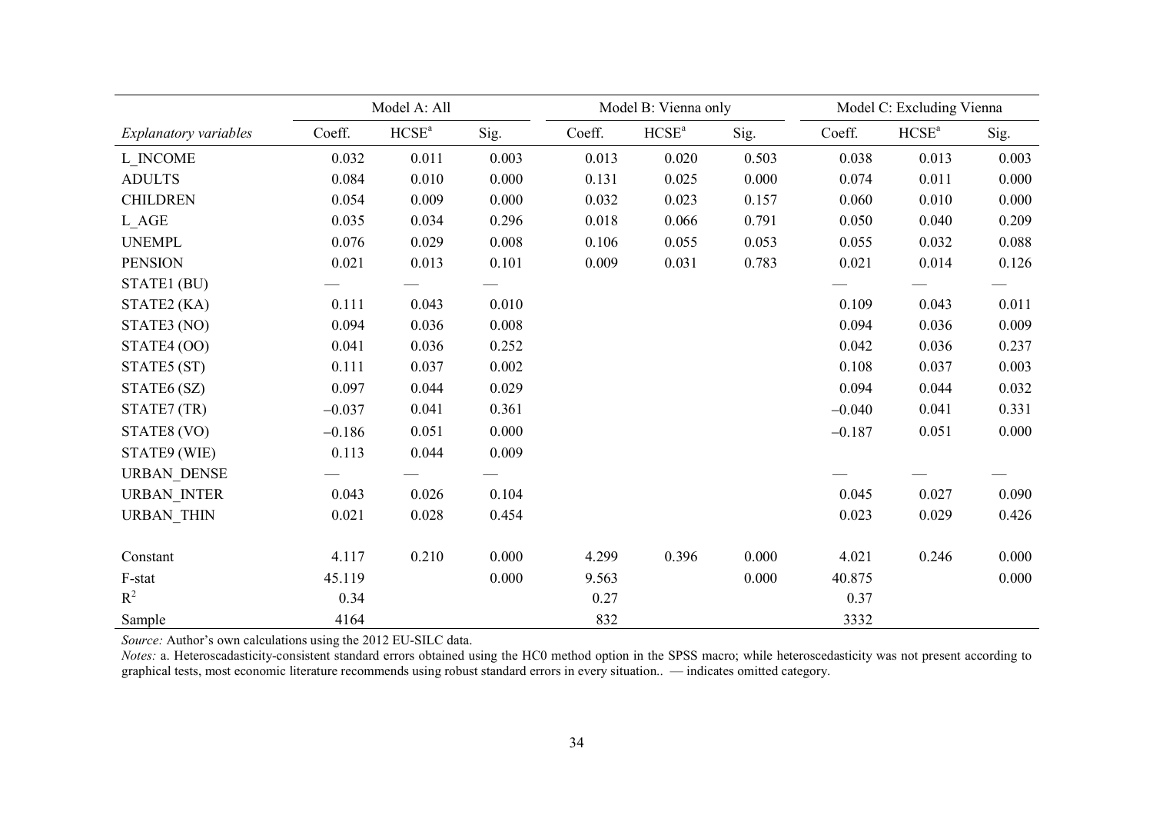|                       |          | Model A: All                 |       |        | Model B: Vienna only |       |          | Model C: Excluding Vienna |       |
|-----------------------|----------|------------------------------|-------|--------|----------------------|-------|----------|---------------------------|-------|
| Explanatory variables | Coeff.   | $\mathrm{HCSE}^{\mathrm{a}}$ | Sig.  | Coeff. | HCSE <sup>a</sup>    | Sig.  | Coeff.   | HCSE <sup>a</sup>         | Sig.  |
| L INCOME              | 0.032    | 0.011                        | 0.003 | 0.013  | 0.020                | 0.503 | 0.038    | 0.013                     | 0.003 |
| <b>ADULTS</b>         | 0.084    | 0.010                        | 0.000 | 0.131  | 0.025                | 0.000 | 0.074    | 0.011                     | 0.000 |
| <b>CHILDREN</b>       | 0.054    | 0.009                        | 0.000 | 0.032  | 0.023                | 0.157 | 0.060    | 0.010                     | 0.000 |
| L AGE                 | 0.035    | 0.034                        | 0.296 | 0.018  | 0.066                | 0.791 | 0.050    | 0.040                     | 0.209 |
| <b>UNEMPL</b>         | 0.076    | 0.029                        | 0.008 | 0.106  | 0.055                | 0.053 | 0.055    | 0.032                     | 0.088 |
| <b>PENSION</b>        | 0.021    | 0.013                        | 0.101 | 0.009  | 0.031                | 0.783 | 0.021    | 0.014                     | 0.126 |
| STATE1 (BU)           |          |                              |       |        |                      |       |          |                           |       |
| STATE2 (KA)           | 0.111    | 0.043                        | 0.010 |        |                      |       | 0.109    | 0.043                     | 0.011 |
| STATE3 (NO)           | 0.094    | 0.036                        | 0.008 |        |                      |       | 0.094    | 0.036                     | 0.009 |
| STATE4 (OO)           | 0.041    | 0.036                        | 0.252 |        |                      |       | 0.042    | 0.036                     | 0.237 |
| STATE5 (ST)           | 0.111    | 0.037                        | 0.002 |        |                      |       | 0.108    | 0.037                     | 0.003 |
| STATE6 (SZ)           | 0.097    | 0.044                        | 0.029 |        |                      |       | 0.094    | 0.044                     | 0.032 |
| STATE7 (TR)           | $-0.037$ | 0.041                        | 0.361 |        |                      |       | $-0.040$ | 0.041                     | 0.331 |
| STATE8 (VO)           | $-0.186$ | 0.051                        | 0.000 |        |                      |       | $-0.187$ | 0.051                     | 0.000 |
| STATE9 (WIE)          | 0.113    | 0.044                        | 0.009 |        |                      |       |          |                           |       |
| <b>URBAN DENSE</b>    |          |                              |       |        |                      |       |          |                           |       |
| <b>URBAN_INTER</b>    | 0.043    | 0.026                        | 0.104 |        |                      |       | 0.045    | 0.027                     | 0.090 |
| <b>URBAN_THIN</b>     | 0.021    | 0.028                        | 0.454 |        |                      |       | 0.023    | 0.029                     | 0.426 |
|                       |          |                              |       |        |                      |       |          |                           |       |
| Constant              | 4.117    | 0.210                        | 0.000 | 4.299  | 0.396                | 0.000 | 4.021    | 0.246                     | 0.000 |
| F-stat                | 45.119   |                              | 0.000 | 9.563  |                      | 0.000 | 40.875   |                           | 0.000 |
| $R^2$                 | 0.34     |                              |       | 0.27   |                      |       | 0.37     |                           |       |
| Sample                | 4164     |                              |       | 832    |                      |       | 3332     |                           |       |

*Source:* Author's own calculations using the 2012 EU-SILC data.

*Notes:* a. Heteroscadasticity-consistent standard errors obtained using the HC0 method option in the SPSS macro; while heteroscedasticity was not present according to graphical tests, most economic literature recommends using robust standard errors in every situation.. — indicates omitted category.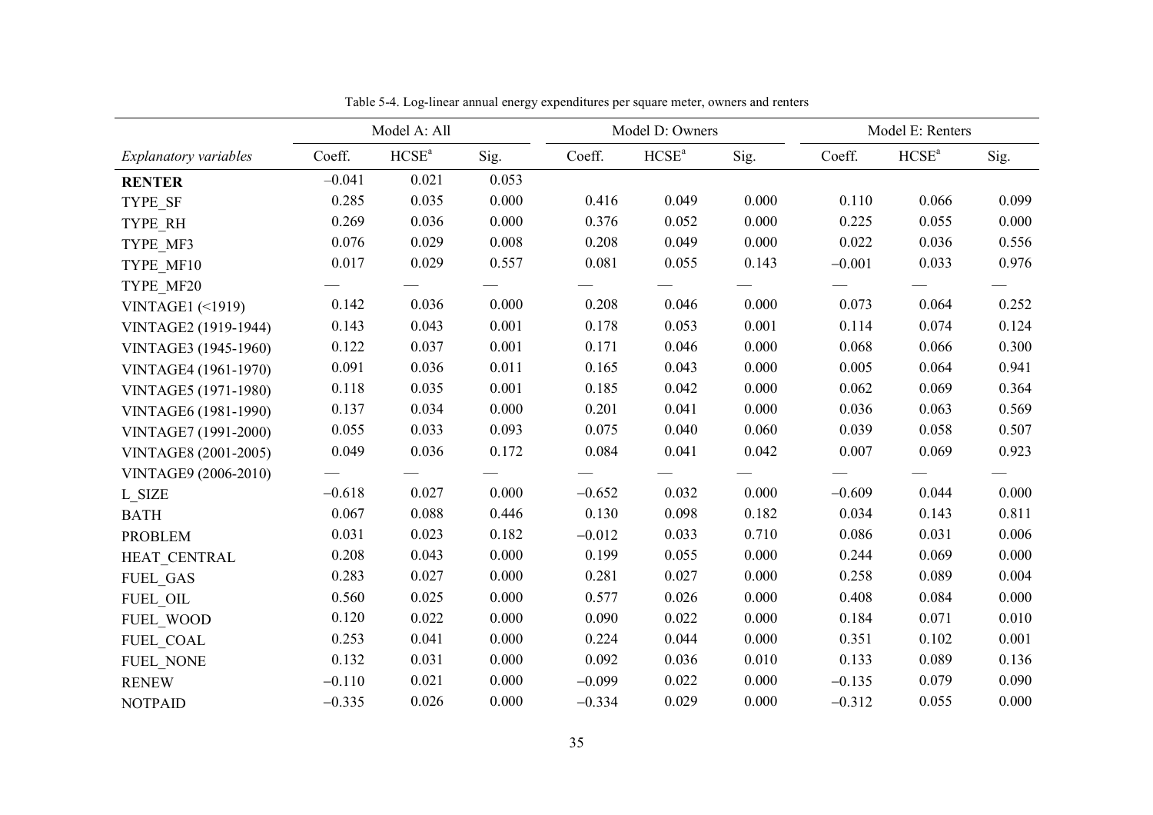|                            |          | Model A: All      |       |          | Model D: Owners |       |          | Model E: Renters  |       |
|----------------------------|----------|-------------------|-------|----------|-----------------|-------|----------|-------------------|-------|
| Explanatory variables      | Coeff.   | HCSE <sup>a</sup> | Sig.  | Coeff.   | $HCSE^a$        | Sig.  | Coeff.   | HCSE <sup>a</sup> | Sig.  |
| <b>RENTER</b>              | $-0.041$ | 0.021             | 0.053 |          |                 |       |          |                   |       |
| TYPE SF                    | 0.285    | 0.035             | 0.000 | 0.416    | 0.049           | 0.000 | 0.110    | 0.066             | 0.099 |
| TYPE RH                    | 0.269    | 0.036             | 0.000 | 0.376    | 0.052           | 0.000 | 0.225    | 0.055             | 0.000 |
| TYPE MF3                   | 0.076    | 0.029             | 0.008 | 0.208    | 0.049           | 0.000 | 0.022    | 0.036             | 0.556 |
| TYPE MF10                  | 0.017    | 0.029             | 0.557 | 0.081    | 0.055           | 0.143 | $-0.001$ | 0.033             | 0.976 |
| TYPE MF20                  |          |                   |       |          |                 |       |          |                   |       |
| <b>VINTAGE1 (&lt;1919)</b> | 0.142    | 0.036             | 0.000 | 0.208    | 0.046           | 0.000 | 0.073    | 0.064             | 0.252 |
| VINTAGE2 (1919-1944)       | 0.143    | 0.043             | 0.001 | 0.178    | 0.053           | 0.001 | 0.114    | 0.074             | 0.124 |
| VINTAGE3 (1945-1960)       | 0.122    | 0.037             | 0.001 | 0.171    | 0.046           | 0.000 | 0.068    | 0.066             | 0.300 |
| VINTAGE4 (1961-1970)       | 0.091    | 0.036             | 0.011 | 0.165    | 0.043           | 0.000 | 0.005    | 0.064             | 0.941 |
| VINTAGE5 (1971-1980)       | 0.118    | 0.035             | 0.001 | 0.185    | 0.042           | 0.000 | 0.062    | 0.069             | 0.364 |
| VINTAGE6 (1981-1990)       | 0.137    | 0.034             | 0.000 | 0.201    | 0.041           | 0.000 | 0.036    | 0.063             | 0.569 |
| VINTAGE7 (1991-2000)       | 0.055    | 0.033             | 0.093 | 0.075    | 0.040           | 0.060 | 0.039    | 0.058             | 0.507 |
| VINTAGE8 (2001-2005)       | 0.049    | 0.036             | 0.172 | 0.084    | 0.041           | 0.042 | 0.007    | 0.069             | 0.923 |
| VINTAGE9 (2006-2010)       |          |                   |       |          |                 |       |          |                   |       |
| L SIZE                     | $-0.618$ | 0.027             | 0.000 | $-0.652$ | 0.032           | 0.000 | $-0.609$ | 0.044             | 0.000 |
| <b>BATH</b>                | 0.067    | 0.088             | 0.446 | 0.130    | 0.098           | 0.182 | 0.034    | 0.143             | 0.811 |
| <b>PROBLEM</b>             | 0.031    | 0.023             | 0.182 | $-0.012$ | 0.033           | 0.710 | 0.086    | 0.031             | 0.006 |
| HEAT CENTRAL               | 0.208    | 0.043             | 0.000 | 0.199    | 0.055           | 0.000 | 0.244    | 0.069             | 0.000 |
| <b>FUEL GAS</b>            | 0.283    | 0.027             | 0.000 | 0.281    | 0.027           | 0.000 | 0.258    | 0.089             | 0.004 |
| FUEL OIL                   | 0.560    | 0.025             | 0.000 | 0.577    | 0.026           | 0.000 | 0.408    | 0.084             | 0.000 |
| FUEL WOOD                  | 0.120    | 0.022             | 0.000 | 0.090    | 0.022           | 0.000 | 0.184    | 0.071             | 0.010 |
| FUEL COAL                  | 0.253    | 0.041             | 0.000 | 0.224    | 0.044           | 0.000 | 0.351    | 0.102             | 0.001 |
| <b>FUEL NONE</b>           | 0.132    | 0.031             | 0.000 | 0.092    | 0.036           | 0.010 | 0.133    | 0.089             | 0.136 |
| <b>RENEW</b>               | $-0.110$ | 0.021             | 0.000 | $-0.099$ | 0.022           | 0.000 | $-0.135$ | 0.079             | 0.090 |
| <b>NOTPAID</b>             | $-0.335$ | 0.026             | 0.000 | $-0.334$ | 0.029           | 0.000 | $-0.312$ | 0.055             | 0.000 |

Table 5-4. Log-linear annual energy expenditures per square meter, owners and renters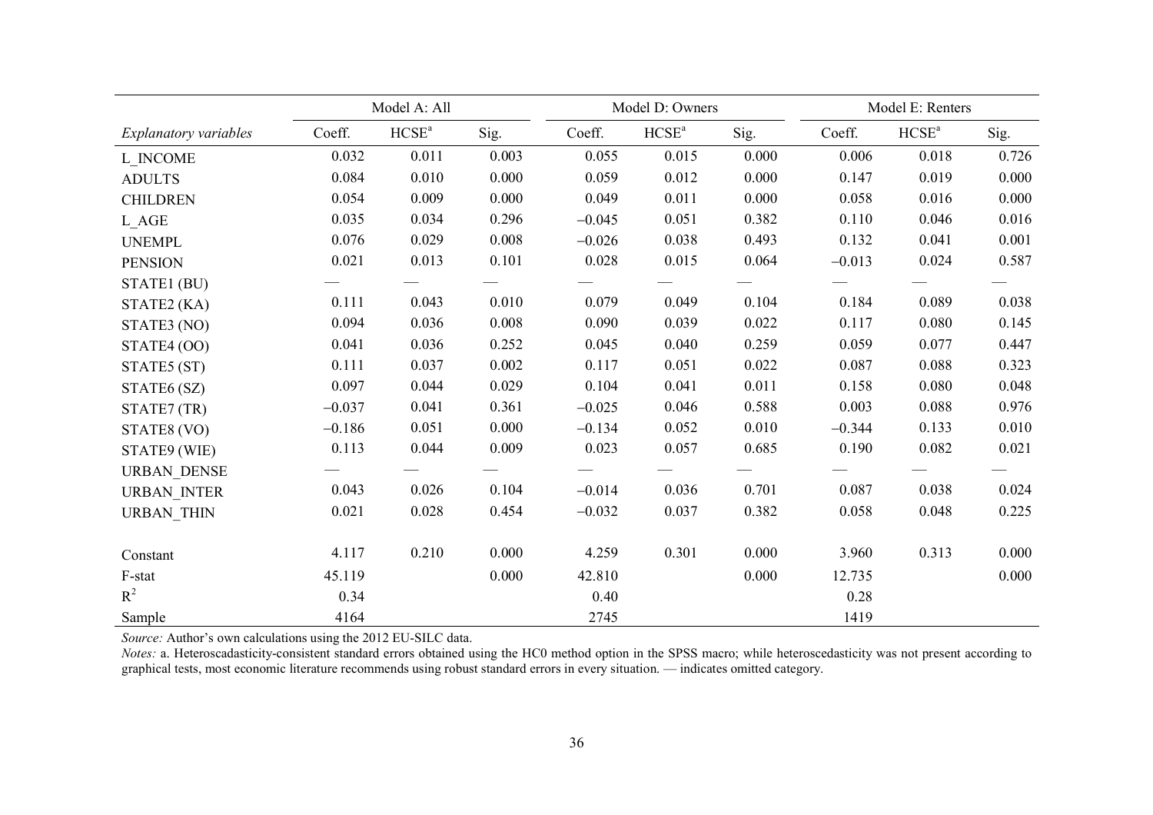|                       |          | Model A: All      |       |          | Model D: Owners   |       |          | Model E: Renters  |       |
|-----------------------|----------|-------------------|-------|----------|-------------------|-------|----------|-------------------|-------|
| Explanatory variables | Coeff.   | HCSE <sup>a</sup> | Sig.  | Coeff.   | HCSE <sup>a</sup> | Sig.  | Coeff.   | HCSE <sup>a</sup> | Sig.  |
| L INCOME              | 0.032    | 0.011             | 0.003 | 0.055    | 0.015             | 0.000 | 0.006    | 0.018             | 0.726 |
| <b>ADULTS</b>         | 0.084    | 0.010             | 0.000 | 0.059    | 0.012             | 0.000 | 0.147    | 0.019             | 0.000 |
| <b>CHILDREN</b>       | 0.054    | 0.009             | 0.000 | 0.049    | 0.011             | 0.000 | 0.058    | 0.016             | 0.000 |
| L AGE                 | 0.035    | 0.034             | 0.296 | $-0.045$ | 0.051             | 0.382 | 0.110    | 0.046             | 0.016 |
| <b>UNEMPL</b>         | 0.076    | 0.029             | 0.008 | $-0.026$ | 0.038             | 0.493 | 0.132    | 0.041             | 0.001 |
| <b>PENSION</b>        | 0.021    | 0.013             | 0.101 | 0.028    | 0.015             | 0.064 | $-0.013$ | 0.024             | 0.587 |
| STATE1 (BU)           |          |                   |       |          |                   |       |          |                   |       |
| STATE2 (KA)           | 0.111    | 0.043             | 0.010 | 0.079    | 0.049             | 0.104 | 0.184    | 0.089             | 0.038 |
| STATE3 (NO)           | 0.094    | 0.036             | 0.008 | 0.090    | 0.039             | 0.022 | 0.117    | 0.080             | 0.145 |
| STATE4 (OO)           | 0.041    | 0.036             | 0.252 | 0.045    | 0.040             | 0.259 | 0.059    | 0.077             | 0.447 |
| STATE5 (ST)           | 0.111    | 0.037             | 0.002 | 0.117    | 0.051             | 0.022 | 0.087    | 0.088             | 0.323 |
| STATE6 (SZ)           | 0.097    | 0.044             | 0.029 | 0.104    | 0.041             | 0.011 | 0.158    | 0.080             | 0.048 |
| STATE7 (TR)           | $-0.037$ | 0.041             | 0.361 | $-0.025$ | 0.046             | 0.588 | 0.003    | 0.088             | 0.976 |
| STATE8 (VO)           | $-0.186$ | 0.051             | 0.000 | $-0.134$ | 0.052             | 0.010 | $-0.344$ | 0.133             | 0.010 |
| STATE9 (WIE)          | 0.113    | 0.044             | 0.009 | 0.023    | 0.057             | 0.685 | 0.190    | 0.082             | 0.021 |
| <b>URBAN DENSE</b>    |          |                   |       |          |                   |       |          |                   |       |
| <b>URBAN INTER</b>    | 0.043    | 0.026             | 0.104 | $-0.014$ | 0.036             | 0.701 | 0.087    | 0.038             | 0.024 |
| <b>URBAN THIN</b>     | 0.021    | 0.028             | 0.454 | $-0.032$ | 0.037             | 0.382 | 0.058    | 0.048             | 0.225 |
|                       |          |                   |       |          |                   |       |          |                   |       |
| Constant              | 4.117    | 0.210             | 0.000 | 4.259    | 0.301             | 0.000 | 3.960    | 0.313             | 0.000 |
| F-stat                | 45.119   |                   | 0.000 | 42.810   |                   | 0.000 | 12.735   |                   | 0.000 |
| $R^2$                 | 0.34     |                   |       | 0.40     |                   |       | 0.28     |                   |       |
| Sample                | 4164     |                   |       | 2745     |                   |       | 1419     |                   |       |

*Source:* Author's own calculations using the 2012 EU-SILC data.

*Notes:* a. Heteroscadasticity-consistent standard errors obtained using the HC0 method option in the SPSS macro; while heteroscedasticity was not present according to graphical tests, most economic literature recommends using robust standard errors in every situation. — indicates omitted category.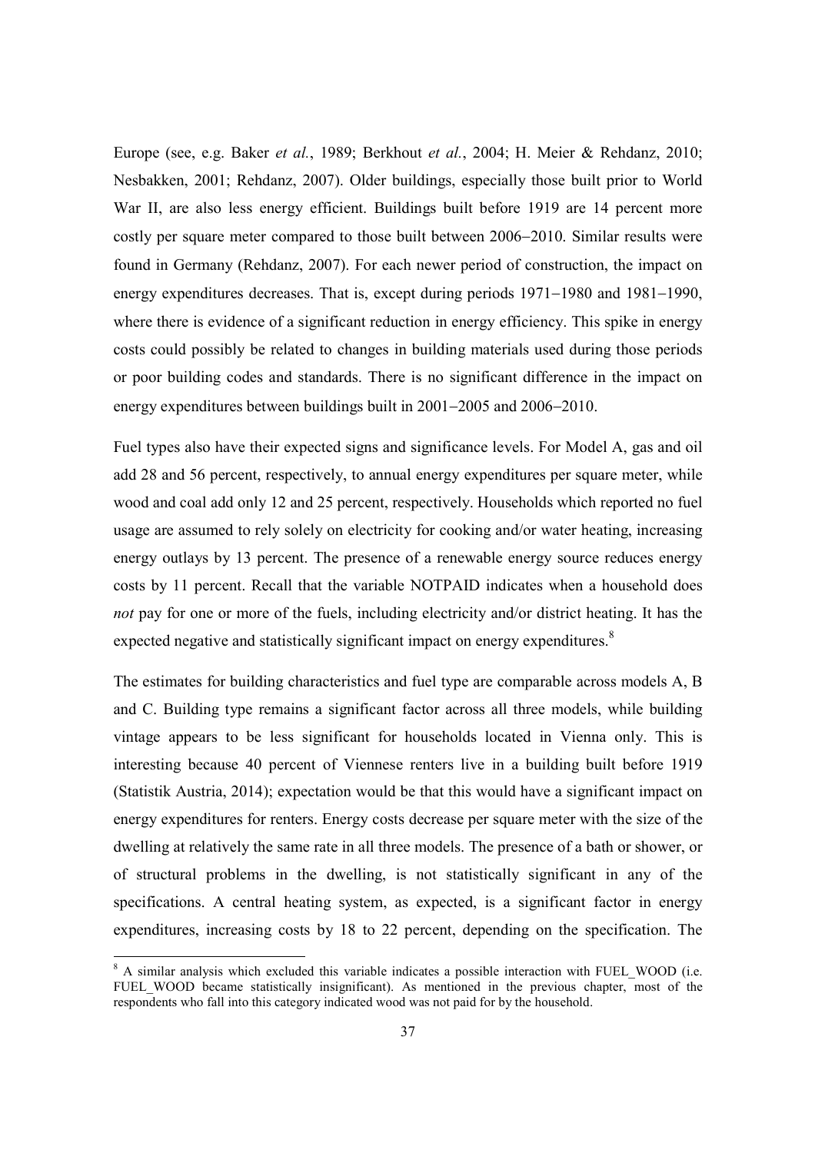Europe (see, e.g. Baker *et al.*, 1989; Berkhout *et al.*, 2004; H. Meier & Rehdanz, 2010; Nesbakken, 2001; Rehdanz, 2007). Older buildings, especially those built prior to World War II, are also less energy efficient. Buildings built before 1919 are 14 percent more costly per square meter compared to those built between 2006–2010. Similar results were found in Germany (Rehdanz, 2007). For each newer period of construction, the impact on energy expenditures decreases. That is, except during periods  $1971-1980$  and  $1981-1990$ , where there is evidence of a significant reduction in energy efficiency. This spike in energy costs could possibly be related to changes in building materials used during those periods or poor building codes and standards. There is no significant difference in the impact on energy expenditures between buildings built in  $2001-2005$  and  $2006-2010$ .

Fuel types also have their expected signs and significance levels. For Model A, gas and oil add 28 and 56 percent, respectively, to annual energy expenditures per square meter, while wood and coal add only 12 and 25 percent, respectively. Households which reported no fuel usage are assumed to rely solely on electricity for cooking and/or water heating, increasing energy outlays by 13 percent. The presence of a renewable energy source reduces energy costs by 11 percent. Recall that the variable NOTPAID indicates when a household does *not* pay for one or more of the fuels, including electricity and/or district heating. It has the expected negative and statistically significant impact on energy expenditures.<sup>8</sup>

The estimates for building characteristics and fuel type are comparable across models A, B and C. Building type remains a significant factor across all three models, while building vintage appears to be less significant for households located in Vienna only. This is interesting because 40 percent of Viennese renters live in a building built before 1919 (Statistik Austria, 2014); expectation would be that this would have a significant impact on energy expenditures for renters. Energy costs decrease per square meter with the size of the dwelling at relatively the same rate in all three models. The presence of a bath or shower, or of structural problems in the dwelling, is not statistically significant in any of the specifications. A central heating system, as expected, is a significant factor in energy expenditures, increasing costs by 18 to 22 percent, depending on the specification. The

<sup>&</sup>lt;sup>8</sup> A similar analysis which excluded this variable indicates a possible interaction with FUEL\_WOOD (i.e. FUEL WOOD became statistically insignificant). As mentioned in the previous chapter, most of the respondents who fall into this category indicated wood was not paid for by the household.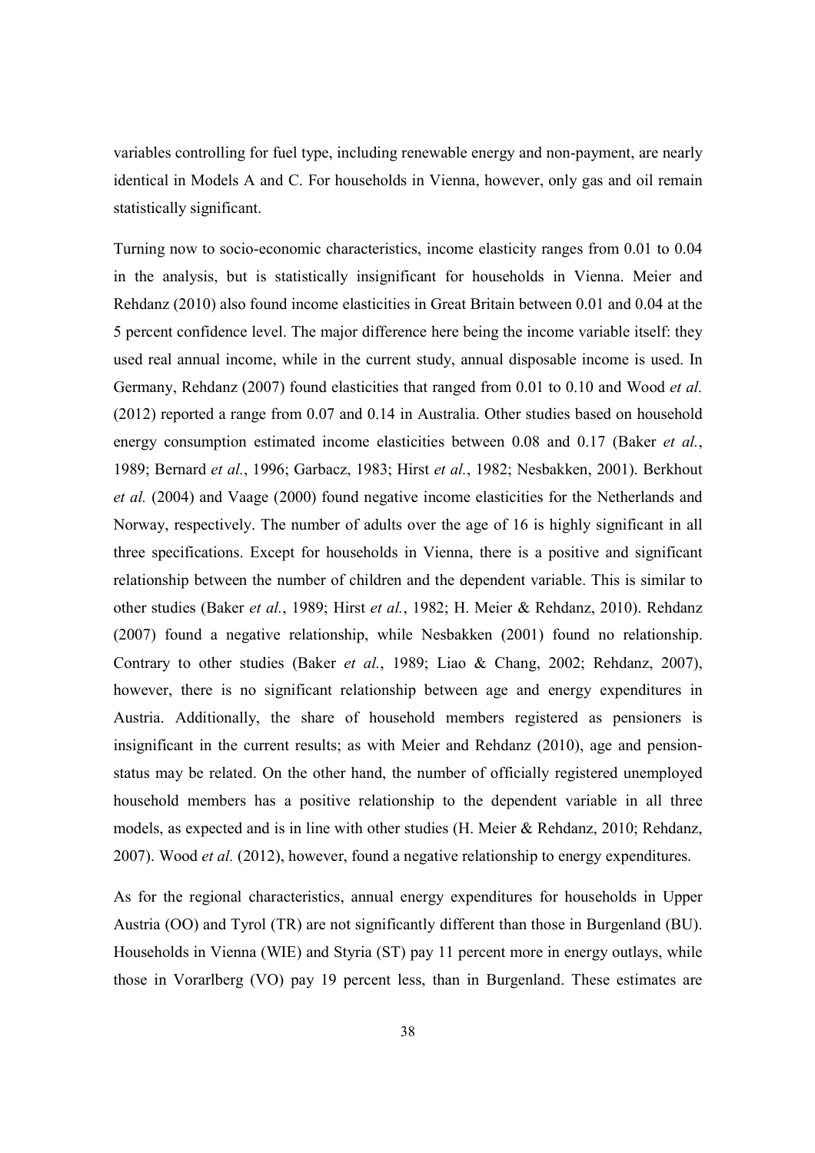variables controlling for fuel type, including renewable energy and non-payment, are nearly identical in Models A and C. For households in Vienna, however, only gas and oil remain statistically significant.

Turning now to socio-economic characteristics, income elasticity ranges from 0.01 to 0.04 in the analysis, but is statistically insignificant for households in Vienna. Meier and Rehdanz (2010) also found income elasticities in Great Britain between 0.01 and 0.04 at the 5 percent confidence level. The major difference here being the income variable itself: they used real annual income, while in the current study, annual disposable income is used. In Germany, Rehdanz (2007) found elasticities that ranged from 0.01 to 0.10 and Wood *et al.* (2012) reported a range from 0.07 and 0.14 in Australia. Other studies based on household energy consumption estimated income elasticities between 0.08 and 0.17 (Baker *et al.*, 1989; Bernard *et al.*, 1996; Garbacz, 1983; Hirst *et al.*, 1982; Nesbakken, 2001). Berkhout *et al.* (2004) and Vaage (2000) found negative income elasticities for the Netherlands and Norway, respectively. The number of adults over the age of 16 is highly significant in all three specifications. Except for households in Vienna, there is a positive and significant relationship between the number of children and the dependent variable. This is similar to other studies (Baker *et al.*, 1989; Hirst *et al.*, 1982; H. Meier & Rehdanz, 2010). Rehdanz (2007) found a negative relationship, while Nesbakken (2001) found no relationship. Contrary to other studies (Baker *et al.*, 1989; Liao & Chang, 2002; Rehdanz, 2007), however, there is no significant relationship between age and energy expenditures in Austria. Additionally, the share of household members registered as pensioners is insignificant in the current results; as with Meier and Rehdanz (2010), age and pensionstatus may be related. On the other hand, the number of officially registered unemployed household members has a positive relationship to the dependent variable in all three models, as expected and is in line with other studies (H. Meier & Rehdanz, 2010; Rehdanz, 2007). Wood *et al.* (2012), however, found a negative relationship to energy expenditures.

As for the regional characteristics, annual energy expenditures for households in Upper Austria (OO) and Tyrol (TR) are not significantly different than those in Burgenland (BU). Households in Vienna (WIE) and Styria (ST) pay 11 percent more in energy outlays, while those in Vorarlberg (VO) pay 19 percent less, than in Burgenland. These estimates are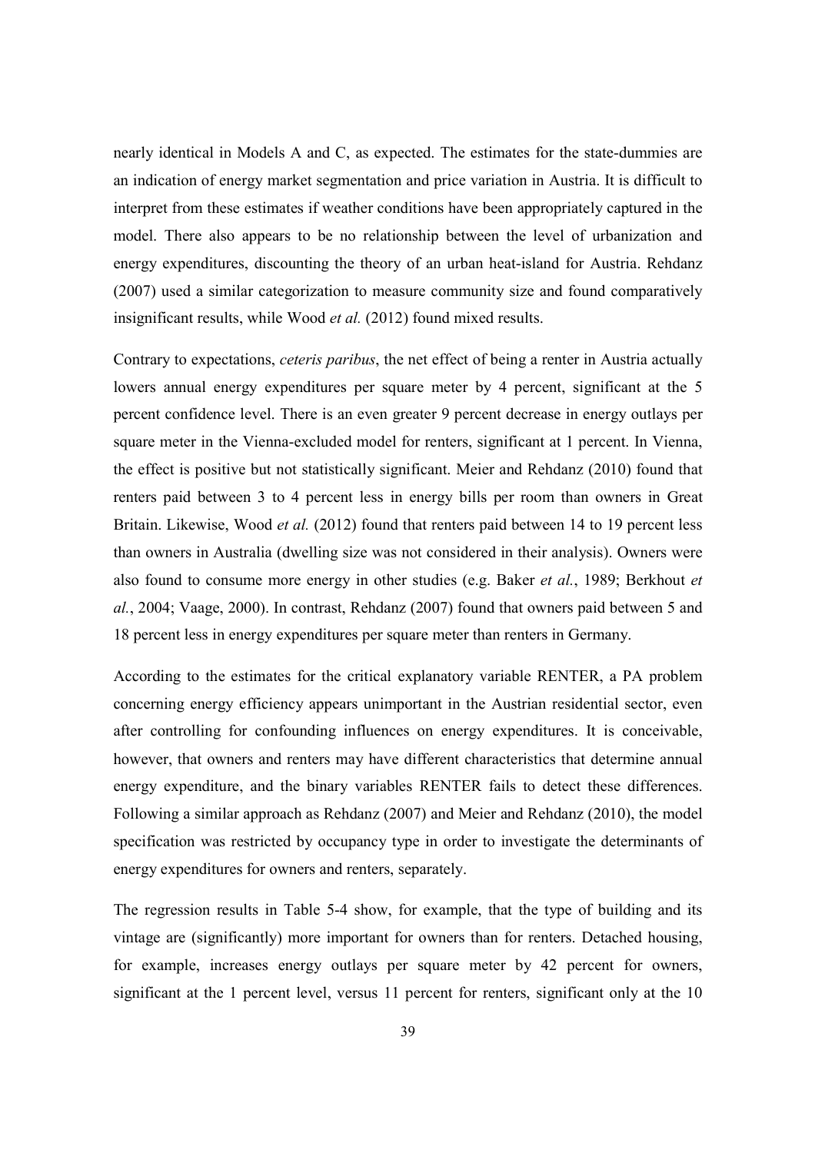nearly identical in Models A and C, as expected. The estimates for the state-dummies are an indication of energy market segmentation and price variation in Austria. It is difficult to interpret from these estimates if weather conditions have been appropriately captured in the model. There also appears to be no relationship between the level of urbanization and energy expenditures, discounting the theory of an urban heat-island for Austria. Rehdanz (2007) used a similar categorization to measure community size and found comparatively insignificant results, while Wood *et al.* (2012) found mixed results.

Contrary to expectations, *ceteris paribus*, the net effect of being a renter in Austria actually lowers annual energy expenditures per square meter by 4 percent, significant at the 5 percent confidence level. There is an even greater 9 percent decrease in energy outlays per square meter in the Vienna-excluded model for renters, significant at 1 percent. In Vienna, the effect is positive but not statistically significant. Meier and Rehdanz (2010) found that renters paid between 3 to 4 percent less in energy bills per room than owners in Great Britain. Likewise, Wood *et al.* (2012) found that renters paid between 14 to 19 percent less than owners in Australia (dwelling size was not considered in their analysis). Owners were also found to consume more energy in other studies (e.g. Baker *et al.*, 1989; Berkhout *et al.*, 2004; Vaage, 2000). In contrast, Rehdanz (2007) found that owners paid between 5 and 18 percent less in energy expenditures per square meter than renters in Germany.

According to the estimates for the critical explanatory variable RENTER, a PA problem concerning energy efficiency appears unimportant in the Austrian residential sector, even after controlling for confounding influences on energy expenditures. It is conceivable, however, that owners and renters may have different characteristics that determine annual energy expenditure, and the binary variables RENTER fails to detect these differences. Following a similar approach as Rehdanz (2007) and Meier and Rehdanz (2010), the model specification was restricted by occupancy type in order to investigate the determinants of energy expenditures for owners and renters, separately.

The regression results in Table 5-4 show, for example, that the type of building and its vintage are (significantly) more important for owners than for renters. Detached housing, for example, increases energy outlays per square meter by 42 percent for owners, significant at the 1 percent level, versus 11 percent for renters, significant only at the 10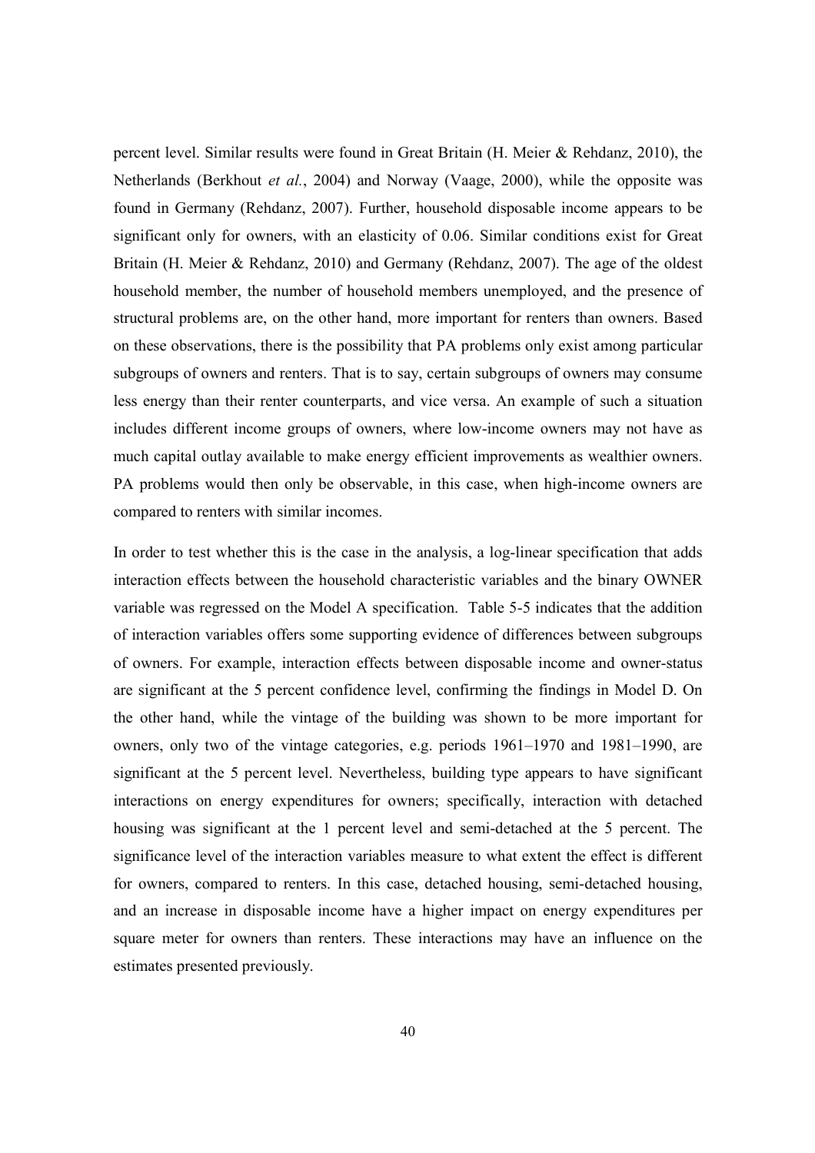percent level. Similar results were found in Great Britain (H. Meier & Rehdanz, 2010), the Netherlands (Berkhout *et al.*, 2004) and Norway (Vaage, 2000), while the opposite was found in Germany (Rehdanz, 2007). Further, household disposable income appears to be significant only for owners, with an elasticity of 0.06. Similar conditions exist for Great Britain (H. Meier & Rehdanz, 2010) and Germany (Rehdanz, 2007). The age of the oldest household member, the number of household members unemployed, and the presence of structural problems are, on the other hand, more important for renters than owners. Based on these observations, there is the possibility that PA problems only exist among particular subgroups of owners and renters. That is to say, certain subgroups of owners may consume less energy than their renter counterparts, and vice versa. An example of such a situation includes different income groups of owners, where low-income owners may not have as much capital outlay available to make energy efficient improvements as wealthier owners. PA problems would then only be observable, in this case, when high-income owners are compared to renters with similar incomes.

In order to test whether this is the case in the analysis, a log-linear specification that adds interaction effects between the household characteristic variables and the binary OWNER variable was regressed on the Model A specification. Table 5-5 indicates that the addition of interaction variables offers some supporting evidence of differences between subgroups of owners. For example, interaction effects between disposable income and owner-status are significant at the 5 percent confidence level, confirming the findings in Model D. On the other hand, while the vintage of the building was shown to be more important for owners, only two of the vintage categories, e.g. periods 1961–1970 and 1981–1990, are significant at the 5 percent level. Nevertheless, building type appears to have significant interactions on energy expenditures for owners; specifically, interaction with detached housing was significant at the 1 percent level and semi-detached at the 5 percent. The significance level of the interaction variables measure to what extent the effect is different for owners, compared to renters. In this case, detached housing, semi-detached housing, and an increase in disposable income have a higher impact on energy expenditures per square meter for owners than renters. These interactions may have an influence on the estimates presented previously.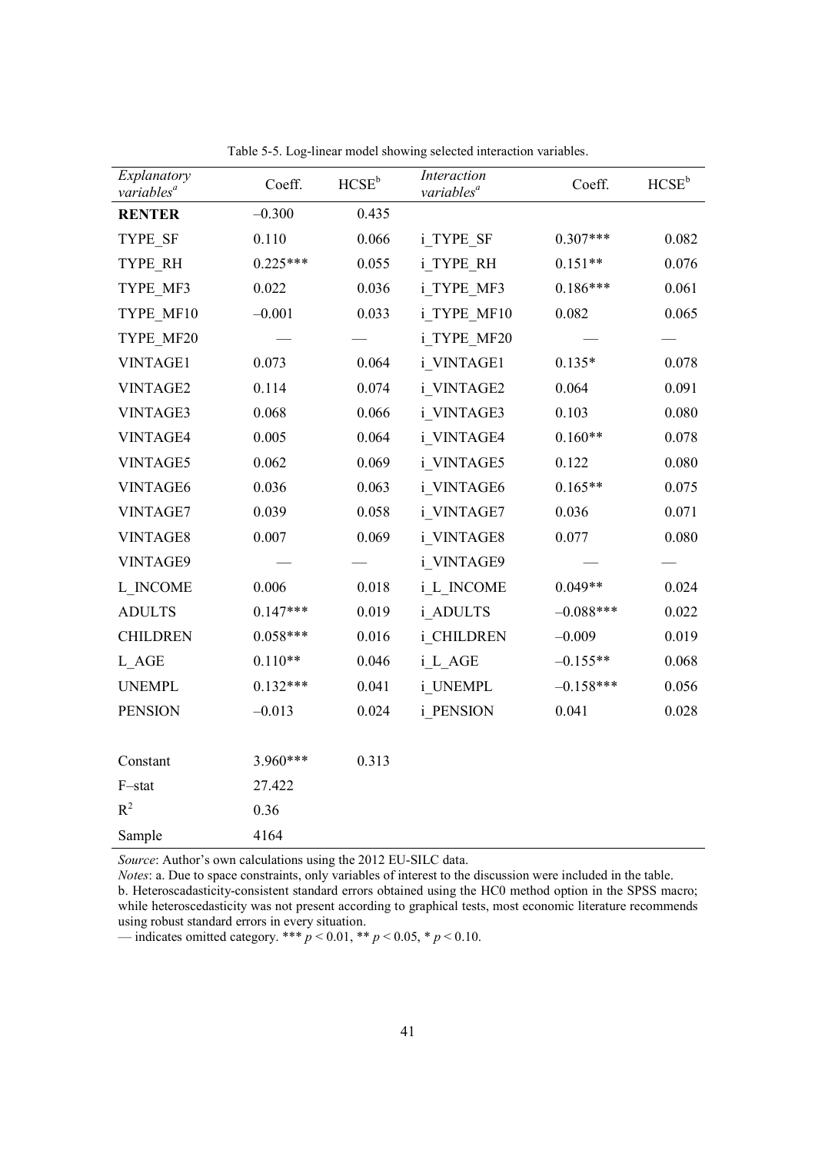| Explanatory<br>variables <sup>a</sup> | Coeff.     | $HCSE^b$ | Interaction<br>variables <sup>a</sup> | Coeff.      | $HCSE^b$ |
|---------------------------------------|------------|----------|---------------------------------------|-------------|----------|
| <b>RENTER</b>                         | $-0.300$   | 0.435    |                                       |             |          |
| TYPE SF                               | 0.110      | 0.066    | i TYPE SF                             | $0.307***$  | 0.082    |
| TYPE RH                               | $0.225***$ | 0.055    | i TYPE RH                             | $0.151**$   | 0.076    |
| TYPE MF3                              | 0.022      | 0.036    | i TYPE MF3                            | $0.186***$  | 0.061    |
| TYPE MF10                             | $-0.001$   | 0.033    | i_TYPE_MF10                           | 0.082       | 0.065    |
| TYPE MF20                             |            |          | i TYPE MF20                           |             |          |
| <b>VINTAGE1</b>                       | 0.073      | 0.064    | i VINTAGE1                            | $0.135*$    | 0.078    |
| <b>VINTAGE2</b>                       | 0.114      | 0.074    | i VINTAGE2                            | 0.064       | 0.091    |
| <b>VINTAGE3</b>                       | 0.068      | 0.066    | i VINTAGE3                            | 0.103       | 0.080    |
| VINTAGE4                              | 0.005      | 0.064    | i VINTAGE4                            | $0.160**$   | 0.078    |
| <b>VINTAGE5</b>                       | 0.062      | 0.069    | i VINTAGE5                            | 0.122       | 0.080    |
| <b>VINTAGE6</b>                       | 0.036      | 0.063    | i VINTAGE6                            | $0.165**$   | 0.075    |
| VINTAGE7                              | 0.039      | 0.058    | i VINTAGE7                            | 0.036       | 0.071    |
| VINTAGE8                              | 0.007      | 0.069    | i VINTAGE8                            | 0.077       | 0.080    |
| VINTAGE9                              |            |          | i VINTAGE9                            |             |          |
| L INCOME                              | 0.006      | 0.018    | i_L_INCOME                            | $0.049**$   | 0.024    |
| <b>ADULTS</b>                         | $0.147***$ | 0.019    | i ADULTS                              | $-0.088***$ | 0.022    |
| <b>CHILDREN</b>                       | $0.058***$ | 0.016    | i CHILDREN                            | $-0.009$    | 0.019    |
| L AGE                                 | $0.110**$  | 0.046    | i L AGE                               | $-0.155**$  | 0.068    |
| <b>UNEMPL</b>                         | $0.132***$ | 0.041    | i UNEMPL                              | $-0.158***$ | 0.056    |
| <b>PENSION</b>                        | $-0.013$   | 0.024    | i PENSION                             | 0.041       | 0.028    |
|                                       |            |          |                                       |             |          |
| Constant                              | 3.960***   | 0.313    |                                       |             |          |
| F-stat                                | 27.422     |          |                                       |             |          |
| $R^2$                                 | 0.36       |          |                                       |             |          |
| Sample                                | 4164       |          |                                       |             |          |

Table 5-5. Log-linear model showing selected interaction variables.

*Source*: Author's own calculations using the 2012 EU-SILC data.

*Notes*: a. Due to space constraints, only variables of interest to the discussion were included in the table. b. Heteroscadasticity-consistent standard errors obtained using the HC0 method option in the SPSS macro; while heteroscedasticity was not present according to graphical tests, most economic literature recommends using robust standard errors in every situation.

–indicates omitted category. \*\*\*  $p < 0.01$ , \*\*  $p < 0.05$ , \*  $p < 0.10$ .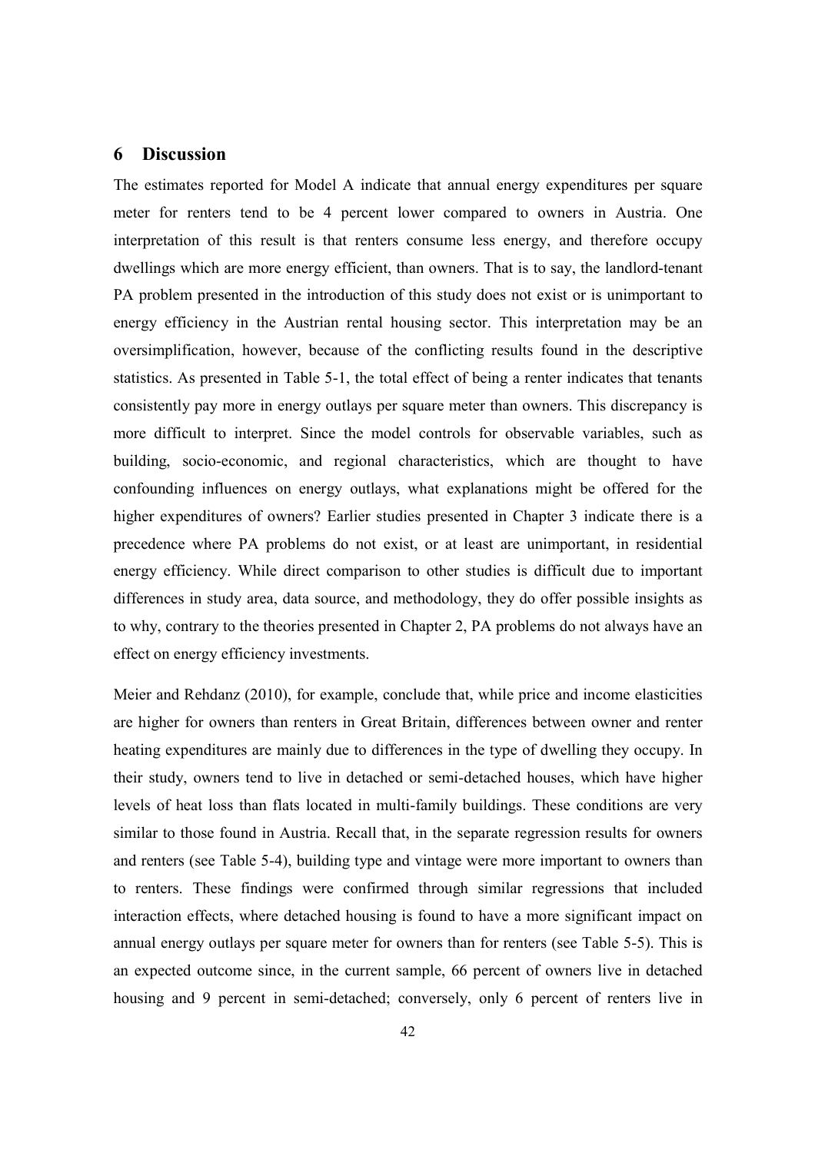# **6 Discussion**

The estimates reported for Model A indicate that annual energy expenditures per square meter for renters tend to be 4 percent lower compared to owners in Austria. One interpretation of this result is that renters consume less energy, and therefore occupy dwellings which are more energy efficient, than owners. That is to say, the landlord-tenant PA problem presented in the introduction of this study does not exist or is unimportant to energy efficiency in the Austrian rental housing sector. This interpretation may be an oversimplification, however, because of the conflicting results found in the descriptive statistics. As presented in Table 5-1, the total effect of being a renter indicates that tenants consistently pay more in energy outlays per square meter than owners. This discrepancy is more difficult to interpret. Since the model controls for observable variables, such as building, socio-economic, and regional characteristics, which are thought to have confounding influences on energy outlays, what explanations might be offered for the higher expenditures of owners? Earlier studies presented in Chapter 3 indicate there is a precedence where PA problems do not exist, or at least are unimportant, in residential energy efficiency. While direct comparison to other studies is difficult due to important differences in study area, data source, and methodology, they do offer possible insights as to why, contrary to the theories presented in Chapter 2, PA problems do not always have an effect on energy efficiency investments.

Meier and Rehdanz (2010), for example, conclude that, while price and income elasticities are higher for owners than renters in Great Britain, differences between owner and renter heating expenditures are mainly due to differences in the type of dwelling they occupy. In their study, owners tend to live in detached or semi-detached houses, which have higher levels of heat loss than flats located in multi-family buildings. These conditions are very similar to those found in Austria. Recall that, in the separate regression results for owners and renters (see Table 5-4), building type and vintage were more important to owners than to renters. These findings were confirmed through similar regressions that included interaction effects, where detached housing is found to have a more significant impact on annual energy outlays per square meter for owners than for renters (see Table 5-5). This is an expected outcome since, in the current sample, 66 percent of owners live in detached housing and 9 percent in semi-detached; conversely, only 6 percent of renters live in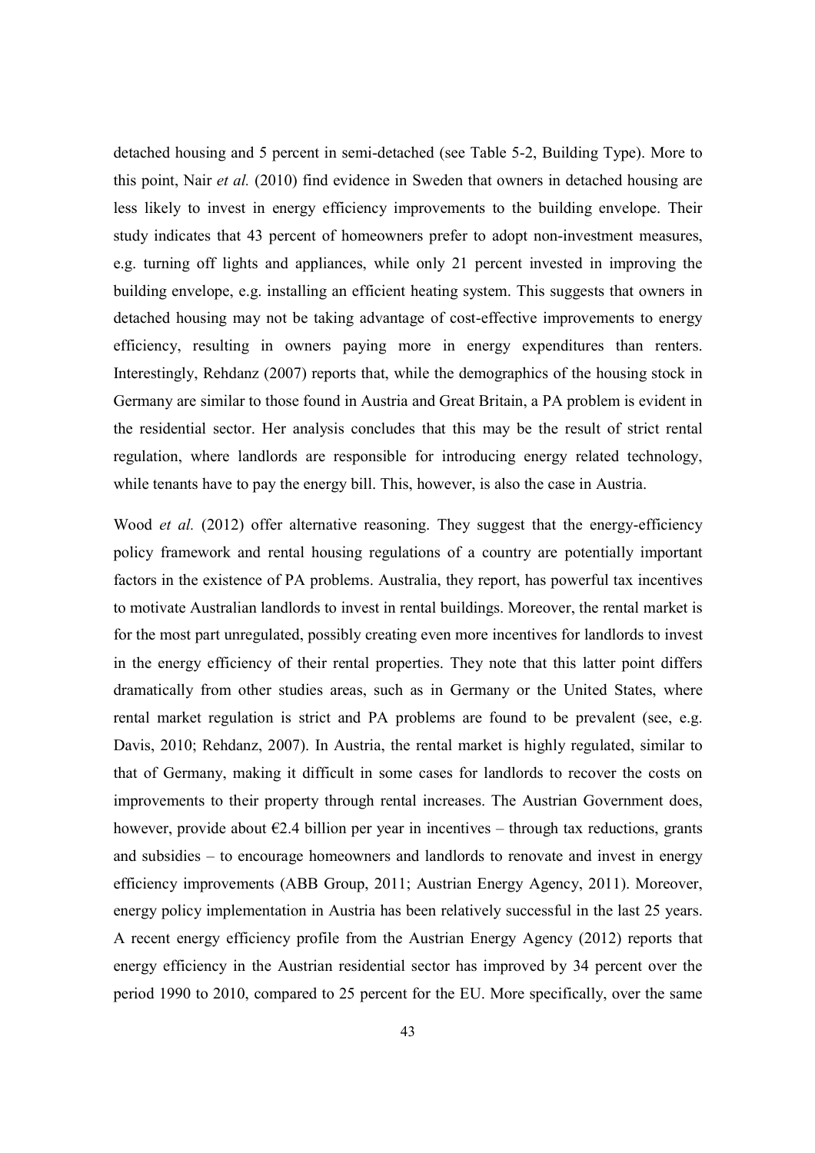detached housing and 5 percent in semi-detached (see Table 5-2, Building Type). More to this point, Nair *et al.* (2010) find evidence in Sweden that owners in detached housing are less likely to invest in energy efficiency improvements to the building envelope. Their study indicates that 43 percent of homeowners prefer to adopt non-investment measures, e.g. turning off lights and appliances, while only 21 percent invested in improving the building envelope, e.g. installing an efficient heating system. This suggests that owners in detached housing may not be taking advantage of cost-effective improvements to energy efficiency, resulting in owners paying more in energy expenditures than renters. Interestingly, Rehdanz (2007) reports that, while the demographics of the housing stock in Germany are similar to those found in Austria and Great Britain, a PA problem is evident in the residential sector. Her analysis concludes that this may be the result of strict rental regulation, where landlords are responsible for introducing energy related technology, while tenants have to pay the energy bill. This, however, is also the case in Austria.

Wood *et al.* (2012) offer alternative reasoning. They suggest that the energy-efficiency policy framework and rental housing regulations of a country are potentially important factors in the existence of PA problems. Australia, they report, has powerful tax incentives to motivate Australian landlords to invest in rental buildings. Moreover, the rental market is for the most part unregulated, possibly creating even more incentives for landlords to invest in the energy efficiency of their rental properties. They note that this latter point differs dramatically from other studies areas, such as in Germany or the United States, where rental market regulation is strict and PA problems are found to be prevalent (see, e.g. Davis, 2010; Rehdanz, 2007). In Austria, the rental market is highly regulated, similar to that of Germany, making it difficult in some cases for landlords to recover the costs on improvements to their property through rental increases. The Austrian Government does, however, provide about  $\epsilon$ 2.4 billion per year in incentives – through tax reductions, grants and subsidies – to encourage homeowners and landlords to renovate and invest in energy efficiency improvements (ABB Group, 2011; Austrian Energy Agency, 2011). Moreover, energy policy implementation in Austria has been relatively successful in the last 25 years. A recent energy efficiency profile from the Austrian Energy Agency (2012) reports that energy efficiency in the Austrian residential sector has improved by 34 percent over the period 1990 to 2010, compared to 25 percent for the EU. More specifically, over the same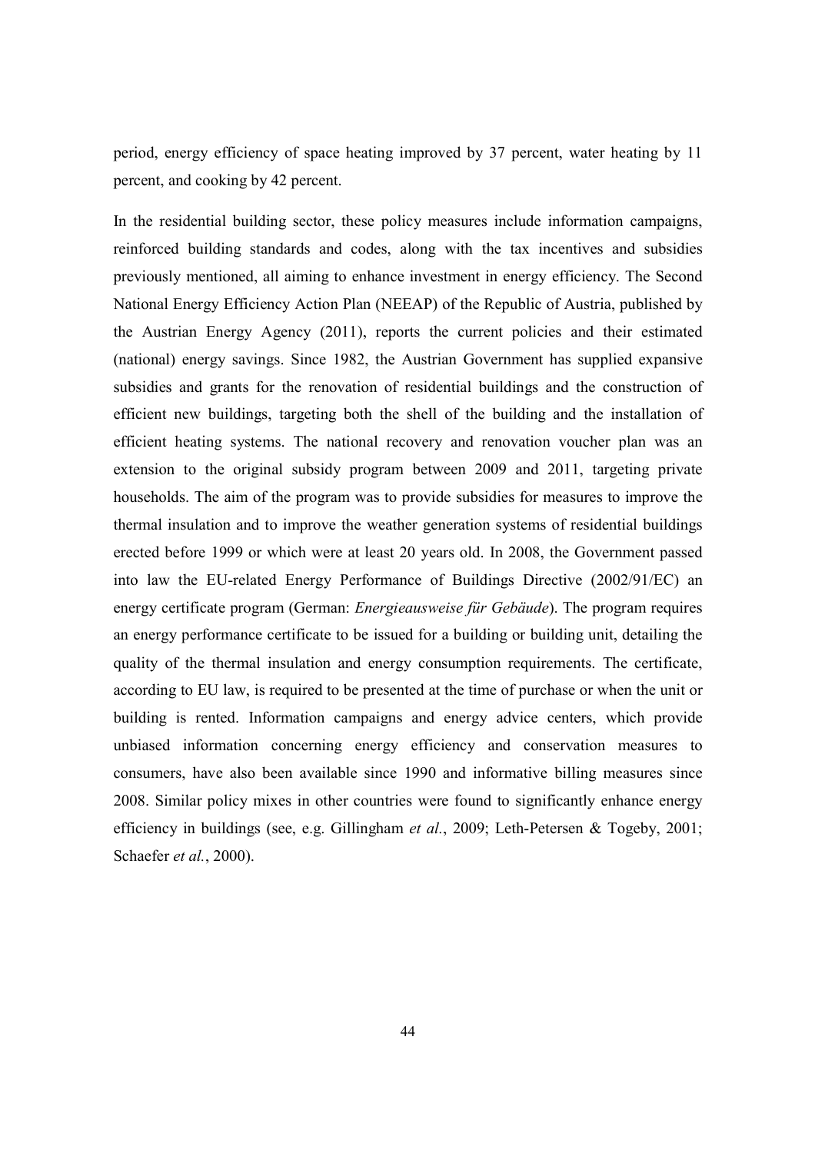period, energy efficiency of space heating improved by 37 percent, water heating by 11 percent, and cooking by 42 percent.

In the residential building sector, these policy measures include information campaigns, reinforced building standards and codes, along with the tax incentives and subsidies previously mentioned, all aiming to enhance investment in energy efficiency. The Second National Energy Efficiency Action Plan (NEEAP) of the Republic of Austria, published by the Austrian Energy Agency (2011), reports the current policies and their estimated (national) energy savings. Since 1982, the Austrian Government has supplied expansive subsidies and grants for the renovation of residential buildings and the construction of efficient new buildings, targeting both the shell of the building and the installation of efficient heating systems. The national recovery and renovation voucher plan was an extension to the original subsidy program between 2009 and 2011, targeting private households. The aim of the program was to provide subsidies for measures to improve the thermal insulation and to improve the weather generation systems of residential buildings erected before 1999 or which were at least 20 years old. In 2008, the Government passed into law the EU-related Energy Performance of Buildings Directive (2002/91/EC) an energy certificate program (German: *Energieausweise für Gebäude*). The program requires an energy performance certificate to be issued for a building or building unit, detailing the quality of the thermal insulation and energy consumption requirements. The certificate, according to EU law, is required to be presented at the time of purchase or when the unit or building is rented. Information campaigns and energy advice centers, which provide unbiased information concerning energy efficiency and conservation measures to consumers, have also been available since 1990 and informative billing measures since 2008. Similar policy mixes in other countries were found to significantly enhance energy efficiency in buildings (see, e.g. Gillingham *et al.*, 2009; Leth-Petersen & Togeby, 2001; Schaefer *et al.*, 2000).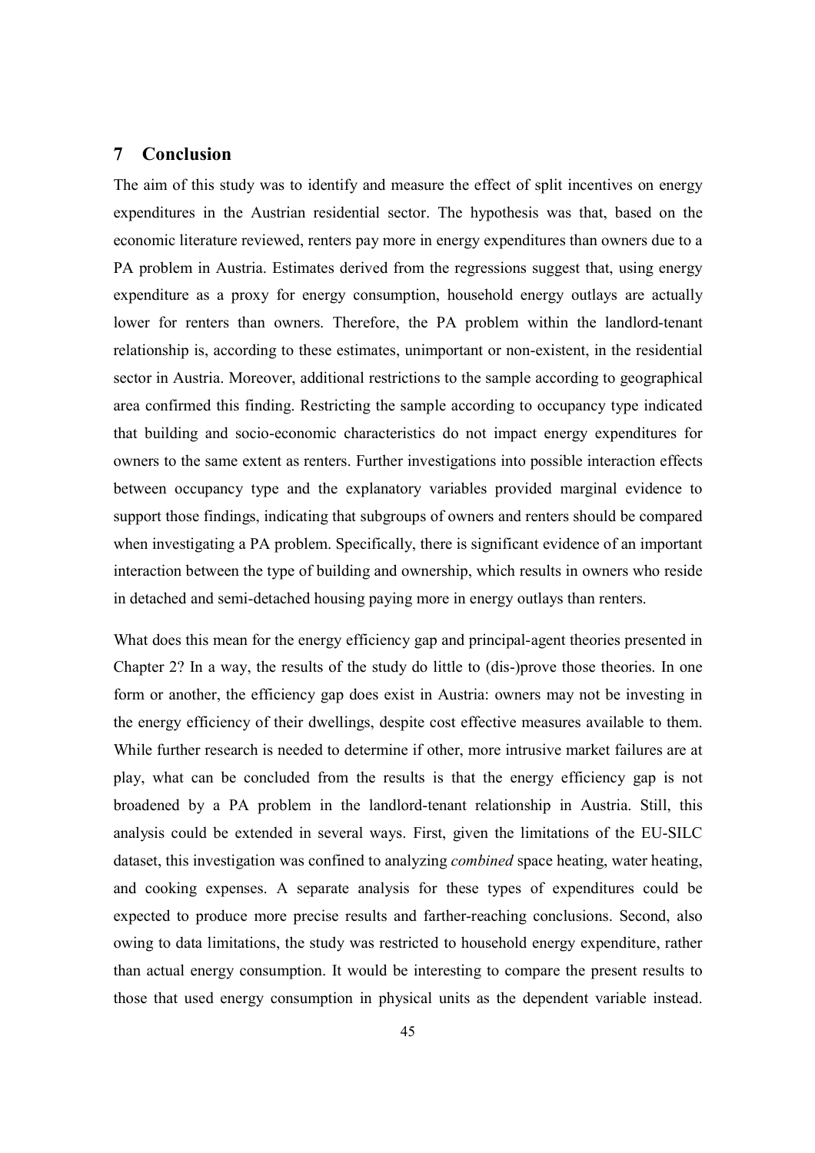# **7 Conclusion**

The aim of this study was to identify and measure the effect of split incentives on energy expenditures in the Austrian residential sector. The hypothesis was that, based on the economic literature reviewed, renters pay more in energy expenditures than owners due to a PA problem in Austria. Estimates derived from the regressions suggest that, using energy expenditure as a proxy for energy consumption, household energy outlays are actually lower for renters than owners. Therefore, the PA problem within the landlord-tenant relationship is, according to these estimates, unimportant or non-existent, in the residential sector in Austria. Moreover, additional restrictions to the sample according to geographical area confirmed this finding. Restricting the sample according to occupancy type indicated that building and socio-economic characteristics do not impact energy expenditures for owners to the same extent as renters. Further investigations into possible interaction effects between occupancy type and the explanatory variables provided marginal evidence to support those findings, indicating that subgroups of owners and renters should be compared when investigating a PA problem. Specifically, there is significant evidence of an important interaction between the type of building and ownership, which results in owners who reside in detached and semi-detached housing paying more in energy outlays than renters.

What does this mean for the energy efficiency gap and principal-agent theories presented in Chapter 2? In a way, the results of the study do little to (dis-)prove those theories. In one form or another, the efficiency gap does exist in Austria: owners may not be investing in the energy efficiency of their dwellings, despite cost effective measures available to them. While further research is needed to determine if other, more intrusive market failures are at play, what can be concluded from the results is that the energy efficiency gap is not broadened by a PA problem in the landlord-tenant relationship in Austria. Still, this analysis could be extended in several ways. First, given the limitations of the EU-SILC dataset, this investigation was confined to analyzing *combined* space heating, water heating, and cooking expenses. A separate analysis for these types of expenditures could be expected to produce more precise results and farther-reaching conclusions. Second, also owing to data limitations, the study was restricted to household energy expenditure, rather than actual energy consumption. It would be interesting to compare the present results to those that used energy consumption in physical units as the dependent variable instead.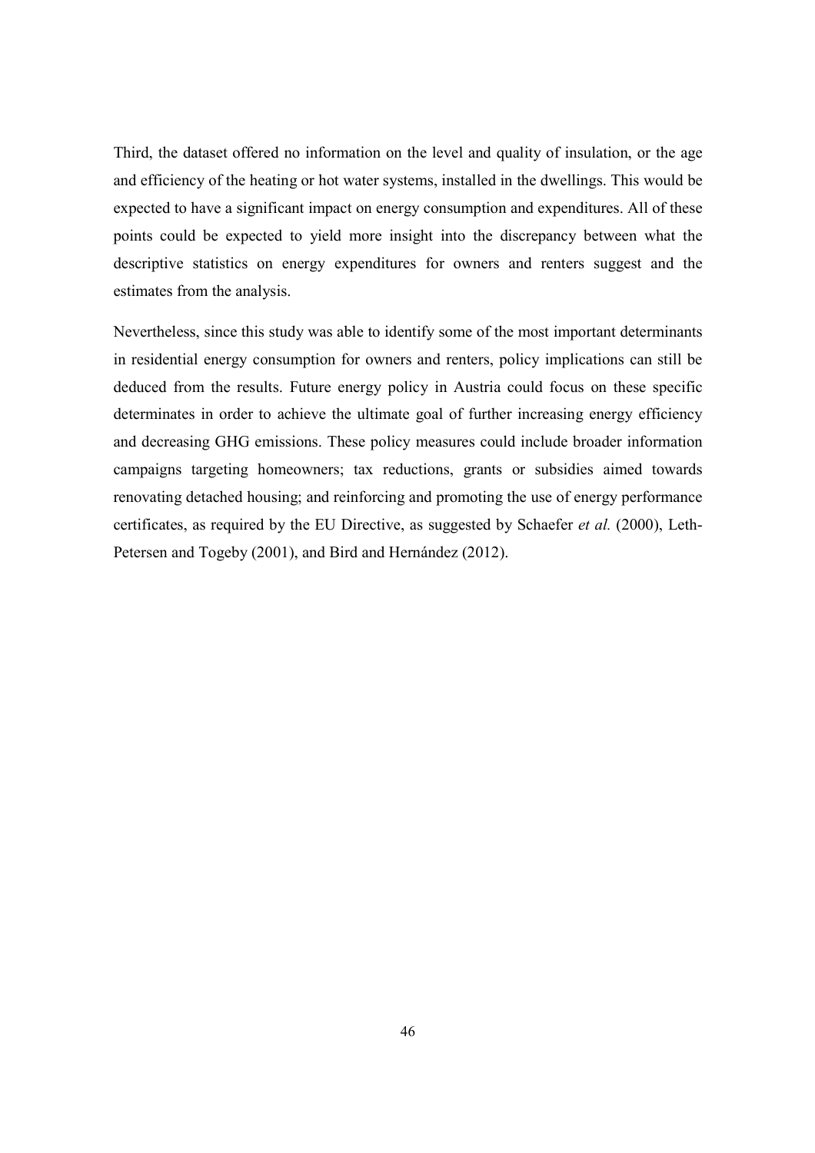Third, the dataset offered no information on the level and quality of insulation, or the age and efficiency of the heating or hot water systems, installed in the dwellings. This would be expected to have a significant impact on energy consumption and expenditures. All of these points could be expected to yield more insight into the discrepancy between what the descriptive statistics on energy expenditures for owners and renters suggest and the estimates from the analysis.

Nevertheless, since this study was able to identify some of the most important determinants in residential energy consumption for owners and renters, policy implications can still be deduced from the results. Future energy policy in Austria could focus on these specific determinates in order to achieve the ultimate goal of further increasing energy efficiency and decreasing GHG emissions. These policy measures could include broader information campaigns targeting homeowners; tax reductions, grants or subsidies aimed towards renovating detached housing; and reinforcing and promoting the use of energy performance certificates, as required by the EU Directive, as suggested by Schaefer *et al.* (2000), Leth-Petersen and Togeby (2001), and Bird and Hernández (2012).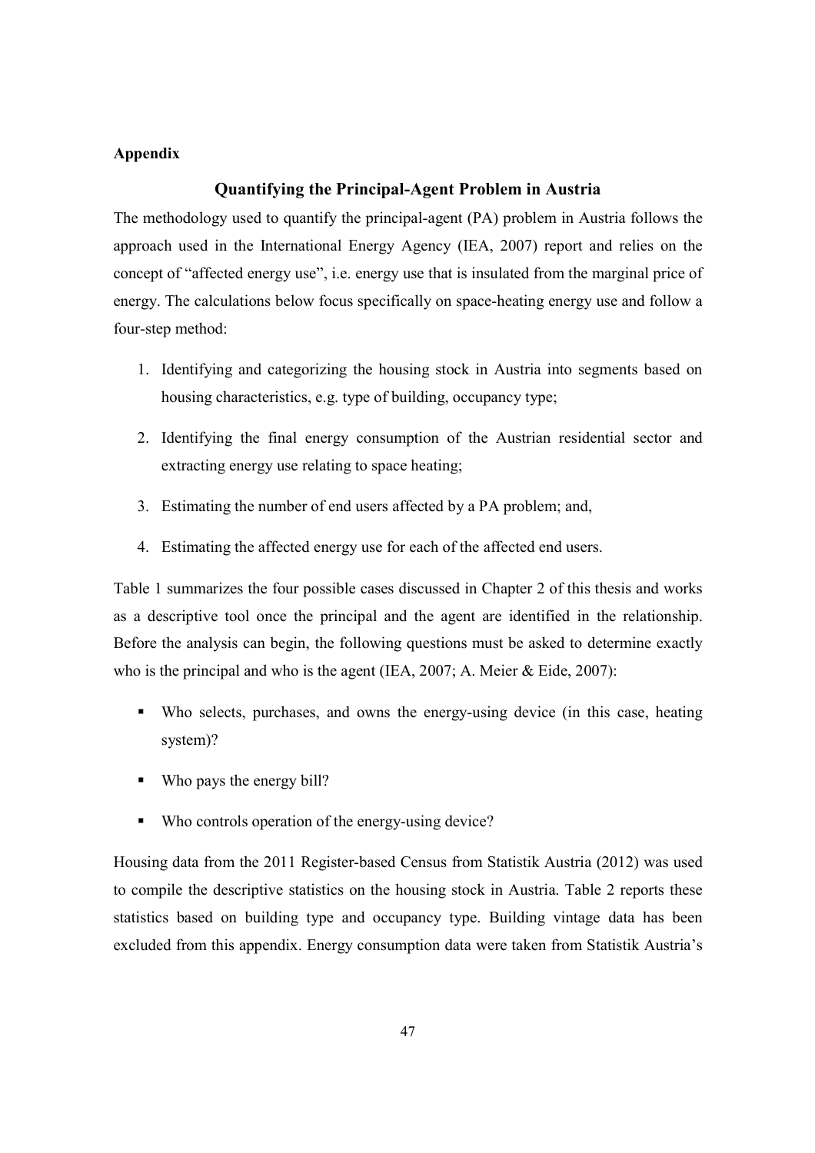#### **Appendix**

# **Quantifying the Principal-Agent Problem in Austria**

The methodology used to quantify the principal-agent (PA) problem in Austria follows the approach used in the International Energy Agency (IEA, 2007) report and relies on the concept of "affected energy use", i.e. energy use that is insulated from the marginal price of energy. The calculations below focus specifically on space-heating energy use and follow a four-step method:

- 1. Identifying and categorizing the housing stock in Austria into segments based on housing characteristics, e.g. type of building, occupancy type;
- 2. Identifying the final energy consumption of the Austrian residential sector and extracting energy use relating to space heating;
- 3. Estimating the number of end users affected by a PA problem; and,
- 4. Estimating the affected energy use for each of the affected end users.

Table 1 summarizes the four possible cases discussed in Chapter 2 of this thesis and works as a descriptive tool once the principal and the agent are identified in the relationship. Before the analysis can begin, the following questions must be asked to determine exactly who is the principal and who is the agent (IEA, 2007; A. Meier & Eide, 2007):

- Who selects, purchases, and owns the energy-using device (in this case, heating system)?
- Who pays the energy bill?
- Who controls operation of the energy-using device?

Housing data from the 2011 Register-based Census from Statistik Austria (2012) was used to compile the descriptive statistics on the housing stock in Austria. Table 2 reports these statistics based on building type and occupancy type. Building vintage data has been excluded from this appendix. Energy consumption data were taken from Statistik Austria's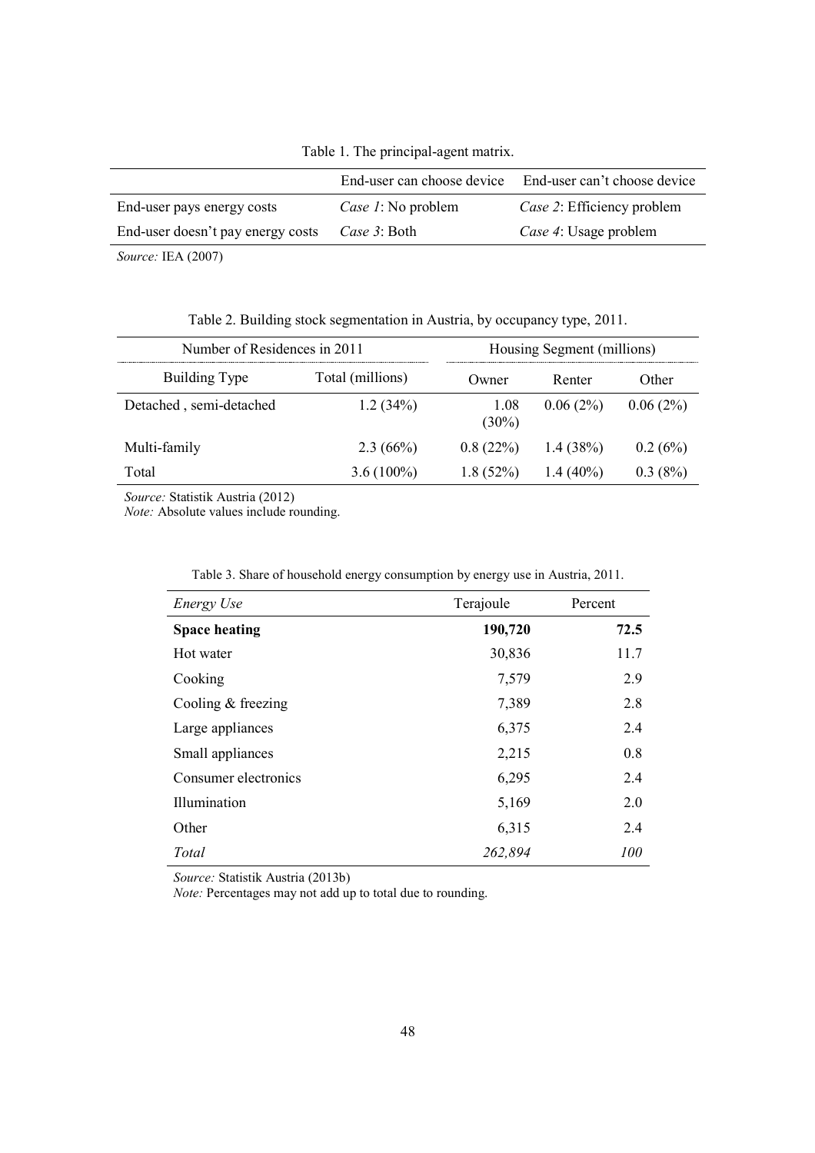Table 1. The principal-agent matrix.

|                                   | End-user can choose device | End-user can't choose device |
|-----------------------------------|----------------------------|------------------------------|
| End-user pays energy costs        | <i>Case 1</i> : No problem | Case 2: Efficiency problem   |
| End-user doesn't pay energy costs | Case 3: Both               | Case 4: Usage problem        |
|                                   |                            |                              |

*Source:* IEA (2007)

Table 2. Building stock segmentation in Austria, by occupancy type, 2011.

| Number of Residences in 2011 | Housing Segment (millions) |                  |             |             |
|------------------------------|----------------------------|------------------|-------------|-------------|
| Building Type                | Total (millions)           | Owner            | Renter      | Other       |
| Detached, semi-detached      | 1.2(34%)                   | 1.08<br>$(30\%)$ | 0.06(2%)    | $0.06(2\%)$ |
| Multi-family                 | $2.3(66\%)$                | 0.8(22%)         | $1.4(38\%)$ | 0.2(6%)     |
| Total                        | $3.6(100\%)$               | $1.8(52\%)$      | $1.4(40\%)$ | 0.3(8%)     |

*Source:* Statistik Austria (2012)

*Note:* Absolute values include rounding.

| Energy Use           | Terajoule | Percent    |
|----------------------|-----------|------------|
| <b>Space heating</b> | 190,720   | 72.5       |
| Hot water            | 30,836    | 11.7       |
| Cooking              | 7,579     | 2.9        |
| Cooling & freezing   | 7,389     | 2.8        |
| Large appliances     | 6,375     | 2.4        |
| Small appliances     | 2,215     | 0.8        |
| Consumer electronics | 6,295     | 2.4        |
| Illumination         | 5,169     | 2.0        |
| Other                | 6,315     | 2.4        |
| Total                | 262,894   | <i>100</i> |

Table 3. Share of household energy consumption by energy use in Austria, 2011.

*Source:* Statistik Austria (2013b)

*Note:* Percentages may not add up to total due to rounding.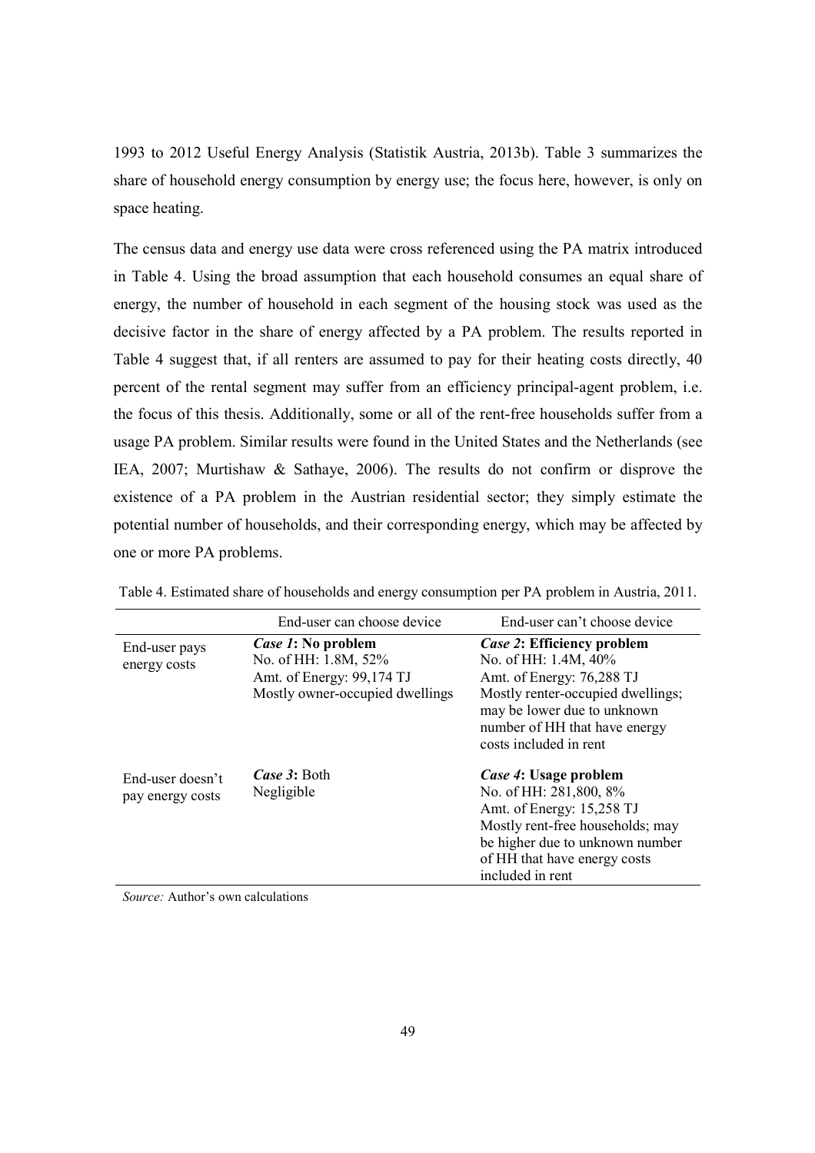1993 to 2012 Useful Energy Analysis (Statistik Austria, 2013b). Table 3 summarizes the share of household energy consumption by energy use; the focus here, however, is only on space heating.

The census data and energy use data were cross referenced using the PA matrix introduced in Table 4. Using the broad assumption that each household consumes an equal share of energy, the number of household in each segment of the housing stock was used as the decisive factor in the share of energy affected by a PA problem. The results reported in Table 4 suggest that, if all renters are assumed to pay for their heating costs directly, 40 percent of the rental segment may suffer from an efficiency principal-agent problem, i.e. the focus of this thesis. Additionally, some or all of the rent-free households suffer from a usage PA problem. Similar results were found in the United States and the Netherlands (see IEA, 2007; Murtishaw & Sathaye, 2006). The results do not confirm or disprove the existence of a PA problem in the Austrian residential sector; they simply estimate the potential number of households, and their corresponding energy, which may be affected by one or more PA problems.

|                                      | End-user can choose device                                                                                 | End-user can't choose device                                                                                                                                                                                   |
|--------------------------------------|------------------------------------------------------------------------------------------------------------|----------------------------------------------------------------------------------------------------------------------------------------------------------------------------------------------------------------|
| End-user pays<br>energy costs        | Case 1: No problem<br>No. of HH: 1.8M, 52%<br>Amt. of Energy: 99,174 TJ<br>Mostly owner-occupied dwellings | Case 2: Efficiency problem<br>No. of HH: 1.4M, 40%<br>Amt. of Energy: 76,288 TJ<br>Mostly renter-occupied dwellings;<br>may be lower due to unknown<br>number of HH that have energy<br>costs included in rent |
| End-user doesn't<br>pay energy costs | Case 3: Both<br>Negligible                                                                                 | Case 4: Usage problem<br>No. of HH: 281,800, 8%<br>Amt. of Energy: 15,258 TJ<br>Mostly rent-free households; may<br>be higher due to unknown number<br>of HH that have energy costs<br>included in rent        |

Table 4. Estimated share of households and energy consumption per PA problem in Austria, 2011.

*Source:* Author's own calculations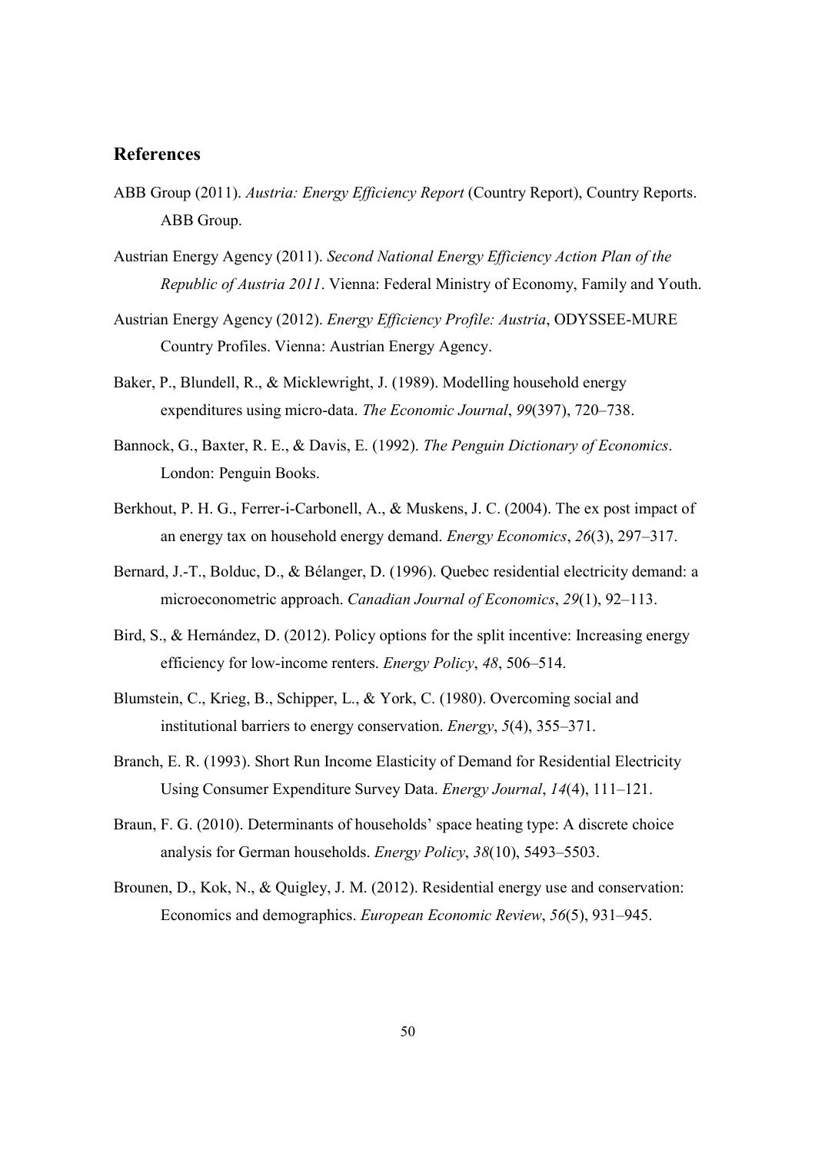# **References**

- ABB Group (2011). *Austria: Energy Efficiency Report* (Country Report), Country Reports. ABB Group.
- Austrian Energy Agency (2011). *Second National Energy Efficiency Action Plan of the Republic of Austria 2011*. Vienna: Federal Ministry of Economy, Family and Youth.
- Austrian Energy Agency (2012). *Energy Efficiency Profile: Austria*, ODYSSEE-MURE Country Profiles. Vienna: Austrian Energy Agency.
- Baker, P., Blundell, R., & Micklewright, J. (1989). Modelling household energy expenditures using micro-data. *The Economic Journal*, *99*(397), 720–738.
- Bannock, G., Baxter, R. E., & Davis, E. (1992). *The Penguin Dictionary of Economics*. London: Penguin Books.
- Berkhout, P. H. G., Ferrer-i-Carbonell, A., & Muskens, J. C. (2004). The ex post impact of an energy tax on household energy demand. *Energy Economics*, *26*(3), 297–317.
- Bernard, J.-T., Bolduc, D., & Bélanger, D. (1996). Quebec residential electricity demand: a microeconometric approach. *Canadian Journal of Economics*, *29*(1), 92–113.
- Bird, S., & Hernández, D. (2012). Policy options for the split incentive: Increasing energy efficiency for low-income renters. *Energy Policy*, *48*, 506–514.
- Blumstein, C., Krieg, B., Schipper, L., & York, C. (1980). Overcoming social and institutional barriers to energy conservation. *Energy*, *5*(4), 355–371.
- Branch, E. R. (1993). Short Run Income Elasticity of Demand for Residential Electricity Using Consumer Expenditure Survey Data. *Energy Journal*, *14*(4), 111–121.
- Braun, F. G. (2010). Determinants of households' space heating type: A discrete choice analysis for German households. *Energy Policy*, *38*(10), 5493–5503.
- Brounen, D., Kok, N., & Quigley, J. M. (2012). Residential energy use and conservation: Economics and demographics. *European Economic Review*, *56*(5), 931–945.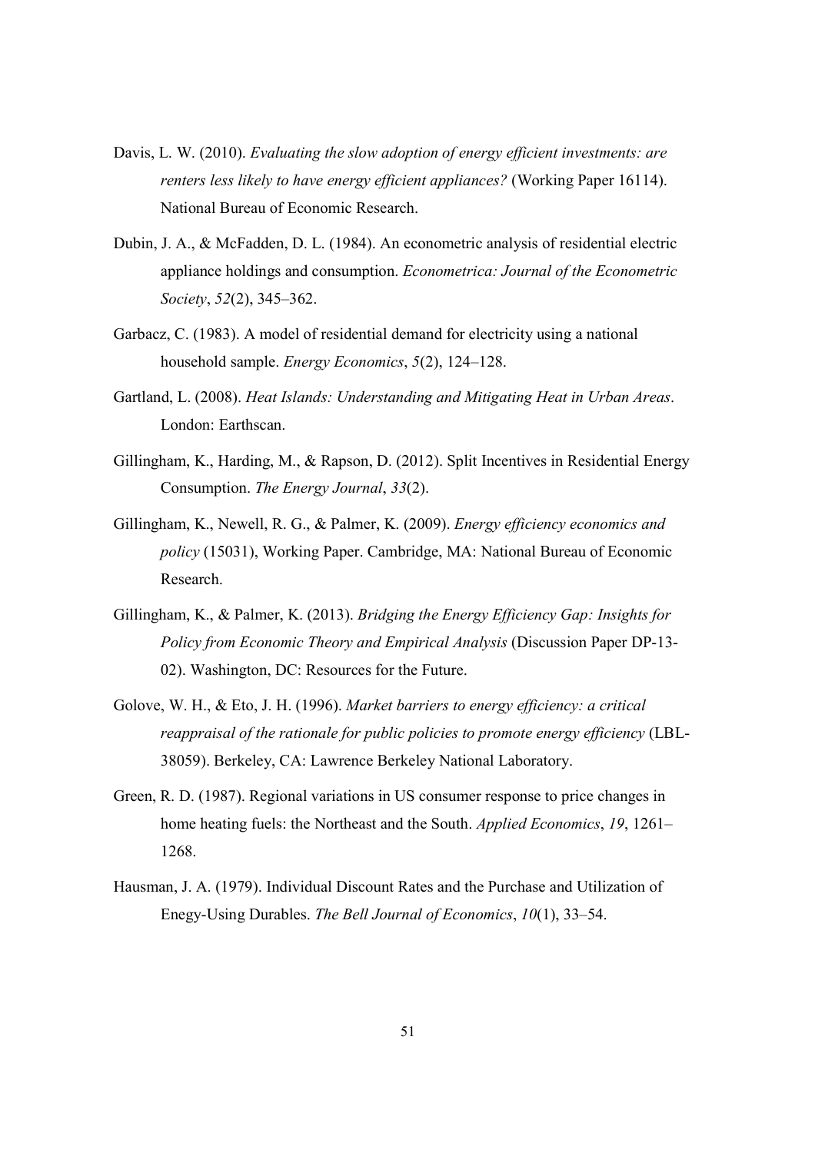- Davis, L. W. (2010). *Evaluating the slow adoption of energy efficient investments: are renters less likely to have energy efficient appliances?* (Working Paper 16114). National Bureau of Economic Research.
- Dubin, J. A., & McFadden, D. L. (1984). An econometric analysis of residential electric appliance holdings and consumption. *Econometrica: Journal of the Econometric Society*, *52*(2), 345–362.
- Garbacz, C. (1983). A model of residential demand for electricity using a national household sample. *Energy Economics*, *5*(2), 124–128.
- Gartland, L. (2008). *Heat Islands: Understanding and Mitigating Heat in Urban Areas*. London: Earthscan.
- Gillingham, K., Harding, M., & Rapson, D. (2012). Split Incentives in Residential Energy Consumption. *The Energy Journal*, *33*(2).
- Gillingham, K., Newell, R. G., & Palmer, K. (2009). *Energy efficiency economics and policy* (15031), Working Paper. Cambridge, MA: National Bureau of Economic Research.
- Gillingham, K., & Palmer, K. (2013). *Bridging the Energy Efficiency Gap: Insights for Policy from Economic Theory and Empirical Analysis* (Discussion Paper DP-13- 02). Washington, DC: Resources for the Future.
- Golove, W. H., & Eto, J. H. (1996). *Market barriers to energy efficiency: a critical reappraisal of the rationale for public policies to promote energy efficiency* (LBL-38059). Berkeley, CA: Lawrence Berkeley National Laboratory.
- Green, R. D. (1987). Regional variations in US consumer response to price changes in home heating fuels: the Northeast and the South. *Applied Economics*, *19*, 1261– 1268.
- Hausman, J. A. (1979). Individual Discount Rates and the Purchase and Utilization of Enegy-Using Durables. *The Bell Journal of Economics*, *10*(1), 33–54.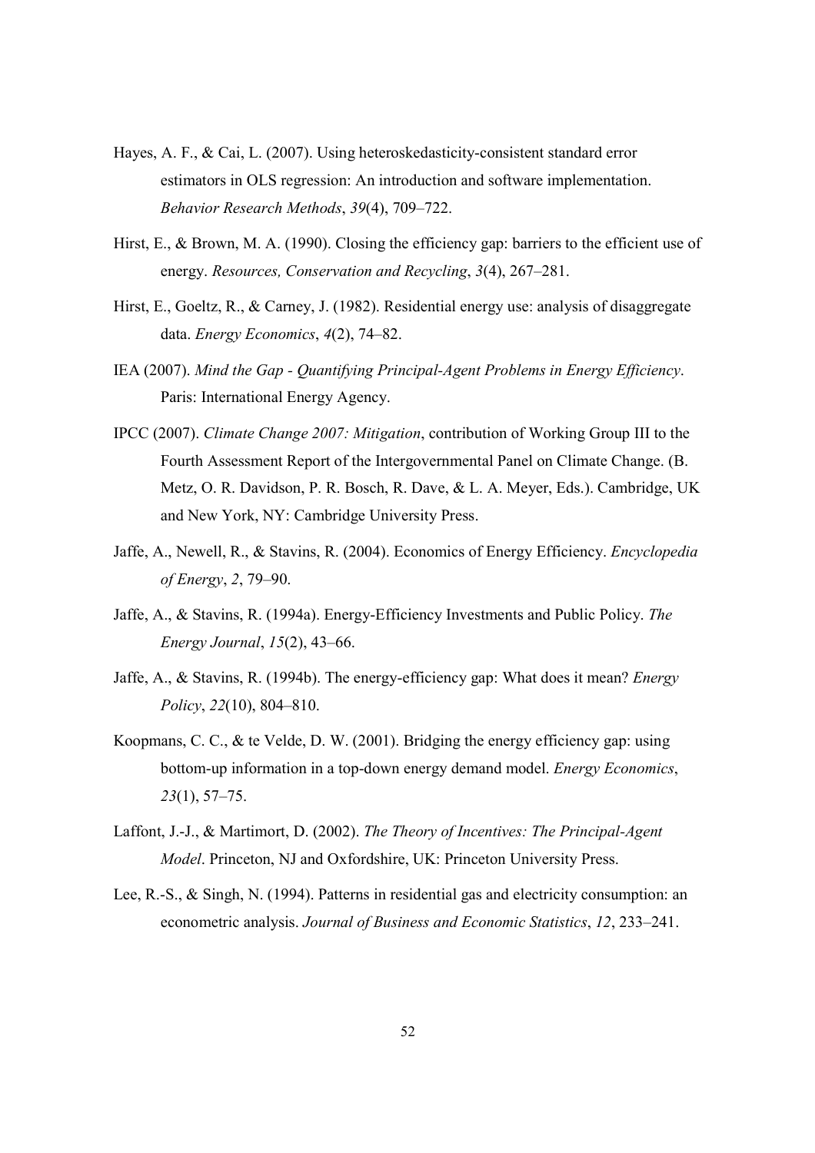- Hayes, A. F., & Cai, L. (2007). Using heteroskedasticity-consistent standard error estimators in OLS regression: An introduction and software implementation. *Behavior Research Methods*, *39*(4), 709–722.
- Hirst, E., & Brown, M. A. (1990). Closing the efficiency gap: barriers to the efficient use of energy. *Resources, Conservation and Recycling*, *3*(4), 267–281.
- Hirst, E., Goeltz, R., & Carney, J. (1982). Residential energy use: analysis of disaggregate data. *Energy Economics*, *4*(2), 74–82.
- IEA (2007). *Mind the Gap Quantifying Principal-Agent Problems in Energy Efficiency*. Paris: International Energy Agency.
- IPCC (2007). *Climate Change 2007: Mitigation*, contribution of Working Group III to the Fourth Assessment Report of the Intergovernmental Panel on Climate Change. (B. Metz, O. R. Davidson, P. R. Bosch, R. Dave, & L. A. Meyer, Eds.). Cambridge, UK and New York, NY: Cambridge University Press.
- Jaffe, A., Newell, R., & Stavins, R. (2004). Economics of Energy Efficiency. *Encyclopedia of Energy*, *2*, 79–90.
- Jaffe, A., & Stavins, R. (1994a). Energy-Efficiency Investments and Public Policy. *The Energy Journal*, *15*(2), 43–66.
- Jaffe, A., & Stavins, R. (1994b). The energy-efficiency gap: What does it mean? *Energy Policy*, *22*(10), 804–810.
- Koopmans, C. C., & te Velde, D. W. (2001). Bridging the energy efficiency gap: using bottom-up information in a top-down energy demand model. *Energy Economics*, *23*(1), 57–75.
- Laffont, J.-J., & Martimort, D. (2002). *The Theory of Incentives: The Principal-Agent Model*. Princeton, NJ and Oxfordshire, UK: Princeton University Press.
- Lee, R.-S., & Singh, N. (1994). Patterns in residential gas and electricity consumption: an econometric analysis. *Journal of Business and Economic Statistics*, *12*, 233–241.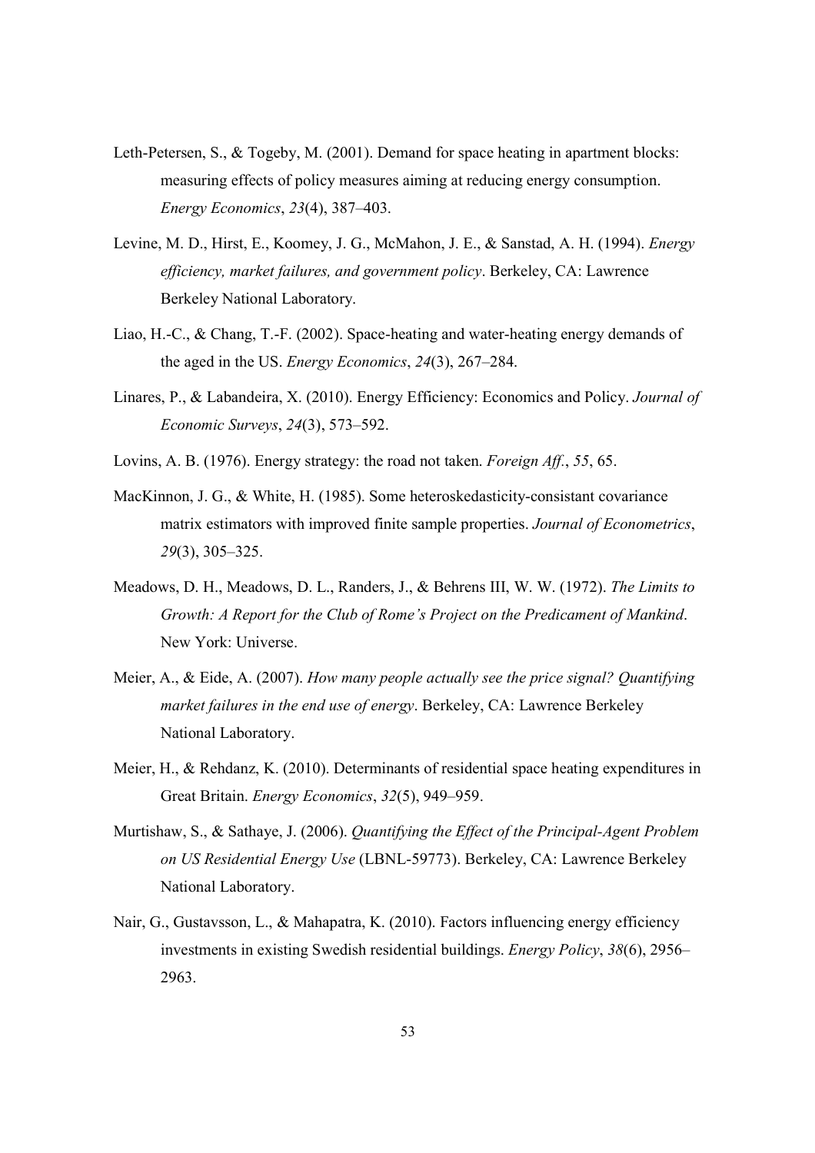- Leth-Petersen, S., & Togeby, M. (2001). Demand for space heating in apartment blocks: measuring effects of policy measures aiming at reducing energy consumption. *Energy Economics*, *23*(4), 387–403.
- Levine, M. D., Hirst, E., Koomey, J. G., McMahon, J. E., & Sanstad, A. H. (1994). *Energy efficiency, market failures, and government policy*. Berkeley, CA: Lawrence Berkeley National Laboratory.
- Liao, H.-C., & Chang, T.-F. (2002). Space-heating and water-heating energy demands of the aged in the US. *Energy Economics*, *24*(3), 267–284.
- Linares, P., & Labandeira, X. (2010). Energy Efficiency: Economics and Policy. *Journal of Economic Surveys*, *24*(3), 573–592.
- Lovins, A. B. (1976). Energy strategy: the road not taken. *Foreign Aff.*, *55*, 65.
- MacKinnon, J. G., & White, H. (1985). Some heteroskedasticity-consistant covariance matrix estimators with improved finite sample properties. *Journal of Econometrics*, *29*(3), 305–325.
- Meadows, D. H., Meadows, D. L., Randers, J., & Behrens III, W. W. (1972). *The Limits to Growth: A Report for the Club of Rome's Project on the Predicament of Mankind*. New York: Universe.
- Meier, A., & Eide, A. (2007). *How many people actually see the price signal? Quantifying market failures in the end use of energy*. Berkeley, CA: Lawrence Berkeley National Laboratory.
- Meier, H., & Rehdanz, K. (2010). Determinants of residential space heating expenditures in Great Britain. *Energy Economics*, *32*(5), 949–959.
- Murtishaw, S., & Sathaye, J. (2006). *Quantifying the Effect of the Principal-Agent Problem on US Residential Energy Use* (LBNL-59773). Berkeley, CA: Lawrence Berkeley National Laboratory.
- Nair, G., Gustavsson, L., & Mahapatra, K. (2010). Factors influencing energy efficiency investments in existing Swedish residential buildings. *Energy Policy*, *38*(6), 2956– 2963.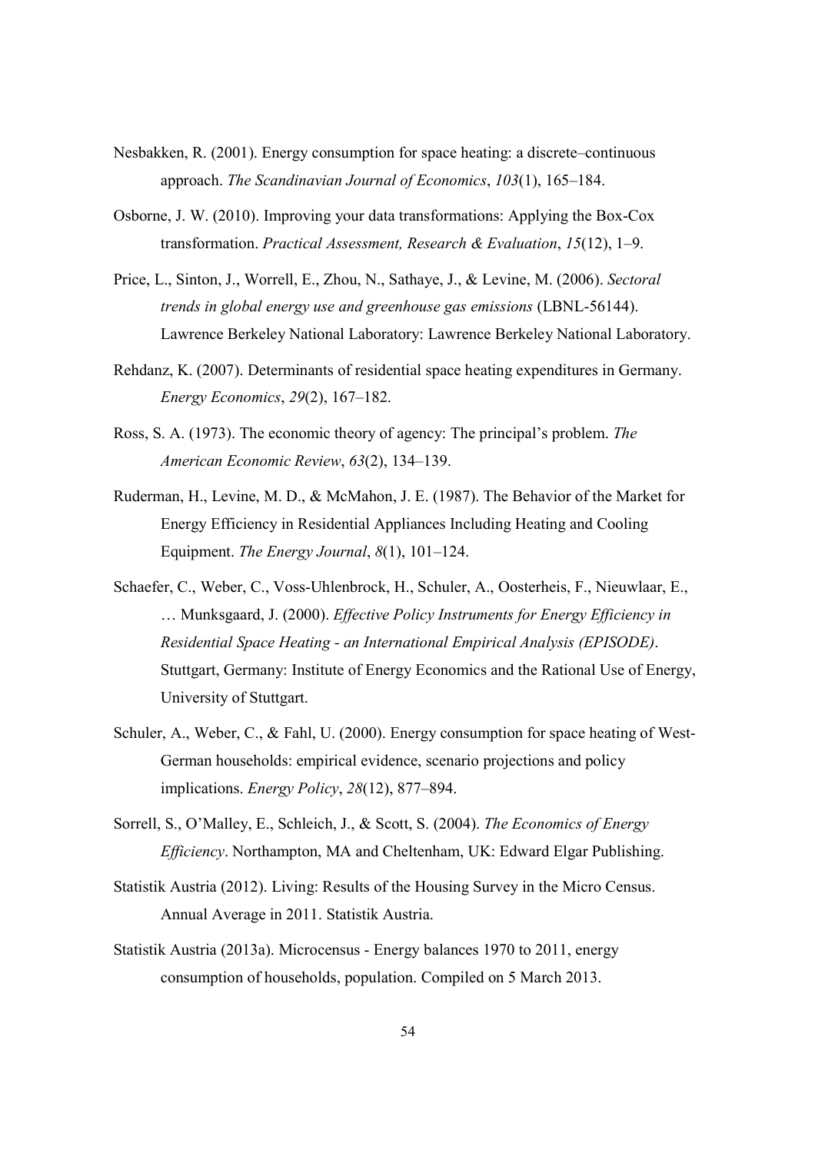- Nesbakken, R. (2001). Energy consumption for space heating: a discrete–continuous approach. *The Scandinavian Journal of Economics*, *103*(1), 165–184.
- Osborne, J. W. (2010). Improving your data transformations: Applying the Box-Cox transformation. *Practical Assessment, Research & Evaluation*, *15*(12), 1–9.
- Price, L., Sinton, J., Worrell, E., Zhou, N., Sathaye, J., & Levine, M. (2006). *Sectoral trends in global energy use and greenhouse gas emissions* (LBNL-56144). Lawrence Berkeley National Laboratory: Lawrence Berkeley National Laboratory.
- Rehdanz, K. (2007). Determinants of residential space heating expenditures in Germany. *Energy Economics*, *29*(2), 167–182.
- Ross, S. A. (1973). The economic theory of agency: The principal's problem. *The American Economic Review*, *63*(2), 134–139.
- Ruderman, H., Levine, M. D., & McMahon, J. E. (1987). The Behavior of the Market for Energy Efficiency in Residential Appliances Including Heating and Cooling Equipment. *The Energy Journal*, *8*(1), 101–124.
- Schaefer, C., Weber, C., Voss-Uhlenbrock, H., Schuler, A., Oosterheis, F., Nieuwlaar, E., … Munksgaard, J. (2000). *Effective Policy Instruments for Energy Efficiency in Residential Space Heating - an International Empirical Analysis (EPISODE)*. Stuttgart, Germany: Institute of Energy Economics and the Rational Use of Energy, University of Stuttgart.
- Schuler, A., Weber, C., & Fahl, U. (2000). Energy consumption for space heating of West-German households: empirical evidence, scenario projections and policy implications. *Energy Policy*, *28*(12), 877–894.
- Sorrell, S., O'Malley, E., Schleich, J., & Scott, S. (2004). *The Economics of Energy Efficiency*. Northampton, MA and Cheltenham, UK: Edward Elgar Publishing.
- Statistik Austria (2012). Living: Results of the Housing Survey in the Micro Census. Annual Average in 2011. Statistik Austria.
- Statistik Austria (2013a). Microcensus Energy balances 1970 to 2011, energy consumption of households, population. Compiled on 5 March 2013.